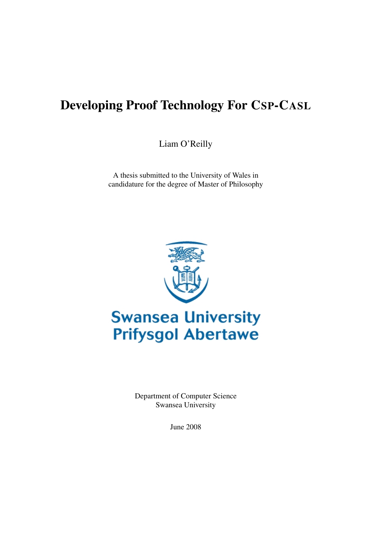## Developing Proof Technology For CSP-CASL

Liam O'Reilly

A thesis submitted to the University of Wales in candidature for the degree of Master of Philosophy



# **Swansea University Prifysgol Abertawe**

Department of Computer Science Swansea University

June 2008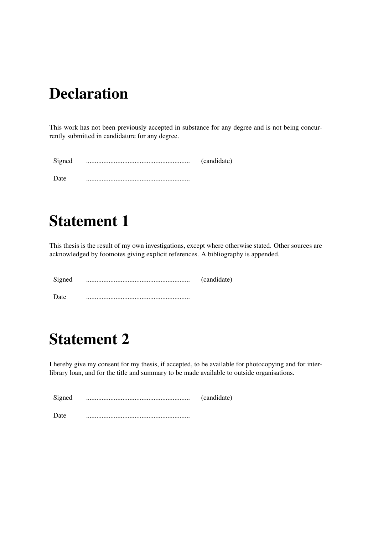# Declaration

This work has not been previously accepted in substance for any degree and is not being concurrently submitted in candidature for any degree.

| Signed | (candidate) |
|--------|-------------|
| Date   |             |

# Statement 1

This thesis is the result of my own investigations, except where otherwise stated. Other sources are acknowledged by footnotes giving explicit references. A bibliography is appended.

| Signed | (candidate) |
|--------|-------------|
| Date   |             |

# Statement 2

I hereby give my consent for my thesis, if accepted, to be available for photocopying and for interlibrary loan, and for the title and summary to be made available to outside organisations.

| Signed | (candidate) |
|--------|-------------|
| Date   |             |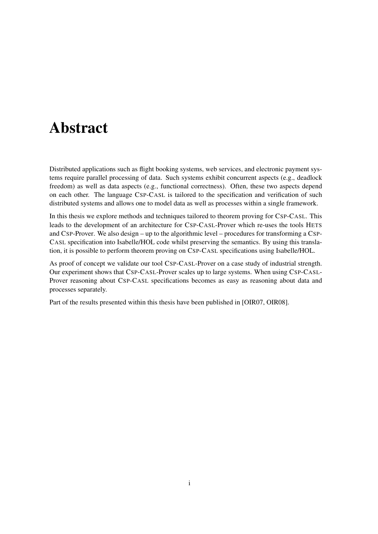## Abstract

Distributed applications such as flight booking systems, web services, and electronic payment systems require parallel processing of data. Such systems exhibit concurrent aspects (e.g., deadlock freedom) as well as data aspects (e.g., functional correctness). Often, these two aspects depend on each other. The language CSP-CASL is tailored to the specification and verification of such distributed systems and allows one to model data as well as processes within a single framework.

In this thesis we explore methods and techniques tailored to theorem proving for CSP-CASL. This leads to the development of an architecture for CSP-CASL-Prover which re-uses the tools HETS and CSP-Prover. We also design – up to the algorithmic level – procedures for transforming a CSP-CASL specification into Isabelle/HOL code whilst preserving the semantics. By using this translation, it is possible to perform theorem proving on CSP-CASL specifications using Isabelle/HOL.

As proof of concept we validate our tool CSP-CASL-Prover on a case study of industrial strength. Our experiment shows that CSP-CASL-Prover scales up to large systems. When using CSP-CASL-Prover reasoning about CSP-CASL specifications becomes as easy as reasoning about data and processes separately.

Part of the results presented within this thesis have been published in [OIR07, OIR08].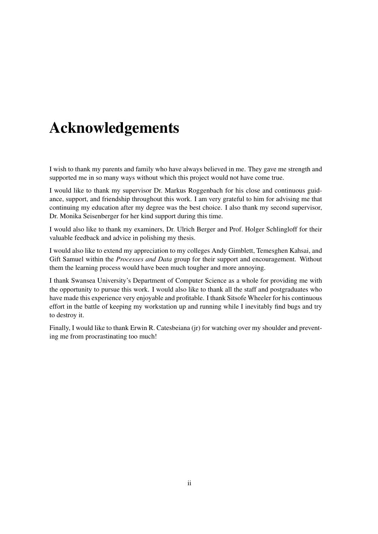## Acknowledgements

I wish to thank my parents and family who have always believed in me. They gave me strength and supported me in so many ways without which this project would not have come true.

I would like to thank my supervisor Dr. Markus Roggenbach for his close and continuous guidance, support, and friendship throughout this work. I am very grateful to him for advising me that continuing my education after my degree was the best choice. I also thank my second supervisor, Dr. Monika Seisenberger for her kind support during this time.

I would also like to thank my examiners, Dr. Ulrich Berger and Prof. Holger Schlingloff for their valuable feedback and advice in polishing my thesis.

I would also like to extend my appreciation to my colleges Andy Gimblett, Temesghen Kahsai, and Gift Samuel within the *Processes and Data* group for their support and encouragement. Without them the learning process would have been much tougher and more annoying.

I thank Swansea University's Department of Computer Science as a whole for providing me with the opportunity to pursue this work. I would also like to thank all the staff and postgraduates who have made this experience very enjoyable and profitable. I thank Sitsofe Wheeler for his continuous effort in the battle of keeping my workstation up and running while I inevitably find bugs and try to destroy it.

Finally, I would like to thank Erwin R. Catesbeiana (jr) for watching over my shoulder and preventing me from procrastinating too much!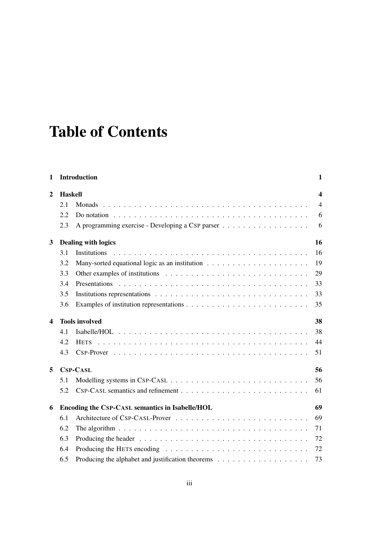# Table of Contents

| 1                       |                | <b>Introduction</b>                                                                                      | 1                |
|-------------------------|----------------|----------------------------------------------------------------------------------------------------------|------------------|
| 2                       | <b>Haskell</b> |                                                                                                          | $\boldsymbol{4}$ |
|                         | 2.1            |                                                                                                          | $\overline{4}$   |
|                         | 2.2            | Do notation $\ldots \ldots \ldots \ldots \ldots \ldots \ldots \ldots \ldots \ldots \ldots \ldots \ldots$ | 6                |
|                         | 2.3            | A programming exercise - Developing a CSP parser                                                         | 6                |
| 3                       |                | <b>Dealing with logics</b>                                                                               | 16               |
|                         | 3.1            |                                                                                                          | 16               |
|                         | 3.2            |                                                                                                          | 19               |
|                         | 3.3            |                                                                                                          | 29               |
|                         | 3.4            |                                                                                                          | 33               |
|                         | 3.5            |                                                                                                          | 33               |
|                         | 3.6            |                                                                                                          | 35               |
| $\overline{\mathbf{4}}$ |                | <b>Tools involved</b>                                                                                    | 38               |
|                         | 4.1            |                                                                                                          | 38               |
|                         | 4.2            |                                                                                                          | 44               |
|                         | 4.3            |                                                                                                          | 51               |
| 5                       |                | <b>CSP-CASL</b>                                                                                          | 56               |
|                         | 5.1            |                                                                                                          | 56               |
|                         | 5.2            |                                                                                                          | 61               |
| 6                       |                | Encoding the CSP-CASL semantics in Isabelle/HOL                                                          | 69               |
|                         | 6.1            |                                                                                                          | 69               |
|                         | 6.2            | The algorithm $\ldots \ldots \ldots \ldots \ldots \ldots \ldots \ldots \ldots \ldots \ldots \ldots$      | 71               |
|                         | 6.3            |                                                                                                          | 72               |
|                         | 6.4            |                                                                                                          | 72               |
|                         | 6.5            |                                                                                                          | 73               |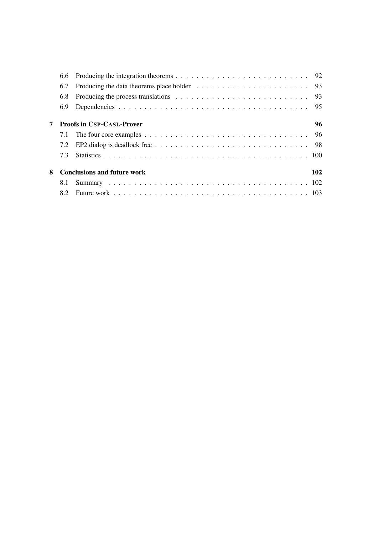|   | 6.7 | Producing the data theorems place holder $\ldots \ldots \ldots \ldots \ldots \ldots \ldots \ldots$ 93  |     |
|---|-----|--------------------------------------------------------------------------------------------------------|-----|
|   | 6.8 | Producing the process translations $\ldots \ldots \ldots \ldots \ldots \ldots \ldots \ldots \ldots$ 93 |     |
|   | 6.9 |                                                                                                        |     |
|   |     | <b>Proofs in CSP-CASL-Prover</b>                                                                       | 96  |
|   | 7.1 |                                                                                                        |     |
|   | 7.2 |                                                                                                        |     |
|   | 7.3 |                                                                                                        |     |
| 8 |     | <b>Conclusions and future work</b>                                                                     | 102 |
|   | 8.1 |                                                                                                        |     |
|   |     |                                                                                                        |     |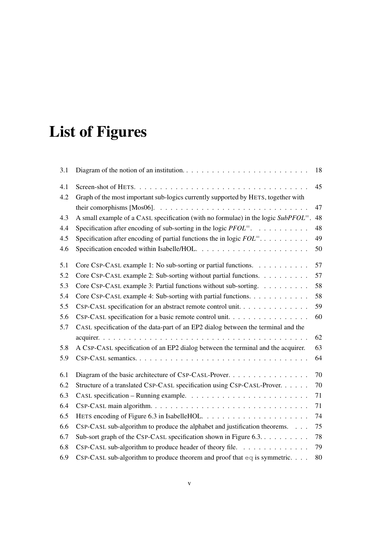# List of Figures

| 3.1 |                                                                                       | 18 |
|-----|---------------------------------------------------------------------------------------|----|
| 4.1 |                                                                                       | 45 |
| 4.2 | Graph of the most important sub-logics currently supported by HETS, together with     |    |
|     |                                                                                       | 47 |
| 4.3 | A small example of a CASL specification (with no formulae) in the logic $SubPFOL^=$ . | 48 |
| 4.4 | Specification after encoding of sub-sorting in the logic $PFOL^=$ .                   | 48 |
| 4.5 | Specification after encoding of partial functions the in logic $FOL^=$                | 49 |
| 4.6 |                                                                                       | 50 |
| 5.1 | Core CSP-CASL example 1: No sub-sorting or partial functions.                         | 57 |
| 5.2 | Core CSP-CASL example 2: Sub-sorting without partial functions.                       | 57 |
| 5.3 | Core CSP-CASL example 3: Partial functions without sub-sorting.                       | 58 |
| 5.4 | Core CSP-CASL example 4: Sub-sorting with partial functions.                          | 58 |
| 5.5 | CSP-CASL specification for an abstract remote control unit.                           | 59 |
| 5.6 | CSP-CASL specification for a basic remote control unit.                               | 60 |
| 5.7 | CASL specification of the data-part of an EP2 dialog between the terminal and the     |    |
|     |                                                                                       | 62 |
| 5.8 | A CSP-CASL specification of an EP2 dialog between the terminal and the acquirer.      | 63 |
| 5.9 |                                                                                       | 64 |
| 6.1 |                                                                                       | 70 |
| 6.2 | Structure of a translated CSP-CASL specification using CSP-CASL-Prover.               | 70 |
| 6.3 |                                                                                       | 71 |
| 6.4 |                                                                                       | 71 |
| 6.5 |                                                                                       | 74 |
| 6.6 | CSP-CASL sub-algorithm to produce the alphabet and justification theorems.            | 75 |
| 6.7 | Sub-sort graph of the CSP-CASL specification shown in Figure 6.3.                     | 78 |
| 6.8 | CSP-CASL sub-algorithm to produce header of theory file.                              | 79 |
| 6.9 | CSP-CASL sub-algorithm to produce theorem and proof that $eq$ is symmetric.           | 80 |
|     |                                                                                       |    |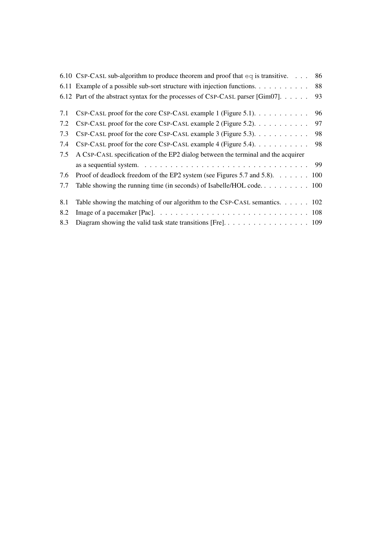|     | 6.10 CSP-CASL sub-algorithm to produce theorem and proof that $eq$ is transitive.                                     | 86 |
|-----|-----------------------------------------------------------------------------------------------------------------------|----|
|     |                                                                                                                       | 88 |
|     | 6.12 Part of the abstract syntax for the processes of CSP-CASL parser [Gim07].                                        | 93 |
| 7.1 | CSP-CASL proof for the core CSP-CASL example 1 (Figure 5.1).                                                          | 96 |
| 7.2 | CSP-CASL proof for the core CSP-CASL example 2 (Figure 5.2).                                                          | 97 |
| 7.3 | CSP-CASL proof for the core CSP-CASL example 3 (Figure 5.3).                                                          | 98 |
| 7.4 | CSP-CASL proof for the core CSP-CASL example 4 (Figure 5.4).                                                          | 98 |
| 7.5 | A CSP-CASL specification of the EP2 dialog between the terminal and the acquirer                                      |    |
|     | as a sequential system. $\ldots \ldots \ldots \ldots \ldots \ldots \ldots \ldots \ldots \ldots \ldots$ 99             |    |
| 7.6 | Proof of deadlock freedom of the EP2 system (see Figures 5.7 and 5.8). 100                                            |    |
| 7.7 |                                                                                                                       |    |
| 8.1 | Table showing the matching of our algorithm to the CSP-CASL semantics. $\dots$ . $102$                                |    |
| 8.2 | Image of a pacemaker [Pac]. $\ldots \ldots \ldots \ldots \ldots \ldots \ldots \ldots \ldots \ldots \ldots \ldots 108$ |    |
| 8.3 |                                                                                                                       |    |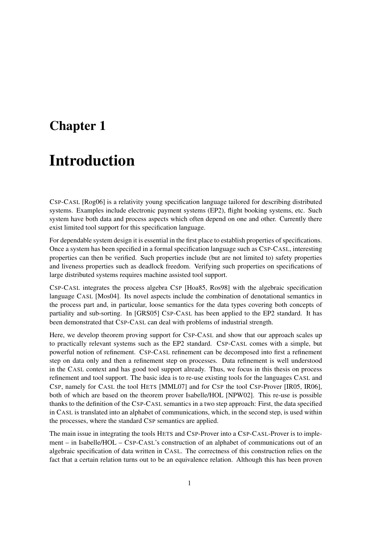## Chapter 1

## Introduction

CSP-CASL [Rog06] is a relativity young specification language tailored for describing distributed systems. Examples include electronic payment systems (EP2), flight booking systems, etc. Such system have both data and process aspects which often depend on one and other. Currently there exist limited tool support for this specification language.

For dependable system design it is essential in the first place to establish properties of specifications. Once a system has been specified in a formal specification language such as CSP-CASL, interesting properties can then be verified. Such properties include (but are not limited to) safety properties and liveness properties such as deadlock freedom. Verifying such properties on specifications of large distributed systems requires machine assisted tool support.

CSP-CASL integrates the process algebra CSP [Hoa85, Ros98] with the algebraic specification language CASL [Mos04]. Its novel aspects include the combination of denotational semantics in the process part and, in particular, loose semantics for the data types covering both concepts of partiality and sub-sorting. In [GRS05] CSP-CASL has been applied to the EP2 standard. It has been demonstrated that CSP-CASL can deal with problems of industrial strength.

Here, we develop theorem proving support for CSP-CASL and show that our approach scales up to practically relevant systems such as the EP2 standard. CSP-CASL comes with a simple, but powerful notion of refinement. CSP-CASL refinement can be decomposed into first a refinement step on data only and then a refinement step on processes. Data refinement is well understood in the CASL context and has good tool support already. Thus, we focus in this thesis on process refinement and tool support. The basic idea is to re-use existing tools for the languages CASL and CSP, namely for CASL the tool HETS [MML07] and for CSP the tool CSP-Prover [IR05, IR06], both of which are based on the theorem prover Isabelle/HOL [NPW02]. This re-use is possible thanks to the definition of the CSP-CASL semantics in a two step approach: First, the data specified in CASL is translated into an alphabet of communications, which, in the second step, is used within the processes, where the standard CSP semantics are applied.

The main issue in integrating the tools HETS and CSP-Prover into a CSP-CASL-Prover is to implement – in Isabelle/HOL – CSP-CASL's construction of an alphabet of communications out of an algebraic specification of data written in CASL. The correctness of this construction relies on the fact that a certain relation turns out to be an equivalence relation. Although this has been proven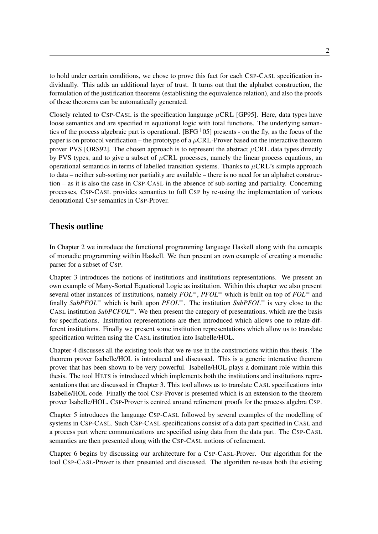to hold under certain conditions, we chose to prove this fact for each CSP-CASL specification individually. This adds an additional layer of trust. It turns out that the alphabet construction, the formulation of the justification theorems (establishing the equivalence relation), and also the proofs of these theorems can be automatically generated.

Closely related to CSP-CASL is the specification language  $\mu$ CRL [GP95]. Here, data types have loose semantics and are specified in equational logic with total functions. The underlying semantics of the process algebraic part is operational. [BFG+05] presents - on the fly, as the focus of the paper is on protocol verification – the prototype of a  $\mu$ CRL-Prover based on the interactive theorem prover PVS [ORS92]. The chosen approach is to represent the abstract  $\mu$ CRL data types directly by PVS types, and to give a subset of  $\mu$ CRL processes, namely the linear process equations, an operational semantics in terms of labelled transition systems. Thanks to  $\mu$ CRL's simple approach to data – neither sub-sorting nor partiality are available – there is no need for an alphabet construction – as it is also the case in CSP-CASL in the absence of sub-sorting and partiality. Concerning processes, CSP-CASL provides semantics to full CSP by re-using the implementation of various denotational CSP semantics in CSP-Prover.

## Thesis outline

In Chapter 2 we introduce the functional programming language Haskell along with the concepts of monadic programming within Haskell. We then present an own example of creating a monadic parser for a subset of CSP.

Chapter 3 introduces the notions of institutions and institutions representations. We present an own example of Many-Sorted Equational Logic as institution. Within this chapter we also present several other instances of institutions, namely *FOL*=, *PFOL*<sup>=</sup> which is built on top of *FOL*<sup>=</sup> and finally *SubPFOL*<sup>=</sup> which is built upon *PFOL*=. The institution *SubPFOL*<sup>=</sup> is very close to the CASL institution *SubPCFOL*<sup>=</sup>. We then present the category of presentations, which are the basis for specifications. Institution representations are then introduced which allows one to relate different institutions. Finally we present some institution representations which allow us to translate specification written using the CASL institution into Isabelle/HOL.

Chapter 4 discusses all the existing tools that we re-use in the constructions within this thesis. The theorem prover Isabelle/HOL is introduced and discussed. This is a generic interactive theorem prover that has been shown to be very powerful. Isabelle/HOL plays a dominant role within this thesis. The tool HETS is introduced which implements both the institutions and institutions representations that are discussed in Chapter 3. This tool allows us to translate CASL specifications into Isabelle/HOL code. Finally the tool CSP-Prover is presented which is an extension to the theorem prover Isabelle/HOL. CSP-Prover is centred around refinement proofs for the process algebra CSP.

Chapter 5 introduces the language CSP-CASL followed by several examples of the modelling of systems in CSP-CASL. Such CSP-CASL specifications consist of a data part specified in CASL and a process part where communications are specified using data from the data part. The CSP-CASL semantics are then presented along with the CSP-CASL notions of refinement.

Chapter 6 begins by discussing our architecture for a CSP-CASL-Prover. Our algorithm for the tool CSP-CASL-Prover is then presented and discussed. The algorithm re-uses both the existing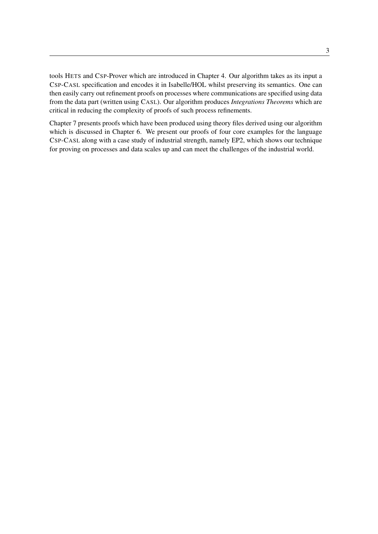tools HETS and CSP-Prover which are introduced in Chapter 4. Our algorithm takes as its input a CSP-CASL specification and encodes it in Isabelle/HOL whilst preserving its semantics. One can then easily carry out refinement proofs on processes where communications are specified using data from the data part (written using CASL). Our algorithm produces *Integrations Theorems* which are critical in reducing the complexity of proofs of such process refinements.

Chapter 7 presents proofs which have been produced using theory files derived using our algorithm which is discussed in Chapter 6. We present our proofs of four core examples for the language CSP-CASL along with a case study of industrial strength, namely EP2, which shows our technique for proving on processes and data scales up and can meet the challenges of the industrial world.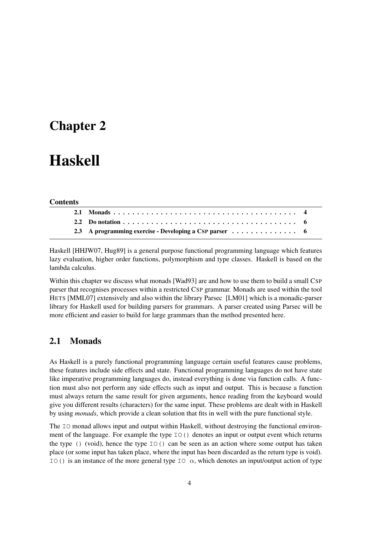## Chapter 2

# Haskell

#### **Contents**

| 2.3 A programming exercise - Developing a CSP parser 6 |  |
|--------------------------------------------------------|--|

Haskell [HHJW07, Hug89] is a general purpose functional programming language which features lazy evaluation, higher order functions, polymorphism and type classes. Haskell is based on the lambda calculus.

Within this chapter we discuss what monads [Wad93] are and how to use them to build a small CSP parser that recognises processes within a restricted CSP grammar. Monads are used within the tool HETS [MML07] extensively and also within the library Parsec [LM01] which is a monadic-parser library for Haskell used for building parsers for grammars. A parser created using Parsec will be more efficient and easier to build for large grammars than the method presented here.

### 2.1 Monads

As Haskell is a purely functional programming language certain useful features cause problems, these features include side effects and state. Functional programming languages do not have state like imperative programming languages do, instead everything is done via function calls. A function must also not perform any side effects such as input and output. This is because a function must always return the same result for given arguments, hence reading from the keyboard would give you different results (characters) for the same input. These problems are dealt with in Haskell by using *monads*, which provide a clean solution that fits in well with the pure functional style.

The IO monad allows input and output within Haskell, without destroying the functional environment of the language. For example the type  $I \circ ( )$  denotes an input or output event which returns the type () (void), hence the type  $IO($ ) can be seen as an action where some output has taken place (or some input has taken place, where the input has been discarded as the return type is void). IO() is an instance of the more general type IO  $\alpha$ , which denotes an input/output action of type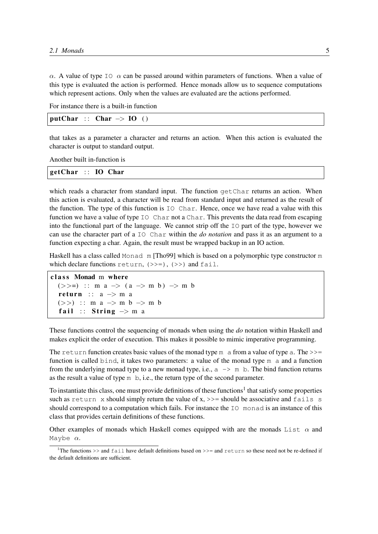$\alpha$ . A value of type IO  $\alpha$  can be passed around within parameters of functions. When a value of this type is evaluated the action is performed. Hence monads allow us to sequence computations which represent actions. Only when the values are evaluated are the actions performed.

For instance there is a built-in function

 $putChar : : Char \rightarrow IO ()$ 

that takes as a parameter a character and returns an action. When this action is evaluated the character is output to standard output.

Another built in-function is

ge tChar : : IO Char

which reads a character from standard input. The function getChar returns an action. When this action is evaluated, a character will be read from standard input and returned as the result of the function. The type of this function is IO Char. Hence, once we have read a value with this function we have a value of type IO Char not a Char. This prevents the data read from escaping into the functional part of the language. We cannot strip off the IO part of the type, however we can use the character part of a IO Char within the *do notation* and pass it as an argument to a function expecting a char. Again, the result must be wrapped backup in an IO action.

Haskell has a class called Monad m [Tho99] which is based on a polymorphic type constructor m which declare functions return,  $(\gg)=$ ),  $(\gg)$  and fail.

```
class Monad m where
  (>>=) :: m a -> (a -> m b) -> m b
  return :: a \rightarrow m a(\gg) :: m a -> m b -> m b
  fail :: String \rightarrow m a
```
These functions control the sequencing of monads when using the *do* notation within Haskell and makes explicit the order of execution. This makes it possible to mimic imperative programming.

The return function creates basic values of the monad type  $m$  a from a value of type a. The  $\gg$ = function is called bind, it takes two parameters: a value of the monad type  $m$  a and a function from the underlying monad type to a new monad type, i.e.,  $a \rightarrow m$  b. The bind function returns as the result a value of type m b, i.e., the return type of the second parameter.

To instantiate this class, one must provide definitions of these functions<sup>1</sup> that satisfy some properties such as return x should simply return the value of x,  $\gg$  = should be associative and fails s should correspond to a computation which fails. For instance the IO monad is an instance of this class that provides certain definitions of these functions.

Other examples of monads which Haskell comes equipped with are the monads List  $\alpha$  and Maybe  $\alpha$ .

<sup>&</sup>lt;sup>1</sup>The functions >> and fail have default definitions based on >>= and return so these need not be re-defined if the default definitions are sufficient.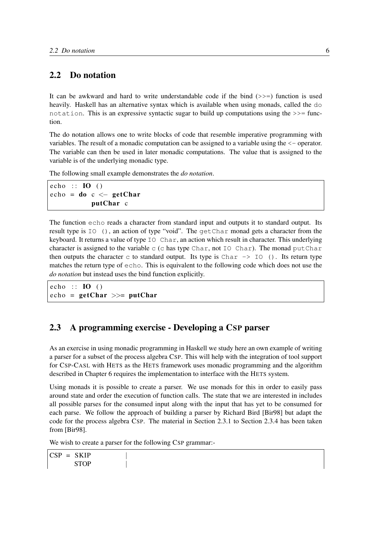## 2.2 Do notation

It can be awkward and hard to write understandable code if the bind  $(\gg=)$  function is used heavily. Haskell has an alternative syntax which is available when using monads, called the do notation. This is an expressive syntactic sugar to build up computations using the  $\gg$ = function.

The do notation allows one to write blocks of code that resemble imperative programming with variables. The result of a monadic computation can be assigned to a variable using the <- operator. The variable can then be used in later monadic computations. The value that is assigned to the variable is of the underlying monadic type.

The following small example demonstrates the *do notation*.

echo ::  $IO$  ()  $echo = do c \leftarrow getChar$ putChar c

The function echo reads a character from standard input and outputs it to standard output. Its result type is IO (), an action of type "void". The getChar monad gets a character from the keyboard. It returns a value of type IO Char, an action which result in character. This underlying character is assigned to the variable c (c has type Char, not IO Char). The monad putChar then outputs the character c to standard output. Its type is Char  $\rightarrow$  IO (). Its return type matches the return type of echo. This is equivalent to the following code which does not use the *do notation* but instead uses the bind function explicitly.

echo ::  $IO$  ()  $echo = getChar \gg = putChar$ 

### 2.3 A programming exercise - Developing a CSP parser

As an exercise in using monadic programming in Haskell we study here an own example of writing a parser for a subset of the process algebra CSP. This will help with the integration of tool support for CSP-CASL with HETS as the HETS framework uses monadic programming and the algorithm described in Chapter 6 requires the implementation to interface with the HETS system.

Using monads it is possible to create a parser. We use monads for this in order to easily pass around state and order the execution of function calls. The state that we are interested in includes all possible parses for the consumed input along with the input that has yet to be consumed for each parse. We follow the approach of building a parser by Richard Bird [Bir98] but adapt the code for the process algebra CSP. The material in Section 2.3.1 to Section 2.3.4 has been taken from [Bir98].

We wish to create a parser for the following CSP grammar:-

 $CSP = SKIP$ STOP |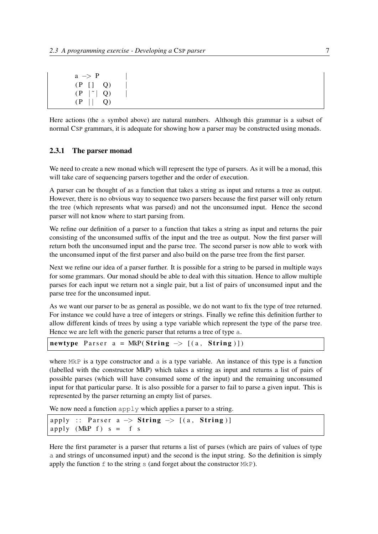| $\rightarrow$<br>a  | P  |
|---------------------|----|
| $(P \mid \cdot)$    | O) |
| ( P<br>$\mathbf{L}$ | Q) |
| ( P                 | O) |

Here actions (the a symbol above) are natural numbers. Although this grammar is a subset of normal CSP grammars, it is adequate for showing how a parser may be constructed using monads.

#### 2.3.1 The parser monad

We need to create a new monad which will represent the type of parsers. As it will be a monad, this will take care of sequencing parsers together and the order of execution.

A parser can be thought of as a function that takes a string as input and returns a tree as output. However, there is no obvious way to sequence two parsers because the first parser will only return the tree (which represents what was parsed) and not the unconsumed input. Hence the second parser will not know where to start parsing from.

We refine our definition of a parser to a function that takes a string as input and returns the pair consisting of the unconsumed suffix of the input and the tree as output. Now the first parser will return both the unconsumed input and the parse tree. The second parser is now able to work with the unconsumed input of the first parser and also build on the parse tree from the first parser.

Next we refine our idea of a parser further. It is possible for a string to be parsed in multiple ways for some grammars. Our monad should be able to deal with this situation. Hence to allow multiple parses for each input we return not a single pair, but a list of pairs of unconsumed input and the parse tree for the unconsumed input.

As we want our parser to be as general as possible, we do not want to fix the type of tree returned. For instance we could have a tree of integers or strings. Finally we refine this definition further to allow different kinds of trees by using a type variable which represent the type of the parse tree. Hence we are left with the generic parser that returns a tree of type a.

| <b>newtype</b> Parser $a = MkP(Suring \rightarrow [(a, String)]$ |  |
|------------------------------------------------------------------|--|
|------------------------------------------------------------------|--|

where MkP is a type constructor and a is a type variable. An instance of this type is a function (labelled with the constructor MkP) which takes a string as input and returns a list of pairs of possible parses (which will have consumed some of the input) and the remaining unconsumed input for that particular parse. It is also possible for a parser to fail to parse a given input. This is represented by the parser returning an empty list of parses.

We now need a function apply which applies a parser to a string.

|                         | apply :: Parser $a \rightarrow$ String $\rightarrow$ [(a, String)] |  |
|-------------------------|--------------------------------------------------------------------|--|
| apply $(MkP f) s = f s$ |                                                                    |  |

Here the first parameter is a parser that returns a list of parses (which are pairs of values of type a and strings of unconsumed input) and the second is the input string. So the definition is simply apply the function  $f$  to the string s (and forget about the constructor  $MkP$ ).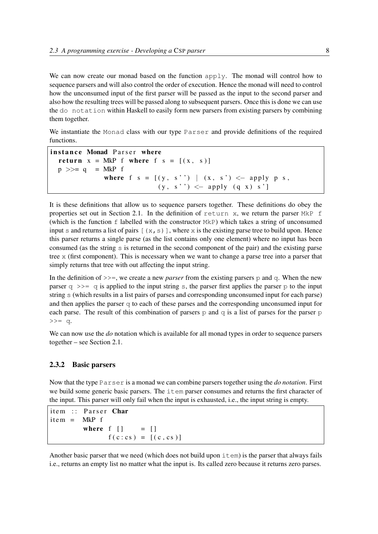We can now create our monad based on the function apply. The monad will control how to sequence parsers and will also control the order of execution. Hence the monad will need to control how the unconsumed input of the first parser will be passed as the input to the second parser and also how the resulting trees will be passed along to subsequent parsers. Once this is done we can use the do notation within Haskell to easily form new parsers from existing parsers by combining them together.

We instantiate the Monad class with our type Parser and provide definitions of the required functions.

```
instance Monad Parser where
  return x = MkP f where f s = [(x, s)]p \gg = q = MkP f
             where f(s = [(y, s'') | (x, s') < - apply p s,
                          (y, s'') \leq apply (q x) s'
```
It is these definitions that allow us to sequence parsers together. These definitions do obey the properties set out in Section 2.1. In the definition of return x, we return the parser  $MkP$  f (which is the function  $f$  labelled with the constructor  $MkP$ ) which takes a string of unconsumed input s and returns a list of pairs  $[(x, s)]$ , where x is the existing parse tree to build upon. Hence this parser returns a single parse (as the list contains only one element) where no input has been consumed (as the string s is returned in the second component of the pair) and the existing parse tree x (first component). This is necessary when we want to change a parse tree into a parser that simply returns that tree with out affecting the input string.

In the definition of  $\gg$ =, we create a new *parser* from the existing parsers p and q. When the new parser  $q \gg$  q is applied to the input string s, the parser first applies the parser p to the input string s (which results in a list pairs of parses and corresponding unconsumed input for each parse) and then applies the parser  $q$  to each of these parses and the corresponding unconsumed input for each parse. The result of this combination of parsers  $p$  and  $q$  is a list of parses for the parser  $p$  $\Rightarrow$  = q.

We can now use the *do* notation which is available for all monad types in order to sequence parsers together – see Section 2.1.

#### 2.3.2 Basic parsers

Now that the type Parser is a monad we can combine parsers together using the *do notation*. First we build some generic basic parsers. The item parser consumes and returns the first character of the input. This parser will only fail when the input is exhausted, i.e., the input string is empty.

```
item :: Parser Char
it em = MkP f
         where f \mid \mid = \mid \midf(c: cs) = [(c, cs)]
```
Another basic parser that we need (which does not build upon  $i$ tem) is the parser that always fails i.e., returns an empty list no matter what the input is. Its called zero because it returns zero parses.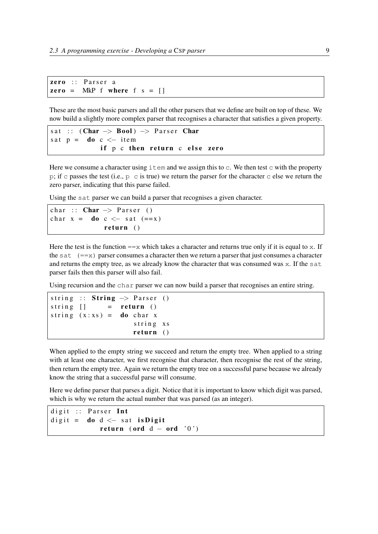```
zero :: Parse <math>r</math> azero = MkP f where f s = []
```
These are the most basic parsers and all the other parsers that we define are built on top of these. We now build a slightly more complex parser that recognises a character that satisfies a given property.

```
sat :: (Char \rightarrow Bool) \Rightarrow Parser Char
sat p = do c \le - item
              if p c then return c else zero
```
Here we consume a character using  $\pm \epsilon$ m and we assign this to  $\epsilon$ . We then test  $\epsilon$  with the property p; if c passes the test (i.e.,  $p \circ c$  is true) we return the parser for the character c else we return the zero parser, indicating that this parse failed.

Using the sat parser we can build a parser that recognises a given character.

```
char :: Char \rightarrow Parser ()
char x = do c \le - sat (==x)return ()
```
Here the test is the function  $=\equiv x$  which takes a character and returns true only if it is equal to x. If the sat  $(==x)$  parser consumes a character then we return a parser that just consumes a character and returns the empty tree, as we already know the character that was consumed was x. If the sat parser fails then this parser will also fail.

Using recursion and the char parser we can now build a parser that recognises an entire string.

```
string :: String \rightarrow Parser ()
string \begin{bmatrix} \end{bmatrix} = return ()
string (x:xs) = do char xstring xs
                          return ()
```
When applied to the empty string we succeed and return the empty tree. When applied to a string with at least one character, we first recognise that character, then recognise the rest of the string, then return the empty tree. Again we return the empty tree on a successful parse because we already know the string that a successful parse will consume.

Here we define parser that parses a digit. Notice that it is important to know which digit was parsed, which is why we return the actual number that was parsed (as an integer).

```
digit :: Parser Int
digit = \bf{do} d \lt sat is Digit
             return (ord d - ord '0')
```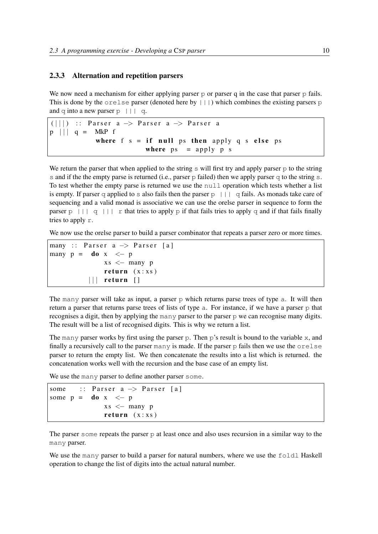#### 2.3.3 Alternation and repetition parsers

We now need a mechanism for either applying parser  $p$  or parser q in the case that parser  $p$  fails. This is done by the  $\text{orel}$  se parser (denoted here by  $| \cdot | \cdot |$ ) which combines the existing parsers p and q into a new parser  $p \mid | \mid q$ .

```
(|||) :: Parser a -> Parser a -> Parser a
p \mid \mid \mid q = MkP fwhere f s = if null ps then apply q s else ps
                        where ps = apply p s
```
We return the parser that when applied to the string  $\bar{s}$  will first try and apply parser  $\bar{p}$  to the string s and if the the empty parse is returned (i.e., parser  $p$  failed) then we apply parser  $q$  to the string s. To test whether the empty parse is returned we use the null operation which tests whether a list is empty. If parser q applied to s also fails then the parser  $p \mid | \cdot |$  q fails. As monads take care of sequencing and a valid monad is associative we can use the orelse parser in sequence to form the parser p ||| q ||| r that tries to apply p if that fails tries to apply q and if that fails finally tries to apply r.

We now use the orelse parser to build a parser combinator that repeats a parser zero or more times.

```
many :: Parser a \rightarrow Parser [a]
many p = do x \le -pxs < - many p
               return (x:xs)|| \cdot || return ||
```
The many parser will take as input, a parser  $p$  which returns parse trees of type a. It will then return a parser that returns parse trees of lists of type a. For instance, if we have a parser p that recognises a digit, then by applying the many parser to the parser p we can recognise many digits. The result will be a list of recognised digits. This is why we return a list.

The many parser works by first using the parser p. Then p's result is bound to the variable x, and finally a recursively call to the parser many is made. If the parser p fails then we use the orelse parser to return the empty list. We then concatenate the results into a list which is returned. the concatenation works well with the recursion and the base case of an empty list.

We use the many parser to define another parser some.

```
some :: Parser a \rightarrow Parser [a]
some p = do x \le -pxs < - many p
              return (x : xs)
```
The parser some repeats the parser  $\infty$  at least once and also uses recursion in a similar way to the many parser.

We use the many parser to build a parser for natural numbers, where we use the foldl Haskell operation to change the list of digits into the actual natural number.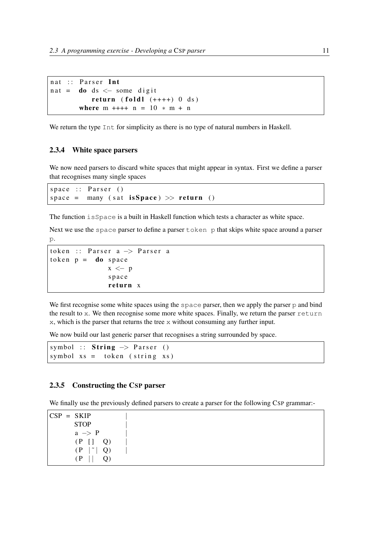$nat ::$  Parser Int n at =  $\bf{d}$ o ds  $\lt$  some digit return (foldl  $(++++)$  0 ds) where  $m + + + + n = 10 * m + n$ 

We return the type Int for simplicity as there is no type of natural numbers in Haskell.

#### 2.3.4 White space parsers

We now need parsers to discard white spaces that might appear in syntax. First we define a parser that recognises many single spaces

 $space :: Parse r$  () space = many (sat is Space)  $\gg$  return ()

The function isSpace is a built in Haskell function which tests a character as white space.

Next we use the space parser to define a parser to ken p that skips white space around a parser  $\mathcal{D}$ .

```
token :: Parser a \rightarrow Parser a
token p = do space
                x \le -pspace
                return x
```
We first recognise some white spaces using the space parser, then we apply the parser p and bind the result to x. We then recognise some more white spaces. Finally, we return the parser return x, which is the parser that returns the tree x without consuming any further input.

We now build our last generic parser that recognises a string surrounded by space.

```
symbol :: String \rightarrow Parser ()
symbol xs = token (string xs)
```
#### 2.3.5 Constructing the CSP parser

We finally use the previously defined parsers to create a parser for the following CSP grammar:-

 $CSP = SKIP$ STOP |  $a \rightarrow P$  $(P [ ] Q)$  $(P \mid \tilde{\ })$  Q)  $(P \mid \mid \mid Q)$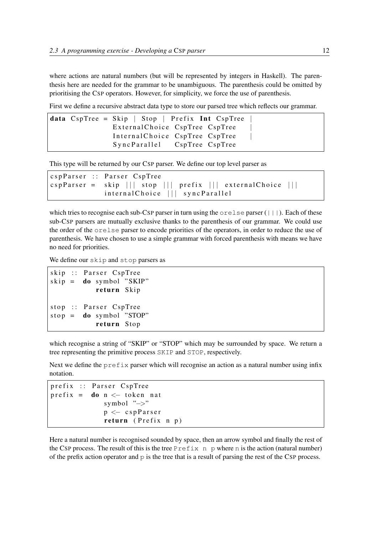where actions are natural numbers (but will be represented by integers in Haskell). The parenthesis here are needed for the grammar to be unambiguous. The parenthesis could be omitted by prioritising the CSP operators. However, for simplicity, we force the use of parenthesis.

First we define a recursive abstract data type to store our parsed tree which reflects our grammar.

```
data CspTree = Skip | Stop | Prefix Int CspTree
               External Choice CspTree CspTree
               Internal Choice CspTree CspTree
               SyncParallel CspTree CspTree
```
This type will be returned by our CSP parser. We define our top level parser as

```
c sp Parser :: Parser C sp Tree
c s p P arser = skip ||| stop ||| prefix ||| external Choice |||internal Choice | | | sync Parallel
```
which tries to recognise each sub-CSP parser in turn using the  $\text{orelse parser}(||\cdot||)$ . Each of these sub-CSP parsers are mutually exclusive thanks to the parenthesis of our grammar. We could use the order of the orelse parser to encode priorities of the operators, in order to reduce the use of parenthesis. We have chosen to use a simple grammar with forced parenthesis with means we have no need for priorities.

We define our skip and stop parsers as

```
skip :: Parser CspTree
skip = do symbol "SKIP"
           return Skip
stop :: Parser CspTree
stop = do symbol "STOP"return Stop
```
which recognise a string of "SKIP" or "STOP" which may be surrounded by space. We return a tree representing the primitive process SKIP and STOP, respectively.

Next we define the  $prefix$  parser which will recognise an action as a natural number using infix notation.

```
prefix :: Parser CspTree
\text{prefix} = \text{do} n \leq \text{token} \text{nat}symbol "−>"
                 p <− c s p P a r s e r
                  return (Prefix n p)
```
Here a natural number is recognised sounded by space, then an arrow symbol and finally the rest of the CSP process. The result of this is the tree  $Prefix$  n p where n is the action (natural number) of the prefix action operator and  $p$  is the tree that is a result of parsing the rest of the CSP process.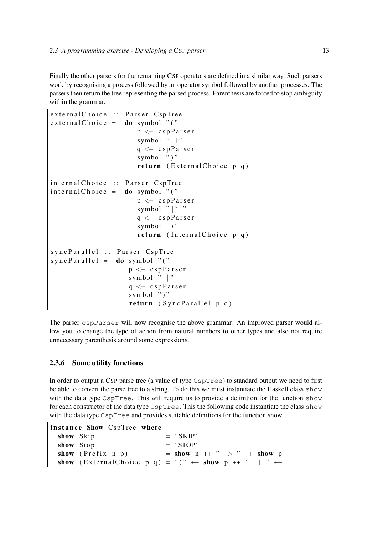Finally the other parsers for the remaining CSP operators are defined in a similar way. Such parsers work by recognising a process followed by an operator symbol followed by another processes. The parsers then return the tree representing the parsed process. Parenthesis are forced to stop ambiguity within the grammar.

```
external Choice :: Parser CspTree
ext{ernalChoice} = do symbol "(""p <− c s p P a r s e r
                       symbol "\lceil]"
                       q \lt cspParser
                       symbol ")"
                       return (ExternalChoice p q)internal Choice :: Parser CspTree
intervalChoice = do symbol "(""p <− cspParser
                       symbol "|" |"
                       q \lt cspParser
                       symbol ""
                       return (Internal Choice p q)
syncParallel :: Parser CspTree
syncParallel = do symbol " ("p <− cspParser
                    symbol "||"
                    q \leftarrow cs pPars er
                    symbol ")"
                    return (SyncParallel p q)
```
The parser cspParser will now recognise the above grammar. An improved parser would allow you to change the type of action from natural numbers to other types and also not require unnecessary parenthesis around some expressions.

### 2.3.6 Some utility functions

In order to output a CSP parse tree (a value of type CspTree) to standard output we need to first be able to convert the parse tree to a string. To do this we must instantiate the Haskell class show with the data type CspTree. This will require us to provide a definition for the function show for each constructor of the data type CspTree. This the following code instantiate the class show with the data type CspTree and provides suitable definitions for the function show.

```
instance Show CspTree where
  \mathbf{show} \quad \mathbf{skip} \quad = \quad " \mathbf{SKIP}"\mathbf{show} \quad \mathbf{Stop} \qquad = \quad "STOP"show (Prefix n p) = show n ++ " \rightarrow " ++ show p
  show (External Choice p q) = "(" ++ show p ++ " \lceil " ++
```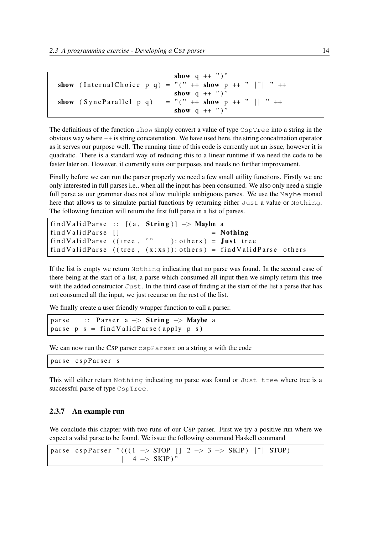```
show q ++ "")"
show (Internal Choice p q) = "(" ++ show p ++ " |" | " ++
                           show q ++ ")"
show (SyncParallel p q) = "(" ++ show p ++ " || " ++
                            show q + """"
```
The definitions of the function show simply convert a value of type  $CspTree$  into a string in the obvious way where ++ is string concatenation. We have used here, the string concatination operator as it serves our purpose well. The running time of this code is currently not an issue, however it is quadratic. There is a standard way of reducing this to a linear runtime if we need the code to be faster later on. However, it currently suits our purposes and needs no further improvement.

Finally before we can run the parser properly we need a few small utility functions. Firstly we are only interested in full parses i.e., when all the input has been consumed. We also only need a single full parse as our grammar does not allow multiple ambiguous parses. We use the Maybe monad here that allows us to simulate partial functions by returning either Just a value or Nothing. The following function will return the first full parse in a list of parses.

```
find Valid Parse :: [(a, String)] \rightarrow Maybe a
find Value Parse [ ] = Nothing
find Value Parse ((tree, "" ): others) = Just tree
find Valid Parse (( tree, (x:xs)): others ) = find Valid Parse others
```
If the list is empty we return Nothing indicating that no parse was found. In the second case of there being at the start of a list, a parse which consumed all input then we simply return this tree with the added constructor Just. In the third case of finding at the start of the list a parse that has not consumed all the input, we just recurse on the rest of the list.

We finally create a user friendly wrapper function to call a parser.

```
parse :: Parser a \rightarrow String \rightarrow Maybe a
parse p s = find ValidParse(\napply p s)
```
We can now run the CSP parser cspParser on a string s with the code

```
parse cspParser s
```
This will either return Nothing indicating no parse was found or Just tree where tree is a successful parse of type CspTree.

#### 2.3.7 An example run

We conclude this chapter with two runs of our CSP parser. First we try a positive run where we expect a valid parse to be found. We issue the following command Haskell command

```
parse cspParser "(((1 \rightarrow STOP \mid 2 \rightarrow 3 \rightarrow SKIP) \mid \text{`} \mid STOP)|| 4 - > SKIP)"
```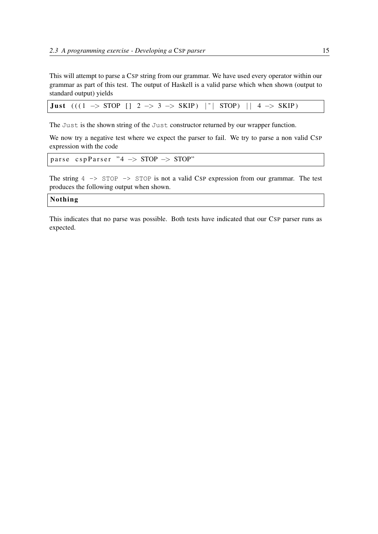This will attempt to parse a CSP string from our grammar. We have used every operator within our grammar as part of this test. The output of Haskell is a valid parse which when shown (output to standard output) yields

**Just**  $(((1 \rightarrow STOP \mid 2 \rightarrow 3 \rightarrow SKIP) \mid \text{`} \mid STOP) \mid 4 \rightarrow SKIP)$ 

The Just is the shown string of the Just constructor returned by our wrapper function.

We now try a negative test where we expect the parser to fail. We try to parse a non valid CSP expression with the code

```
parse cspParser "4 \rightarrow STOP \rightarrow STOP"
```
The string  $4 \rightarrow$  STOP  $\rightarrow$  STOP is not a valid CSP expression from our grammar. The test produces the following output when shown.

#### **Nothing**

This indicates that no parse was possible. Both tests have indicated that our CSP parser runs as expected.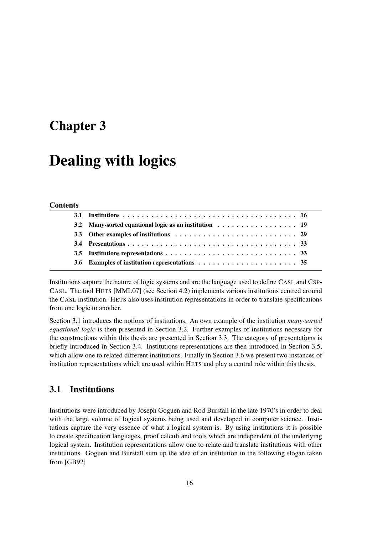## Chapter 3

## Dealing with logics

#### Contents

Institutions capture the nature of logic systems and are the language used to define CASL and CSP-CASL. The tool HETS [MML07] (see Section 4.2) implements various institutions centred around the CASL institution. HETS also uses institution representations in order to translate specifications from one logic to another.

Section 3.1 introduces the notions of institutions. An own example of the institution *many-sorted equational logic* is then presented in Section 3.2. Further examples of institutions necessary for the constructions within this thesis are presented in Section 3.3. The category of presentations is briefly introduced in Section 3.4. Institutions representations are then introduced in Section 3.5, which allow one to related different institutions. Finally in Section 3.6 we present two instances of institution representations which are used within HETS and play a central role within this thesis.

## 3.1 Institutions

Institutions were introduced by Joseph Goguen and Rod Burstall in the late 1970's in order to deal with the large volume of logical systems being used and developed in computer science. Institutions capture the very essence of what a logical system is. By using institutions it is possible to create specification languages, proof calculi and tools which are independent of the underlying logical system. Institution representations allow one to relate and translate institutions with other institutions. Goguen and Burstall sum up the idea of an institution in the following slogan taken from [GB92]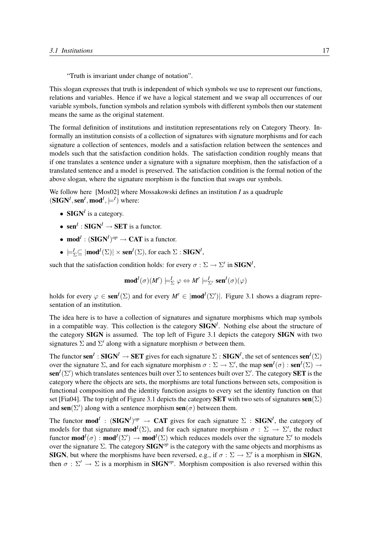"Truth is invariant under change of notation".

This slogan expresses that truth is independent of which symbols we use to represent our functions, relations and variables. Hence if we have a logical statement and we swap all occurrences of our variable symbols, function symbols and relation symbols with different symbols then our statement means the same as the original statement.

The formal definition of institutions and institution representations rely on Category Theory. Informally an institution consists of a collection of signatures with signature morphisms and for each signature a collection of sentences, models and a satisfaction relation between the sentences and models such that the satisfaction condition holds. The satisfaction condition roughly means that if one translates a sentence under a signature with a signature morphism, then the satisfaction of a translated sentence and a model is preserved. The satisfaction condition is the formal notion of the above slogan, where the signature morphism is the function that swaps our symbols.

We follow here [Mos02] where Mossakowski defines an institution *I* as a quadruple  $(SIGN<sup>I</sup>, sen<sup>I</sup>, mod<sup>I</sup>, \models<sup>I</sup>)$  where:

- $\textbf{SIGN}^I$  is a category.
- sen<sup>*I*</sup> : SIGN<sup>*I*</sup>  $\rightarrow$  SET is a functor.
- mod<sup>*I*</sup> :  $(SIGN<sup>I</sup>)<sup>op</sup> \rightarrow CAT$  is a functor.
- $\bullet \models_{\Sigma}^{\mathcal{I}} \subseteq |\text{mod}^{\mathcal{I}}(\Sigma)| \times \text{sen}^{\mathcal{I}}(\Sigma)$ , for each  $\Sigma : \text{SIGN}^{\mathcal{I}}$ ,

such that the satisfaction condition holds: for every  $\sigma : \Sigma \to \Sigma'$  in **SIGN<sup>I</sup>**,

$$
\operatorname{mod}^I(\sigma)(M')\models^I_\Sigma \varphi \Leftrightarrow M'\models^I_{\Sigma'} \operatorname{sen}^I(\sigma)(\varphi)
$$

holds for every  $\varphi \in \text{sen}^I(\Sigma)$  and for every  $M' \in |\text{mod}^I(\Sigma')|$ . Figure 3.1 shows a diagram representation of an institution.

The idea here is to have a collection of signatures and signature morphisms which map symbols in a compatible way. This collection is the category SIGN*<sup>I</sup>* . Nothing else about the structure of the category SIGN is assumed. The top left of Figure 3.1 depicts the category SIGN with two signatures  $\Sigma$  and  $\Sigma'$  along with a signature morphism  $\sigma$  between them.

The functor sen<sup>*I*</sup> : SIGN<sup>*I*</sup>  $\to$  SET gives for each signature  $\Sigma$  : SIGN<sup>*I*</sup>, the set of sentences sen<sup>*I*</sup>( $\Sigma$ ) over the signature  $\Sigma$ , and for each signature morphism  $\sigma : \Sigma \to \Sigma'$ , the map sen<sup>*I*</sup>( $\sigma$ ) : sen<sup>*I*</sup>( $\Sigma$ )  $\to$  $\mathbf{sen}^I(\Sigma')$  which translates sentences built over  $\Sigma$  to sentences built over  $\Sigma'$ . The category **SET** is the category where the objects are sets, the morphisms are total functions between sets, composition is functional composition and the identity function assigns to every set the identity function on that set [Fia04]. The top right of Figure 3.1 depicts the category **SET** with two sets of signatures  $\text{sen}(\Sigma)$ and sen( $\Sigma'$ ) along with a sentence morphism sen( $\sigma$ ) between them.

The functor  $\mathbf{mod}^I$ :  $(\mathbf{SIGN}^I)^{op} \to \mathbf{CAT}$  gives for each signature  $\Sigma$ :  $\mathbf{SIGN}^I$ , the category of models for that signature **mod**<sup>*I*</sup>( $\Sigma$ ), and for each signature morphism  $\sigma : \Sigma \to \Sigma'$ , the reduct functor  $mod^I(\sigma) : mod^I(\Sigma') \to mod^I(\Sigma)$  which reduces models over the signature  $\Sigma'$  to models over the signature  $\Sigma$ . The category  $\text{SIGN}^{\text{op}}$  is the category with the same objects and morphisms as **SIGN**, but where the morphisms have been reversed, e.g., if  $\sigma : \Sigma \to \Sigma'$  is a morphism in **SIGN**, then  $\sigma : \Sigma' \to \Sigma$  is a morphism in **SIGN**<sup>op</sup>. Morphism composition is also reversed within this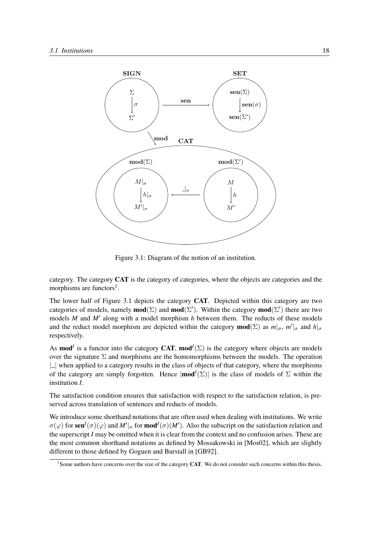

Figure 3.1: Diagram of the notion of an institution.

category. The category CAT is the category of categories, where the objects are categories and the morphisms are functors<sup>1</sup>.

The lower half of Figure 3.1 depicts the category CAT. Depicted within this category are two categories of models, namely  $mod(\Sigma)$  and  $mod(\Sigma')$ . Within the category  $mod(\Sigma')$  there are two models  $M$  and  $M'$  along with a model morphism  $h$  between them. The reducts of these models and the reduct model morphism are depicted within the category **mod**( $\Sigma$ ) as  $m|_{\sigma}$ ,  $m'|_{\sigma}$  and  $h|_{\sigma}$ respectively.

As **mod**<sup>*I*</sup> is a functor into the category **CAT**, **mod**<sup>*I*</sup>( $\Sigma$ ) is the category where objects are models over the signature  $\Sigma$  and morphisms are the homomorphisms between the models. The operation  $|\_$  when applied to a category results in the class of objects of that category, where the morphisms of the category are simply forgotten. Hence  $|\text{mod}^{\mathcal{I}}(\Sigma)|$  is the class of models of  $\Sigma$  within the institution *I*.

The satisfaction condition ensures that satisfaction with respect to the satisfaction relation, is preserved across translation of sentences and reducts of models.

We introduce some shorthand notations that are often used when dealing with institutions. We write  $\sigma(\varphi)$  for sen<sup>*I*</sup>( $\sigma$ )( $\varphi$ ) and *M'* |<sub> $\sigma$ </sub> for mod<sup>*I*</sup>( $\sigma$ )(*M'*). Also the subscript on the satisfaction relation and the superscript *I* may be omitted when it is clear from the context and no confusion arises. These are the most common shorthand notations as defined by Mossakowski in [Mos02], which are slightly different to those defined by Goguen and Burstall in [GB92].

<sup>&</sup>lt;sup>1</sup> Some authors have concerns over the size of the category CAT. We do not consider such concerns within this thesis.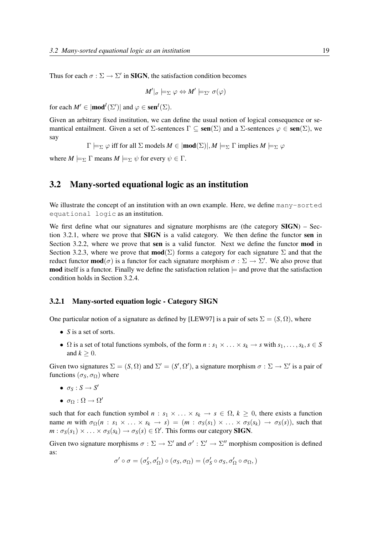Thus for each  $\sigma : \Sigma \to \Sigma'$  in **SIGN**, the satisfaction condition becomes

$$
M'|_{\sigma} \models_{\Sigma} \varphi \Leftrightarrow M' \models_{\Sigma'} \sigma(\varphi)
$$

for each  $M' \in |\text{mod}^I(\Sigma')|$  and  $\varphi \in \text{sen}^I(\Sigma)$ .

Given an arbitrary fixed institution, we can define the usual notion of logical consequence or semantical entailment. Given a set of  $\Sigma$ -sentences  $\Gamma \subseteq \text{sen}(\Sigma)$  and a  $\Sigma$ -sentences  $\varphi \in \text{sen}(\Sigma)$ , we say

 $\Gamma \models_{\Sigma} \varphi$  iff for all  $\Sigma$  models  $M \in \mathsf{mod}(\Sigma)$ ,  $M \models_{\Sigma} \Gamma$  implies  $M \models_{\Sigma} \varphi$ 

where  $M \models_{\Sigma} \Gamma$  means  $M \models_{\Sigma} \psi$  for every  $\psi \in \Gamma$ .

### 3.2 Many-sorted equational logic as an institution

We illustrate the concept of an institution with an own example. Here, we define many-sorted equational logic as an institution.

We first define what our signatures and signature morphisms are (the category  $SIGN$ ) – Section 3.2.1, where we prove that SIGN is a valid category. We then define the functor sen in Section 3.2.2, where we prove that sen is a valid functor. Next we define the functor **mod** in Section 3.2.3, where we prove that  $\text{mod}(\Sigma)$  forms a category for each signature  $\Sigma$  and that the reduct functor **mod**( $\sigma$ ) is a functor for each signature morphism  $\sigma : \Sigma \to \Sigma'$ . We also prove that **mod** itself is a functor. Finally we define the satisfaction relation  $\models$  and prove that the satisfaction condition holds in Section 3.2.4.

#### 3.2.1 Many-sorted equation logic - Category SIGN

One particular notion of a signature as defined by [LEW97] is a pair of sets  $\Sigma = (S, \Omega)$ , where

- *S* is a set of sorts.
- $\Omega$  is a set of total functions symbols, of the form  $n : s_1 \times \ldots \times s_k \to s$  with  $s_1, \ldots, s_k, s \in S$ and  $k > 0$ .

Given two signatures  $\Sigma = (S, \Omega)$  and  $\Sigma' = (S', \Omega')$ , a signature morphism  $\sigma : \Sigma \to \Sigma'$  is a pair of functions ( $\sigma_S$ ,  $\sigma_\Omega$ ) where

- $\bullet$   $\sigma_S : S \rightarrow S'$
- $\bullet$   $\sigma_{\Omega} : \Omega \rightarrow \Omega'$

such that for each function symbol  $n : s_1 \times \ldots \times s_k \to s \in \Omega$ ,  $k \geq 0$ , there exists a function name *m* with  $\sigma_{\Omega}(n : s_1 \times \ldots \times s_k \to s) = (m : \sigma_S(s_1) \times \ldots \times \sigma_S(s_k) \to \sigma_S(s))$ , such that  $m : \sigma_S(s_1) \times \ldots \times \sigma_S(s_k) \to \sigma_S(s) \in \Omega'.$  This forms our category **SIGN**.

Given two signature morphisms  $\sigma : \Sigma \to \Sigma'$  and  $\sigma' : \Sigma' \to \Sigma''$  morphism composition is defined as:

$$
\sigma'\circ\sigma=(\sigma_S',\sigma_\Omega')\circ(\sigma_S,\sigma_\Omega)=(\sigma_S'\circ\sigma_S,\sigma_\Omega'\circ\sigma_\Omega,)
$$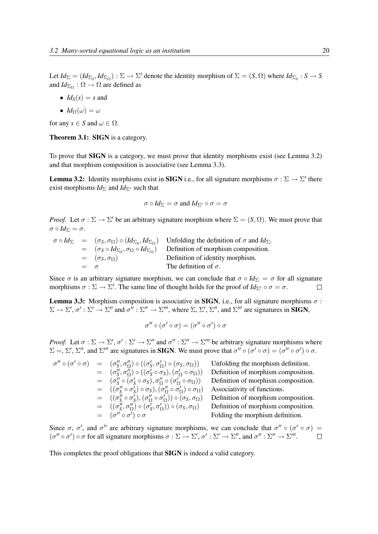Let  $Id_{\Sigma} = (Id_{\Sigma_S}, Id_{\Sigma_{\Omega}}) : \Sigma \to \Sigma'$  denote the identity morphism of  $\Sigma = (S, \Omega)$  where  $Id_{\Sigma_S} : S \to S$ and  $Id_{\Sigma_{\Omega}} : \Omega \to \Omega$  are defined as

•  $Id_S(s) = s$  and

• 
$$
Id_{\Omega}(\omega) = \omega
$$

for any  $s \in S$  and  $\omega \in \Omega$ .

Theorem 3.1: SIGN is a category.

To prove that SIGN is a category, we must prove that identity morphisms exist (see Lemma 3.2) and that morphism composition is associative (see Lemma 3.3).

**Lemma 3.2:** Identity morphisms exist in SIGN i.e., for all signature morphisms  $\sigma : \Sigma \to \Sigma'$  there exist morphisms  $Id_{\Sigma}$  and  $Id_{\Sigma'}$  such that

$$
\sigma \circ Id_{\Sigma} = \sigma \text{ and } Id_{\Sigma'} \circ \sigma = \sigma
$$

*Proof.* Let  $\sigma : \Sigma \to \Sigma'$  be an arbitrary signature morphism where  $\Sigma = (S, \Omega)$ . We must prove that  $\sigma \circ Id_{\Sigma} = \sigma.$ 

 $\sigma \circ Id_{\Sigma} = (\sigma_S, \sigma_{\Omega}) \circ (Id_{\Sigma_S}, Id_{\Sigma_{\Omega}})$  Unfolding the definition of  $\sigma$  and  $Id_{\Sigma}$ .  $=$   $(\sigma_S \circ Id_{\Sigma_S}, \sigma_\Omega \circ Id_{\Sigma_\Omega})$ ) Definition of morphism composition.  $= (\sigma_S, \sigma_\Omega)$  Definition of identity morphism. The definition of  $\sigma$ .

Since  $\sigma$  is an arbitrary signature morphism, we can conclude that  $\sigma \circ I d_{\Sigma} = \sigma$  for all signature morphisms  $\sigma : \Sigma \to \Sigma'$ . The same line of thought holds for the proof of  $Id_{\Sigma'} \circ \sigma = \sigma$ .  $\Box$ 

**Lemma 3.3:** Morphism composition is associative in **SIGN**, i.e., for all signature morphisms  $\sigma$ :  $\Sigma \to \Sigma', \sigma' : \Sigma' \to \Sigma''$  and  $\sigma'' : \Sigma'' \to \Sigma'''$ , where  $\Sigma$ ,  $\Sigma', \Sigma''$ , and  $\Sigma'''$  are signatures in **SIGN**,

$$
\sigma'' \circ (\sigma' \circ \sigma) = (\sigma'' \circ \sigma') \circ \sigma
$$

*Proof.* Let  $\sigma : \Sigma \to \Sigma', \sigma' : \Sigma' \to \Sigma''$  and  $\sigma'' : \Sigma'' \to \Sigma'''$  be arbitrary signature morphisms where  $\Sigma =$ ,  $\Sigma'$ ,  $\Sigma''$ , and  $\Sigma'''$  are signatures in **SIGN**. We must prove that  $\sigma'' \circ (\sigma' \circ \sigma) = (\sigma'' \circ \sigma') \circ \sigma$ .

 $\sigma'' \circ (\sigma' \circ \sigma) = (\sigma''_S, \sigma''_Q) \circ ((\sigma'_S, \sigma'_Q))$  $S, \sigma_{\Omega}$ <sub>)</sub>  $\sigma$ <sub>(</sub> $\sigma_{S}, \sigma_{\Omega}$ Unfolding the morphism definition.  $=$   $(\sigma''_S, \sigma''_{\Omega}) \circ ((\sigma'_S \circ \sigma_S), (\sigma'_{\Omega})$ Definition of morphism composition.  $=$   $(\sigma''_S \circ (\sigma'_S \circ \sigma_S), \sigma''_{\Omega} \circ (\sigma'_{\Omega})$ Definition of morphism composition.  $=$   $((\sigma''_S \circ \sigma'_S) \circ \sigma_S), (\sigma''_{\Omega} \circ \sigma'_{\Omega})$ Associativity of functions.  $=$   $((\sigma''_S \circ \sigma'_S),(\sigma''_{\Omega} \circ \sigma'_{\Omega})$ Definition of morphism composition.  $=$   $((\sigma''_S, \sigma''_{\Omega}) \circ (\sigma'_S, \sigma'_{\Omega})$ Definition of morphism composition.  $=$   $\sigma'' \circ \sigma'$ Folding the morphism definition.

Since  $\sigma$ ,  $\sigma'$ , and  $\sigma''$  are arbitrary signature morphisms, we can conclude that  $\sigma'' \circ (\sigma' \circ \sigma) =$  $(\sigma'' \circ \sigma') \circ \sigma$  for all signature morphisms  $\sigma : \Sigma \to \Sigma', \sigma' : \Sigma' \to \Sigma'',$  and  $\sigma'' : \Sigma'' \to \Sigma'''$ .  $\Box$ 

This completes the proof obligations that SIGN is indeed a valid category.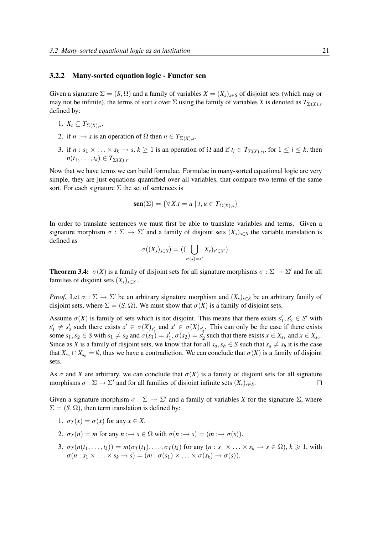#### 3.2.2 Many-sorted equation logic - Functor sen

Given a signature  $\Sigma = (S, \Omega)$  and a family of variables  $X = (X_s)_{s \in S}$  of disjoint sets (which may or may not be infinite), the terms of sort *s* over  $\Sigma$  using the family of variables *X* is denoted as  $T_{\Sigma(X),s}$ defined by:

- 1.  $X_s \subseteq T_{\Sigma(X),s}$ .
- 2. if  $n \rightarrow s$  is an operation of  $\Omega$  then  $n \in T_{\Sigma(X),s}$ .
- 3. if  $n : s_1 \times \ldots \times s_k \to s, k \ge 1$  is an operation of  $\Omega$  and if  $t_i \in T_{\Sigma(X), s_i}$ , for  $1 \le i \le k$ , then  $n(t_1,\ldots,t_k)\in T_{\Sigma(X),s}.$

Now that we have terms we can build formulae. Formulae in many-sorted equational logic are very simple, they are just equations quantified over all variables, that compare two terms of the same sort. For each signature  $\Sigma$  the set of sentences is

$$
\mathbf{sen}(\Sigma) = \{ \forall X.t = u \mid t, u \in T_{\Sigma(X),s} \}
$$

In order to translate sentences we must first be able to translate variables and terms. Given a signature morphism  $\sigma : \Sigma \to \Sigma'$  and a family of disjoint sets  $(X_s)_{s \in S}$  the variable translation is defined as

$$
\sigma((X_s)_{s\in S}) = ((\bigcup_{\sigma(s)=s'} X_s)_{s'\in S'}).
$$

**Theorem 3.4:**  $\sigma(X)$  is a family of disjoint sets for all signature morphisms  $\sigma : \Sigma \to \Sigma'$  and for all families of disjoint sets  $(X_s)_{s \in S}$ .

*Proof.* Let  $\sigma : \Sigma \to \Sigma'$  be an arbitrary signature morphism and  $(X_s)_{s \in S}$  be an arbitrary family of disjoint sets, where  $\Sigma = (S, \Omega)$ . We must show that  $\sigma(X)$  is a family of disjoint sets.

Assume  $\sigma(X)$  is family of sets which is not disjoint. This means that there exists  $s'_1, s'_2 \in S'$  with  $s'_1 \neq s'_2$  such there exists  $x' \in \sigma(X)_{s'_1}$  and  $x' \in \sigma(X)_{s'_2}$ . This can only be the case if there exists some  $s_1, s_2 \in S$  with  $s_1 \neq s_2$  and  $\sigma(s_1) = s'_1, \sigma(s_2) = s'_2$  such that there exists  $x \in X_{s_1}$  and  $x \in X_{s_2}$ . Since as *X* is a family of disjoint sets, we know that for all  $s_a$ ,  $s_b \in S$  such that  $s_a \neq s_b$  it is the case that  $X_{s_a} \cap X_{s_b} = \emptyset$ , thus we have a contradiction. We can conclude that  $\sigma(X)$  is a family of disjoint sets.

As  $\sigma$  and *X* are arbitrary, we can conclude that  $\sigma(X)$  is a family of disjoint sets for all signature morphisms  $\sigma : \Sigma \to \Sigma'$  and for all families of disjoint infinite sets  $(X_s)_{s \in S}$ .  $\Box$ 

Given a signature morphism  $\sigma : \Sigma \to \Sigma'$  and a family of variables *X* for the signature  $\Sigma$ , where  $\Sigma = (S, \Omega)$ , then term translation is defined by:

- 1.  $\sigma_T(x) = \sigma(x)$  for any  $x \in X$ .
- 2.  $\sigma_T(n) = m$  for any  $n \rightarrow s \in \Omega$  with  $\sigma(n \rightarrow s) = (m \rightarrow \sigma(s)).$
- 3.  $\sigma_T(n(t_1,\ldots,t_k)) = m(\sigma_T(t_1),\ldots,\sigma_T(t_k))$  for any  $(n : s_1 \times \ldots \times s_k \rightarrow s \in \Omega)$ ,  $k \geq 1$ , with  $\sigma(n : s_1 \times \ldots \times s_k \to s) = (m : \sigma(s_1) \times \ldots \times \sigma(s_k) \to \sigma(s)).$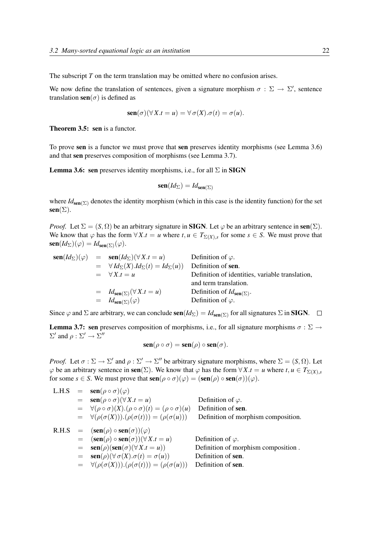The subscript *T* on the term translation may be omitted where no confusion arises.

We now define the translation of sentences, given a signature morphism  $\sigma : \Sigma \to \Sigma'$ , sentence translation  $\text{sen}(\sigma)$  is defined as

$$
\operatorname{sen}(\sigma)(\forall X.t = u) = \forall \sigma(X).\sigma(t) = \sigma(u).
$$

Theorem 3.5: sen is a functor.

To prove sen is a functor we must prove that sen preserves identity morphisms (see Lemma 3.6) and that sen preserves composition of morphisms (see Lemma 3.7).

**Lemma 3.6: sen** preserves identity morphisms, i.e., for all  $\Sigma$  in **SIGN** 

$$
\mathbf{sen}(Id_{\Sigma}) = Id_{\mathbf{sen}(\Sigma)}
$$

where  $Id_{\text{sen}(\Sigma)}$  denotes the identity morphism (which in this case is the identity function) for the set  $sen(\Sigma)$ .

*Proof.* Let  $\Sigma = (S, \Omega)$  be an arbitrary signature in **SIGN**. Let  $\varphi$  be an arbitrary sentence in sen $(\Sigma)$ . We know that  $\varphi$  has the form  $\forall X.t = u$  where  $t, u \in T_{\Sigma(X),s}$  for some  $s \in S$ . We must prove that  $\operatorname{sen}(Id_{\Sigma})(\varphi) = Id_{\operatorname{sen}(\Sigma)}(\varphi).$ 

$$
sen(Id_{\Sigma})(\varphi) = sen(Id_{\Sigma})(\forall X.t = u)
$$
Definition of *ϕ*.  
\n=  $\forall Id_{\Sigma}(X).Id_{\Sigma}(t) = Id_{\Sigma}(u)$  Definition of **sen**.  
\n=  $\forall X.t = u$  Definition of identities, variable translation,  
\nand term translation.  
\n=  $Id_{sen(\Sigma)}(\forall X.t = u)$  Definition of  $Id_{sen(\Sigma)}$ .  
\n=  $Id_{sen(\Sigma)}(\varphi)$  Definition of *ϕ*.  
\nDefinition of *ϕ*.

Since  $\varphi$  and  $\Sigma$  are arbitrary, we can conclude  $\text{sen}(Id_{\Sigma}) = Id_{\text{sen}(\Sigma)}$  for all signatures  $\Sigma$  in **SIGN**.  $\square$ 

**Lemma 3.7: sen** preserves composition of morphisms, i.e., for all signature morphisms  $\sigma : \Sigma \to$  $\Sigma'$  and  $\rho : \Sigma' \to \Sigma''$ 

$$
\mathbf{sen}(\rho \circ \sigma) = \mathbf{sen}(\rho) \circ \mathbf{sen}(\sigma).
$$

*Proof.* Let  $\sigma : \Sigma \to \Sigma'$  and  $\rho : \Sigma' \to \Sigma''$  be arbitrary signature morphisms, where  $\Sigma = (S, \Omega)$ . Let  $\varphi$  be an arbitrary sentence in sen( $\Sigma$ ). We know that  $\varphi$  has the form  $\forall X.t = u$  where  $t, u \in T_{\Sigma(X),s}$ for some  $s \in S$ . We must prove that  $\operatorname{sen}(\rho \circ \sigma)(\varphi) = (\operatorname{sen}(\rho) \circ \operatorname{sen}(\sigma))(\varphi)$ .

| L.H.S |     | $=$ <b>sen</b> ( $\rho \circ \sigma$ )( $\varphi$ )                                  |                                     |
|-------|-----|--------------------------------------------------------------------------------------|-------------------------------------|
|       |     | $=$ $\operatorname{sen}(\rho \circ \sigma)(\forall X.t = u)$                         | Definition of $\varphi$ .           |
|       |     | $= \forall (\rho \circ \sigma)(X) . (\rho \circ \sigma)(t) = (\rho \circ \sigma)(u)$ | Definition of sen.                  |
|       |     | $= \forall (\rho(\sigma(X))).(\rho(\sigma(t))) = (\rho(\sigma(u)))$                  | Definition of morphism composition. |
|       |     | R.H.S = $(\text{sen}(\rho) \circ \text{sen}(\sigma))(\varphi)$                       |                                     |
|       | $=$ | $(\operatorname{sen}(\rho) \circ \operatorname{sen}(\sigma))(\forall X.t = u)$       | Definition of $\varphi$ .           |
|       |     | $=$ $\operatorname{sen}(\rho)(\operatorname{sen}(\sigma)(\forall X.t = u))$          | Definition of morphism composition. |
|       |     | $=$ $\operatorname{sen}(\rho)(\forall \sigma(X).\sigma(t) = \sigma(u))$              | Definition of sen.                  |
|       |     | $= \forall (\rho(\sigma(X))).(\rho(\sigma(t))) = (\rho(\sigma(u)))$                  | Definition of sen.                  |
|       |     |                                                                                      |                                     |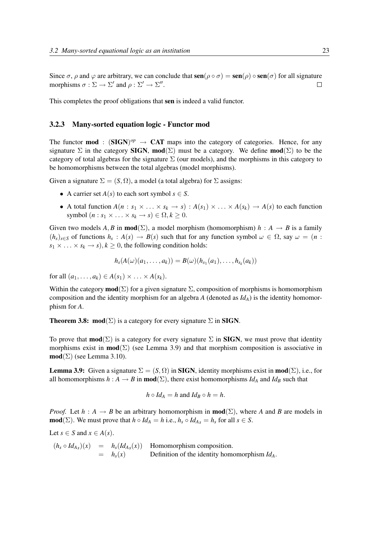Since  $\sigma$ ,  $\rho$  and  $\varphi$  are arbitrary, we can conclude that  $\text{sen}(\rho \circ \sigma) = \text{sen}(\rho) \circ \text{sen}(\sigma)$  for all signature morphisms  $\sigma : \Sigma \to \Sigma'$  and  $\rho : \Sigma' \to \Sigma''$ .  $\Box$ 

This completes the proof obligations that sen is indeed a valid functor.

#### 3.2.3 Many-sorted equation logic - Functor mod

The functor **mod** :  $(SIGN)^{op} \rightarrow CAT$  maps into the category of categories. Hence, for any signature  $\Sigma$  in the category **SIGN, mod**( $\Sigma$ ) must be a category. We define **mod**( $\Sigma$ ) to be the category of total algebras for the signature  $\Sigma$  (our models), and the morphisms in this category to be homomorphisms between the total algebras (model morphisms).

Given a signature  $\Sigma = (S, \Omega)$ , a model (a total algebra) for  $\Sigma$  assigns:

- A carrier set  $A(s)$  to each sort symbol  $s \in S$ .
- A total function  $A(n : s_1 \times \ldots \times s_k \rightarrow s) : A(s_1) \times \ldots \times A(s_k) \rightarrow A(s)$  to each function symbol  $(n : s_1 \times \ldots \times s_k \rightarrow s) \in \Omega, k \geq 0$ .

Given two models *A*, *B* in **mod**( $\Sigma$ ), a model morphism (homomorphism) *h* : *A*  $\rightarrow$  *B* is a family  $(h_s)_{s \in S}$  of functions  $h_s: A(s) \to B(s)$  such that for any function symbol  $\omega \in \Omega$ , say  $\omega = (n : h_s)$  $s_1 \times \ldots \times s_k \to s$ ,  $k \geq 0$ , the following condition holds:

$$
h_{s}(A(\omega)(a_{1},...,a_{k})) = B(\omega)(h_{s_{1}}(a_{1}),...,h_{s_{k}}(a_{k}))
$$

for all  $(a_1, ..., a_k) \in A(s_1) \times ... \times A(s_k)$ .

Within the category **mod**( $\Sigma$ ) for a given signature  $\Sigma$ , composition of morphisms is homomorphism composition and the identity morphism for an algebra *A* (denoted as  $Id_A$ ) is the identity homomorphism for *A*.

**Theorem 3.8: mod**( $\Sigma$ ) is a category for every signature  $\Sigma$  in **SIGN**.

To prove that **mod**( $\Sigma$ ) is a category for every signature  $\Sigma$  in **SIGN**, we must prove that identity morphisms exist in  $mod(\Sigma)$  (see Lemma 3.9) and that morphism composition is associative in  $\text{mod}(\Sigma)$  (see Lemma 3.10).

**Lemma 3.9:** Given a signature  $\Sigma = (S, \Omega)$  in **SIGN**, identity morphisms exist in **mod**( $\Sigma$ ), i.e., for all homomorphisms  $h : A \to B$  in **mod**( $\Sigma$ ), there exist homomorphisms *Id<sub>A</sub>* and *Id<sub>B</sub>* such that

$$
h \circ Id_A = h \text{ and } Id_B \circ h = h.
$$

*Proof.* Let  $h : A \rightarrow B$  be an arbitrary homomorphism in **mod**( $\Sigma$ ), where *A* and *B* are models in **mod**( $\Sigma$ ). We must prove that  $h \circ Id_A = h$  i.e.,  $h_s \circ Id_{As} = h_s$  for all  $s \in S$ .

Let  $s \in S$  and  $x \in A(s)$ .

 $(h_s \circ Id_{A_s})(x) = h_s(Id_{A_s}(x))$  Homomorphism composition. = *hs*(*x*) Definition of the identity homomorphism *IdA*.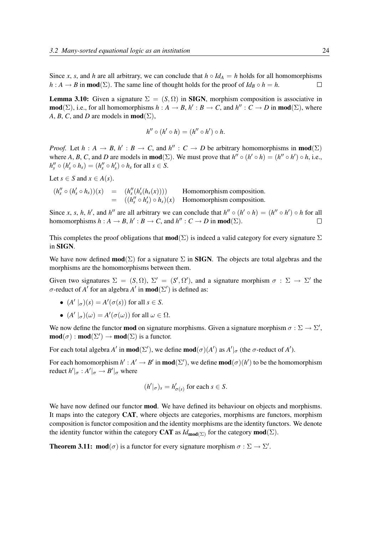Since *x*, *s*, and *h* are all arbitrary, we can conclude that  $h \circ Id_A = h$  holds for all homomorphisms *h* : *A*  $\rightarrow$  *B* in **mod**( $\Sigma$ ). The same line of thought holds for the proof of *Id<sub>B</sub>* ◦ *h* = *h*.  $\Box$ 

**Lemma 3.10:** Given a signature  $\Sigma = (S, \Omega)$  in **SIGN**, morphism composition is associative in  $\text{mod}(\Sigma)$ , i.e., for all homomorphisms  $h : A \to B$ ,  $h' : B \to C$ , and  $h'' : C \to D$  in  $\text{mod}(\Sigma)$ , where *A*, *B*, *C*, and *D* are models in **mod**( $\Sigma$ ),

$$
h'' \circ (h' \circ h) = (h'' \circ h') \circ h.
$$

*Proof.* Let  $h : A \to B$ ,  $h' : B \to C$ , and  $h'' : C \to D$  be arbitrary homomorphisms in **mod**( $\Sigma$ ) where A, B, C, and D are models in **mod**( $\Sigma$ ). We must prove that  $h'' \circ (h' \circ h) = (h'' \circ h') \circ h$ , i.e.,  $h''_s \circ (h'_s \circ h_s) = (h''_s \circ h'_s) \circ h_s$  for all  $s \in S$ .

Let  $s \in S$  and  $x \in A(s)$ .

$$
(h''_s \circ (h'_s \circ h_s))(x) = (h''_s(h'_s(h_s(x))))
$$
 Homomorphism composition.  
= 
$$
((h''_s \circ h'_s) \circ h_s)(x)
$$
 Homomorphism composition.

Since *x*, *s*, *h*, *h'*, and *h''* are all arbitrary we can conclude that  $h'' \circ (h' \circ h) = (h'' \circ h') \circ h$  for all homomorphisms  $h : A \to B$ ,  $h' : B \to C$ , and  $h'' : C \to D$  in **mod**( $\Sigma$ ).  $\Box$ 

This completes the proof obligations that  $\text{mod}(\Sigma)$  is indeed a valid category for every signature  $\Sigma$ in SIGN.

We have now defined  $\text{mod}(\Sigma)$  for a signature  $\Sigma$  in **SIGN**. The objects are total algebras and the morphisms are the homomorphisms between them.

Given two signatures  $\Sigma = (S, \Omega)$ ,  $\Sigma' = (S', \Omega')$ , and a signature morphism  $\sigma : \Sigma \to \Sigma'$  the σ-reduct of *A'* for an algebra *A'* in **mod**( $\Sigma'$ ) is defined as:

- $(A' \mid_{\sigma})(s) = A'(\sigma(s))$  for all  $s \in S$ .
- $(A' \mid_{\sigma})(\omega) = A'(\sigma(\omega))$  for all  $\omega \in \Omega$ .

We now define the functor **mod** on signature morphisms. Given a signature morphism  $\sigma : \Sigma \to \Sigma'$ ,  $\text{mod}(\sigma) : \text{mod}(\Sigma') \to \text{mod}(\Sigma)$  is a functor.

For each total algebra *A'* in **mod**( $\Sigma'$ ), we define **mod**( $\sigma$ )(*A'*) as *A'*|<sub> $\sigma$ </sub> (the  $\sigma$ -reduct of *A'*).

For each homomorphism  $h' : A' \to B'$  in **mod** $(\Sigma')$ , we define **mod** $(\sigma)(h')$  to be the homomorphism reduct  $h'|_{\sigma}: A'|_{\sigma} \to B'|_{\sigma}$  where

$$
(h'|_{\sigma})_s = h'_{\sigma(s)}
$$
 for each  $s \in S$ .

We have now defined our functor **mod**. We have defined its behaviour on objects and morphisms. It maps into the category CAT, where objects are categories, morphisms are functors, morphism composition is functor composition and the identity morphisms are the identity functors. We denote the identity functor within the category **CAT** as  $Id_{\text{mod}(\Sigma)}$  for the category  $\text{mod}(\Sigma)$ .

**Theorem 3.11:**  $\text{mod}(\sigma)$  is a functor for every signature morphism  $\sigma : \Sigma \to \Sigma'$ .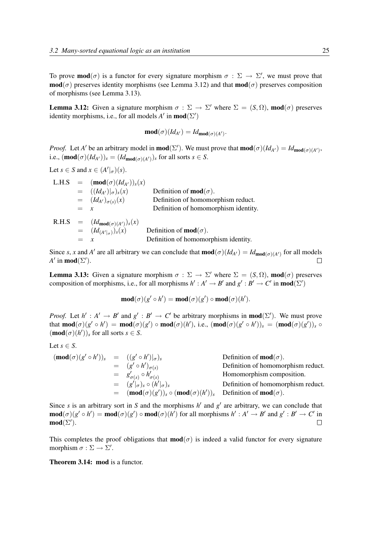To prove **mod**( $\sigma$ ) is a functor for every signature morphism  $\sigma : \Sigma \to \Sigma'$ , we must prove that  $\text{mod}(\sigma)$  preserves identity morphisms (see Lemma 3.12) and that  $\text{mod}(\sigma)$  preserves composition of morphisms (see Lemma 3.13).

**Lemma 3.12:** Given a signature morphism  $\sigma : \Sigma \to \Sigma'$  where  $\Sigma = (S, \Omega)$ , **mod** $(\sigma)$  preserves identity morphisms, i.e., for all models  $A'$  in **mod**( $\Sigma'$ )

$$
\mathbf{mod}(\sigma)(Id_{A'})=Id_{\mathbf{mod}(\sigma)(A')}.
$$

*Proof.* Let *A'* be an arbitrary model in **mod**( $\Sigma'$ ). We must prove that **mod**( $\sigma$ )(*Id<sub>A'</sub>*) = *Id*<sub>mod( $\sigma$ )(*A'*)</sub>, i.e.,  $(\text{mod}(\sigma)(Id_{A'}))_s = (Id_{\text{mod}(\sigma)(A')})_s$  for all sorts  $s \in S$ .

Let  $s \in S$  and  $x \in (A'|_{\sigma})(s)$ .

|  | Definition of <b>mod</b> $(\sigma)$ .                                                                                                                                                                                  |
|--|------------------------------------------------------------------------------------------------------------------------------------------------------------------------------------------------------------------------|
|  | Definition of homomorphism reduct.                                                                                                                                                                                     |
|  | Definition of homomorphism identity.                                                                                                                                                                                   |
|  |                                                                                                                                                                                                                        |
|  | Definition of <b>mod</b> ( $\sigma$ ).                                                                                                                                                                                 |
|  | Definition of homomorphism identity.                                                                                                                                                                                   |
|  | L.H.S = $(\text{mod}(\sigma)(Id_{A'}))_s(x)$<br>$= ((Id_{A'}) _{\sigma})_s(x)$<br>$= (Id_{A'})_{\sigma(s)}(x)$<br>$=$ $x$<br>R.H.S $= (Id_{\text{mod}(\sigma)(A')})_s(x)$<br>= $(Id_{(A' _{\sigma})})_{s}(x)$<br>$= x$ |

Since *s*, *x* and *A'* are all arbitrary we can conclude that  $\text{mod}(\sigma)(Id_{A'}) = Id_{\text{mod}(\sigma)(A')}$  for all models *A*<sup> $\prime$ </sup> in **mod**( $\Sigma'$ ).  $\Box$ 

**Lemma 3.13:** Given a signature morphism  $\sigma : \Sigma \to \Sigma'$  where  $\Sigma = (S, \Omega)$ , **mod** $(\sigma)$  preserves composition of morphisms, i.e., for all morphisms  $h': A' \to B'$  and  $g': B' \to C'$  in **mod**( $\Sigma'$ )

$$
\mathbf{mod}(\sigma)(g' \circ h') = \mathbf{mod}(\sigma)(g') \circ \mathbf{mod}(\sigma)(h').
$$

*Proof.* Let  $h' : A' \to B'$  and  $g' : B' \to C'$  be arbitrary morphisms in **mod**( $\Sigma'$ ). We must prove that  $\text{mod}(\sigma)(g' \circ h') = \text{mod}(\sigma)(g') \circ \text{mod}(\sigma)(h')$ , i.e.,  $(\text{mod}(\sigma)(g' \circ h'))_s = (\text{mod}(\sigma)(g'))_s \circ h'$  $(\textbf{mod}(\sigma)(h'))_s$  for all sorts  $s \in S$ .

Let 
$$
s \in S
$$
.

$$
(\text{mod}(\sigma)(g' \circ h'))_s = ((g' \circ h')|_{\sigma})_s
$$
  
\n
$$
= (g' \circ h')_{\sigma(s)}
$$
  
\n
$$
= g'_{\sigma(s)} \circ h'_{\sigma(s)}
$$
  
\n
$$
= (g'|_{\sigma})_s \circ (h'|_{\sigma})_s
$$
  
\n
$$
= (\text{mod}(\sigma)(g'))_s \circ (\text{mod}(\sigma)(h'))_s
$$
  
\nDefinition of homomorphism reduct.  
\nDefinition of homomorphism reduct.  
\nDefinition of homomorphism reduct.

Since *s* is an arbitrary sort in *S* and the morphisms  $h'$  and  $g'$  are arbitrary, we can conclude that  $\text{mod}(\sigma)(g' \circ h') = \text{mod}(\sigma)(g') \circ \text{mod}(\sigma)(h')$  for all morphisms  $h' : A' \to B'$  and  $g' : B' \to C'$  in  $mod(\Sigma').$  $\Box$ 

This completes the proof obligations that  $mod(\sigma)$  is indeed a valid functor for every signature morphism  $\sigma : \Sigma \to \Sigma'$ .

Theorem 3.14: mod is a functor.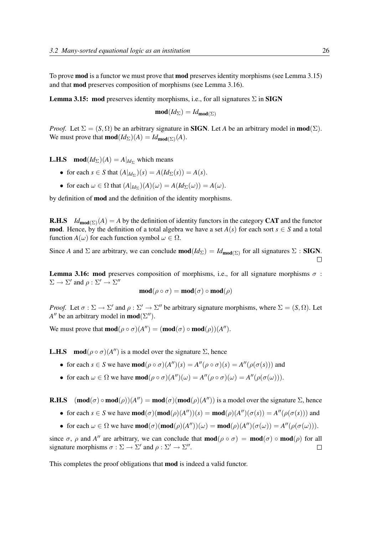To prove **mod** is a functor we must prove that **mod** preserves identity morphisms (see Lemma 3.15) and that mod preserves composition of morphisms (see Lemma 3.16).

**Lemma 3.15: mod** preserves identity morphisms, i.e., for all signatures  $\Sigma$  in **SIGN** 

$$
\text{mod}(Id_{\Sigma}) = Id_{\text{mod}(\Sigma)}
$$

*Proof.* Let  $\Sigma = (S, \Omega)$  be an arbitrary signature in **SIGN**. Let *A* be an arbitrary model in **mod**( $\Sigma$ ). We must prove that **mod** $(Id_{\Sigma})(A) = Id_{\text{mod}(\Sigma)}(A)$ .

**L.H.S** mod $(Id_{\Sigma})(A) = A|_{Id_{\Sigma}}$  which means

- for each  $s \in S$  that  $(A|_{Id_{\Sigma}})(s) = A(Id_{\Sigma}(s)) = A(s)$ .
- for each  $\omega \in \Omega$  that  $(A|_{Id_{\Sigma}})(A)(\omega) = A(Id_{\Sigma}(\omega)) = A(\omega)$ .

by definition of mod and the definition of the identity morphisms.

**R.H.S**  $Id_{\text{mod}(\Sigma)}(A) = A$  by the definition of identity functors in the category CAT and the functor **mod**. Hence, by the definition of a total algebra we have a set  $A(s)$  for each sort  $s \in S$  and a total function  $A(\omega)$  for each function symbol  $\omega \in \Omega$ .

Since *A* and  $\Sigma$  are arbitrary, we can conclude **mod**( $Id_{\Sigma}$ ) =  $Id_{\text{mod}(\Sigma)}$  for all signatures  $\Sigma$  : **SIGN**.  $\Box$ 

Lemma 3.16: mod preserves composition of morphisms, i.e., for all signature morphisms  $\sigma$ :  $\Sigma \to \Sigma'$  and  $\rho : \Sigma' \to \Sigma''$ 

$$
\mathbf{mod}(\rho \circ \sigma) = \mathbf{mod}(\sigma) \circ \mathbf{mod}(\rho)
$$

*Proof.* Let  $\sigma : \Sigma \to \Sigma'$  and  $\rho : \Sigma' \to \Sigma''$  be arbitrary signature morphisms, where  $\Sigma = (S, \Omega)$ . Let *A*<sup>*''*</sup> be an arbitrary model in **mod**( $\Sigma$ <sup>*''*</sup>).

We must prove that  $\text{mod}(\rho \circ \sigma)(A'') = (\text{mod}(\sigma) \circ \text{mod}(\rho))(A'')$ .

**L.H.S** mod $(\rho \circ \sigma)(A'')$  is a model over the signature  $\Sigma$ , hence

- for each  $s \in S$  we have **mod** $(\rho \circ \sigma)(A'')(s) = A''(\rho \circ \sigma)(s) = A''(\rho(\sigma(s)))$  and
- for each  $\omega \in \Omega$  we have **mod** $(\rho \circ \sigma)(A'')(\omega) = A''(\rho \circ \sigma)(\omega) = A''(\rho(\sigma(\omega))).$

**R.H.S**  $(\text{mod}(\sigma) \circ \text{mod}(\rho))(A'') = \text{mod}(\sigma)(\text{mod}(\rho)(A''))$  is a model over the signature  $\Sigma$ , hence

- for each  $s \in S$  we have  $\text{mod}(\sigma)(\text{mod}(\rho)(A''))(s) = \text{mod}(\rho)(A'')(\sigma(s)) = A''(\rho(\sigma(s)))$  and
- for each  $\omega \in \Omega$  we have  $\text{mod}(\sigma)(\text{mod}(\rho)(A''))(\omega) = \text{mod}(\rho)(A'')(\sigma(\omega)) = A''(\rho(\sigma(\omega))).$

since  $\sigma$ ,  $\rho$  and *A*<sup>*n*</sup> are arbitrary, we can conclude that **mod**( $\rho \circ \sigma$ ) = **mod**( $\sigma$ )  $\circ$  **mod**( $\rho$ ) for all signature morphisms  $\sigma : \Sigma \to \Sigma'$  and  $\rho : \Sigma' \to \Sigma''$ .  $\Box$ 

This completes the proof obligations that mod is indeed a valid functor.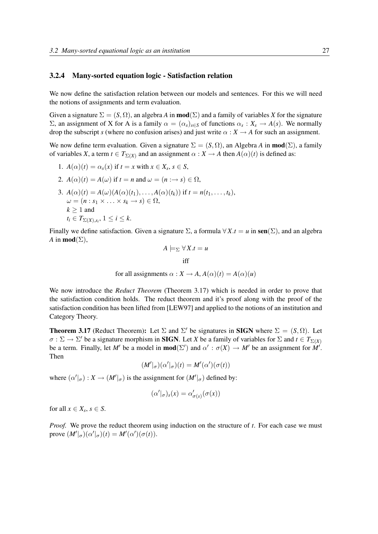#### 3.2.4 Many-sorted equation logic - Satisfaction relation

We now define the satisfaction relation between our models and sentences. For this we will need the notions of assignments and term evaluation.

Given a signature  $\Sigma = (S, \Omega)$ , an algebra A in **mod**( $\Sigma$ ) and a family of variables X for the signature  $Σ$ , an assignment of *X* for *A* is a family  $α = (α<sub>s</sub>)<sub>s∈S</sub>$  of functions  $α<sub>s</sub> : X<sub>s</sub> → A(s)$ . We normally drop the subscript *s* (where no confusion arises) and just write  $\alpha : X \to A$  for such an assignment.

We now define term evaluation. Given a signature  $\Sigma = (S, \Omega)$ , an Algebra *A* in **mod**( $\Sigma$ ), a family of variables *X*, a term  $t \in T_{\Sigma(X)}$  and an assignment  $\alpha : X \to A$  then  $A(\alpha)(t)$  is defined as:

- 1.  $A(\alpha)(t) = \alpha_s(x)$  if  $t = x$  with  $x \in X_s$ ,  $s \in S$ ,
- 2.  $A(\alpha)(t) = A(\omega)$  if  $t = n$  and  $\omega = (n : \rightarrow s) \in \Omega$ ,
- 3.  $A(\alpha)(t) = A(\omega)(A(\alpha)(t_1), \ldots, A(\alpha)(t_k))$  if  $t = n(t_1, \ldots, t_k)$ ,  $\omega = (n : s_1 \times \ldots \times s_k \rightarrow s) \in \Omega$ ,  $k > 1$  and  $t_i \in T_{\Sigma(X), s_i}$ ,  $1 \leq i \leq k$ .

Finally we define satisfaction. Given a signature  $\Sigma$ , a formula  $\forall X . t = u$  in sen $(\Sigma)$ , and an algebra *A* in **mod** $(\Sigma)$ ,

$$
A \models_{\Sigma} \forall X.t = u
$$

$$
iff
$$

for all assignments  $\alpha$  :  $X \rightarrow A$ ,  $A(\alpha)(t) = A(\alpha)(u)$ 

We now introduce the *Reduct Theorem* (Theorem 3.17) which is needed in order to prove that the satisfaction condition holds. The reduct theorem and it's proof along with the proof of the satisfaction condition has been lifted from [LEW97] and applied to the notions of an institution and Category Theory.

**Theorem 3.17** (Reduct Theorem): Let  $\Sigma$  and  $\Sigma'$  be signatures in **SIGN** where  $\Sigma = (S, \Omega)$ . Let  $\sigma : \Sigma \to \Sigma'$  be a signature morphism in **SIGN**. Let *X* be a family of variables for  $\Sigma$  and  $t \in T_{\Sigma(X)}$ be a term. Finally, let M' be a model in  $\text{mod}(\Sigma')$  and  $\alpha' : \sigma(X) \to M'$  be an assignment for  $M'$ . Then

 $(M'|_{\sigma})(\alpha'|_{\sigma})(t) = M'(\alpha')(\sigma(t))$ 

where  $(\alpha' |_{\sigma}) : X \to (M' |_{\sigma})$  is the assignment for  $(M' |_{\sigma})$  defined by:

$$
(\alpha'|_{\sigma})_s(x) = \alpha'_{\sigma(s)}(\sigma(x))
$$

for all  $x \in X_s$ ,  $s \in S$ .

*Proof.* We prove the reduct theorem using induction on the structure of *t*. For each case we must prove  $(M'|_{\sigma})(\alpha'|_{\sigma})(t) = M'(\alpha')(\sigma(t)).$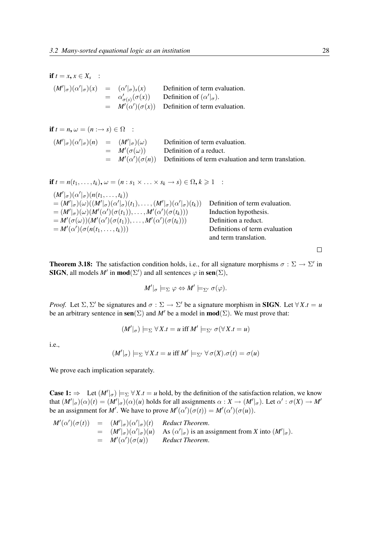| if $t = x, x \in X_s$ : |                                                                                                         |
|-------------------------|---------------------------------------------------------------------------------------------------------|
|                         | Definition of term evaluation.                                                                          |
|                         | Definition of $(\alpha' _{\sigma})$ .                                                                   |
|                         | $= M'(\alpha')(\sigma(x))$ Definition of term evaluation.                                               |
|                         | $(M' _{\sigma})(\alpha' _{\sigma})(x) = (\alpha' _{\sigma})_s(x)$<br>$= \alpha'_{\sigma(s)}(\sigma(x))$ |

if  $t = n, \omega = (n : \rightarrow s) \in \Omega$  :  $(M'|_{\sigma})(\alpha'|_{\sigma})(n) = (M'$ Definition of term evaluation.  $=$   $M'$ Definition of a reduct.  $= M'(\alpha')(\sigma(n))$  Definitions of term evaluation and term translation.

$$
\begin{aligned}\n\text{if } t &= n(t_1, \ldots, t_k), \, \omega = (n : s_1 \times \ldots \times s_k \to s) \in \Omega, \, k \geq 1 \\
&\quad (M'|\sigma)(\alpha'|\sigma)(n(t_1, \ldots, t_k)) \\
&= (M'|\sigma)(\omega)((M'|\sigma)(\alpha'|\sigma)(t_1), \ldots, (M'|\sigma)(\alpha'|\sigma)(t_k)) \quad \text{Definition of term evaluation.} \\
&= (M'|\sigma)(\omega)(M'(\alpha')(\sigma(t_1)), \ldots, M'(\alpha')(\sigma(t_k))) \quad \text{Induction hypothesis.} \\
&= M'(\sigma(\omega))(M'(\alpha')(\sigma(t_1)), \ldots, M'(\alpha')(\sigma(t_k))) \quad \text{Definition a reduct.} \\
&= M'(\alpha')(\sigma(n(t_1, \ldots, t_k))) \quad \text{Definition of term evaluation} \\
&= \text{and term translation.}\n\end{aligned}
$$

**Theorem 3.18:** The satisfaction condition holds, i.e., for all signature morphisms  $\sigma : \Sigma \to \Sigma'$  in **SIGN**, all models *M'* in **mod**( $\Sigma'$ ) and all sentences  $\varphi$  in **sen**( $\Sigma$ ),

 $M'|_{\sigma} \models_{\Sigma} \varphi \Leftrightarrow M' \models_{\Sigma'} \sigma(\varphi).$ 

*Proof.* Let  $\Sigma$ ,  $\Sigma'$  be signatures and  $\sigma : \Sigma \to \Sigma'$  be a signature morphism in **SIGN**. Let  $\forall X \cdot t = u$ be an arbitrary sentence in sen( $\Sigma$ ) and M' be a model in **mod**( $\Sigma$ ). We must prove that:

$$
(M'|_{\sigma}) \models_{\Sigma} \forall X.t = u \text{ iff } M' \models_{\Sigma'} \sigma(\forall X.t = u)
$$

i.e.,

$$
(M'|_{\sigma}) \models_{\Sigma} \forall X.t = u \text{ iff } M' \models_{\Sigma'} \forall \sigma(X). \sigma(t) = \sigma(u)
$$

We prove each implication separately.

**Case 1:**  $\Rightarrow$  Let  $(M'|_{\sigma}) \models_{\Sigma} \forall X.t = u$  hold, by the definition of the satisfaction relation, we know that  $(M'|_{\sigma})(\alpha)(t) = (M'|_{\sigma})(\alpha)(u)$  holds for all assignments  $\alpha: X \to (M'|_{\sigma})$ . Let  $\alpha': \sigma(X) \to M'$ be an assignment for *M'*. We have to prove  $M'(\alpha')(\sigma(t)) = M'(\alpha')(\sigma(u))$ .

$$
M'(\alpha')(\sigma(t)) = (M'|\sigma)(\alpha'|\sigma)(t)
$$
 *Reduct Theorem.*  
\n
$$
= (M'|\sigma)(\alpha'|\sigma)(u)
$$
 *As* ( $\alpha'|\sigma$ ) is an assignment from X into ( $M'|\sigma$ ).  
\n
$$
= M'(\alpha')(\sigma(u))
$$
 *Reduct Theorem.*

 $\Box$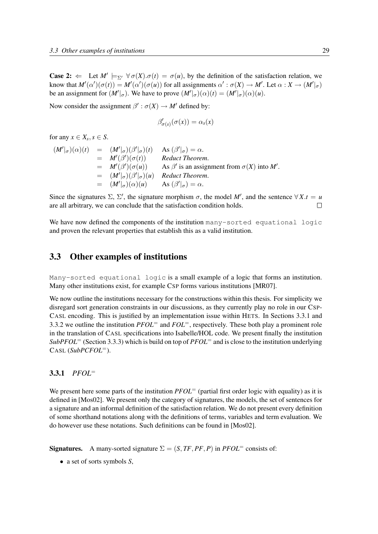**Case 2:**  $\Leftarrow$  Let  $M' \models_{\Sigma'} \forall \sigma(X) . \sigma(t) = \sigma(u)$ , by the definition of the satisfaction relation, we know that  $M'(\alpha')(\sigma(t)) = M'(\alpha')(\sigma(u))$  for all assignments  $\alpha' : \sigma(X) \to M'$ . Let  $\alpha : X \to (M' |_{\sigma})$ be an assignment for  $(M'|_{\sigma})$ . We have to prove  $(M'|_{\sigma})(\alpha)(t) = (M'|_{\sigma})(\alpha)(u)$ .

Now consider the assignment  $\beta' : \sigma(X) \to M'$  defined by:

$$
\beta'_{\sigma(s)}(\sigma(x)) = \alpha_s(x)
$$

for any  $x \in X_s$ ,  $s \in S$ .

$$
(M'|\sigma)(\alpha)(t) = (M'|\sigma)(\beta'|\sigma)(t) \text{ As } (\beta'|\sigma) = \alpha.
$$
  
\n=  $M'(\beta')(\sigma(t))$  Reduct Theorem.  
\n=  $M'(\beta')(\sigma(u))$  As  $\beta'$  is an assignment from  $\sigma(X)$  into  $M'$ .  
\n=  $(M'|\sigma)(\beta'|\sigma)(u)$  Reduct Theorem.  
\n=  $(M'|\sigma)(\alpha)(u)$  As  $(\beta'|\sigma) = \alpha$ .

Since the signatures  $\Sigma$ ,  $\Sigma'$ , the signature morphism  $\sigma$ , the model M', and the sentence  $\forall X \cdot t = u$ are all arbitrary, we can conclude that the satisfaction condition holds.  $\Box$ 

We have now defined the components of the institution many-sorted equational logic and proven the relevant properties that establish this as a valid institution.

### 3.3 Other examples of institutions

Many-sorted equational logic is a small example of a logic that forms an institution. Many other institutions exist, for example CSP forms various institutions [MR07].

We now outline the institutions necessary for the constructions within this thesis. For simplicity we disregard sort generation constraints in our discussions, as they currently play no role in our CSP-CASL encoding. This is justified by an implementation issue within HETS. In Sections 3.3.1 and 3.3.2 we outline the institution *PFOL*<sup>=</sup> and *FOL*=, respectively. These both play a prominent role in the translation of CASL specifications into Isabelle/HOL code. We present finally the institution  $SubPFOL = (Section 3.3.3)$  which is build on top of  $PFOL =$  and is close to the institution underlying CASL (*SubPCFOL*=).

#### 3.3.1 *PFOL*<sup>=</sup>

We present here some parts of the institution *PFOL*<sup>=</sup> (partial first order logic with equality) as it is defined in [Mos02]. We present only the category of signatures, the models, the set of sentences for a signature and an informal definition of the satisfaction relation. We do not present every definition of some shorthand notations along with the definitions of terms, variables and term evaluation. We do however use these notations. Such definitions can be found in [Mos02].

**Signatures.** A many-sorted signature  $\Sigma = (S, TF, PF, P)$  in *PFOL*= consists of:

• a set of sorts symbols *S*,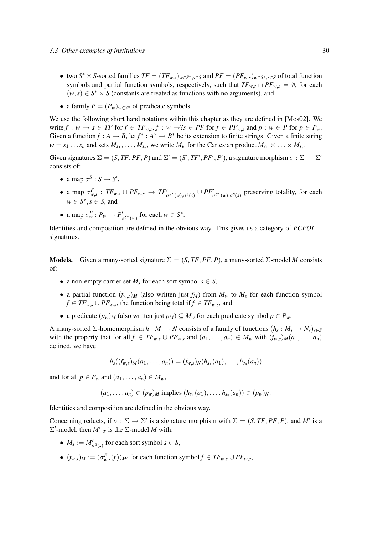- two  $S^* \times S$ -sorted families  $TF = (TF_{w,s})_{w \in S^*, s \in S}$  and  $PF = (PF_{w,s})_{w \in S^*, s \in S}$  of total function symbols and partial function symbols, respectively, such that  $TF_{w,s} \cap PF_{w,s} = \emptyset$ , for each  $(w, s) \in S^* \times S$  (constants are treated as functions with no arguments), and
- a family  $P = (P_w)_{w \in S^*}$  of predicate symbols.

We use the following short hand notations within this chapter as they are defined in [Mos02]. We write  $f: w \to s \in TF$  for  $f \in TF_{w,s}, f: w \to ?s \in PF$  for  $f \in PF_{w,s}$  and  $p: w \in P$  for  $p \in P_w$ . Given a function  $f : A \to B$ , let  $f^* : A^* \to B^*$  be its extension to finite strings. Given a finite string  $w = s_1 \dots s_n$  and sets  $M_{s_1}, \dots, M_{s_n}$ , we write  $M_w$  for the Cartesian product  $M_{s_1} \times \dots \times M_{s_n}$ .

Given signatures  $\Sigma = (S, TF, PF, P)$  and  $\Sigma' = (S', TF', PF', P')$ , a signature morphism  $\sigma : \Sigma \to \Sigma'$ consists of:

- a map  $\sigma^S : S \to S'$ ,
- a map  $\sigma_{w,s}^F : TF_{w,s} \cup PF_{w,s} \to TF'_{\sigma^{S^*}(w),\sigma^S(s)} \cup PF'_{\sigma^{S^*}(w),\sigma^S(s)}$  preserving totality, for each  $w \in S^*$ ,  $s \in S$ , and
- a map  $\sigma_w^P : P_w \to P'_{\sigma^{S^*}(w)}$  for each  $w \in S^*$ .

Identities and composition are defined in the obvious way. This gives us a category of *PCFOL*= signatures.

**Models.** Given a many-sorted signature  $\Sigma = (S, TF, PF, P)$ , a many-sorted  $\Sigma$ -model *M* consists of:

- a non-empty carrier set  $M_s$  for each sort symbol  $s \in S$ ,
- a partial function  $(f_{w,s})_M$  (also written just  $f_M$ ) from  $M_w$  to  $M_s$  for each function symbol *f* ∈ *TF*<sub>*w*,*s*</sub> ∪ *PF*<sub>*w*,*s*</sub>, the function being total if *f* ∈ *TF*<sub>*w*,*s*</sub>, and
- a predicate  $(p_w)_M$  (also written just  $p_M$ )  $\subseteq M_w$  for each predicate symbol  $p \in P_w$ .

A many-sorted  $\Sigma$ -homomorphism  $h : M \to N$  consists of a family of functions  $(h_s : M_s \to N_s)_{s \in S}$ with the property that for all  $f \in TF_{w,s} \cup PF_{w,s}$  and  $(a_1, \ldots, a_n) \in M_w$  with  $(f_{w,s})_M(a_1, \ldots, a_n)$ defined, we have

$$
h_s((f_{w,s})_M(a_1,\ldots,a_n))=(f_{w,s})_N(h_{s_1}(a_1),\ldots,h_{s_n}(a_n))
$$

and for all  $p \in P_w$  and  $(a_1, \ldots, a_n) \in M_w$ ,

 $(a_1, \ldots, a_n) \in (p_w)_M$  implies  $(h_{s_1}(a_1), \ldots, h_{s_n}(a_n)) \in (p_w)_N$ .

Identities and composition are defined in the obvious way.

Concerning reducts, if  $\sigma : \Sigma \to \Sigma'$  is a signature morphism with  $\Sigma = (S, TF, PF, P)$ , and M' is a  $\Sigma'$ -model, then *M'* |<sub>σ</sub> is the Σ-model *M* with:

- $M_s := M'_{\sigma^S(s)}$  for each sort symbol  $s \in S$ ,
- $(f_{w,s})_M := (\sigma_{w,s}^F(f))_{M'}$  for each function symbol  $f \in TF_{w,s} \cup PF_{w,s}$ ,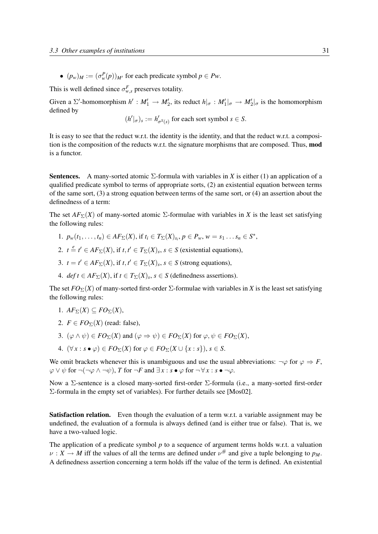•  $(p_w)_M := (\sigma_w^P(p))_{M'}$  for each predicate symbol  $p \in Pw$ .

This is well defined since  $\sigma_{w,s}^F$  preserves totality.

Given a  $\Sigma'$ -homomorphism  $h' : M_1' \to M_2'$ , its reduct  $h|_{\sigma} : M_1'|_{\sigma} \to M_2'|_{\sigma}$  is the homomorphism defined by

$$
(h'|_{\sigma})_s := h'_{\sigma^S(s)}
$$
 for each sort symbol  $s \in S$ .

It is easy to see that the reduct w.r.t. the identity is the identity, and that the reduct w.r.t. a composition is the composition of the reducts w.r.t. the signature morphisms that are composed. Thus, mod is a functor.

Sentences. A many-sorted atomic Σ-formula with variables in *X* is either (1) an application of a qualified predicate symbol to terms of appropriate sorts, (2) an existential equation between terms of the same sort, (3) a strong equation between terms of the same sort, or (4) an assertion about the definedness of a term:

The set  $AF_{\Sigma}(X)$  of many-sorted atomic  $\Sigma$ -formulae with variables in *X* is the least set satisfying the following rules:

- 1.  $p_w(t_1,...,t_n) \in AF_\Sigma(X)$ , if  $t_i \in T_\Sigma(X)_{s_i}, p \in P_w, w = s_1...s_n \in S^*$ ,
- 2.  $t = t' \in AF_\Sigma(X)$ , if  $t, t' \in T_\Sigma(X)$ ,  $s \in S$  (existential equations),
- 3.  $t = t' \in AF_\Sigma(X)$ , if  $t, t' \in T_\Sigma(X)_s$ ,  $s \in S$  (strong equations),
- 4. *def*  $t \in AF_{\Sigma}(X)$ , if  $t \in T_{\Sigma}(X)$ ,  $s \in S$  (definedness assertions).

The set  $FO_{\Sigma}(X)$  of many-sorted first-order  $\Sigma$ -formulae with variables in *X* is the least set satisfying the following rules:

- 1.  $AF_{\Sigma}(X) \subseteq FO_{\Sigma}(X)$ ,
- 2.  $F \in FO_{\Sigma}(X)$  (read: false),
- 3.  $(\varphi \wedge \psi) \in FO_{\Sigma}(X)$  and  $(\varphi \Rightarrow \psi) \in FO_{\Sigma}(X)$  for  $\varphi, \psi \in FO_{\Sigma}(X)$ ,
- 4.  $(\forall x : s \bullet \varphi) \in FO_{\Sigma}(X)$  for  $\varphi \in FO_{\Sigma}(X \cup \{x : s\}), s \in S$ .

We omit brackets whenever this is unambiguous and use the usual abbreviations:  $\neg \varphi$  for  $\varphi \Rightarrow F$ ,  $\varphi \lor \psi$  for  $\neg(\neg \varphi \land \neg \psi)$ , *T* for  $\neg F$  and  $\exists x : s \bullet \varphi$  for  $\neg \forall x : s \bullet \neg \varphi$ .

Now a Σ-sentence is a closed many-sorted first-order Σ-formula (i.e., a many-sorted first-order Σ-formula in the empty set of variables). For further details see [Mos02].

**Satisfaction relation.** Even though the evaluation of a term w.r.t. a variable assignment may be undefined, the evaluation of a formula is always defined (and is either true or false). That is, we have a two-valued logic.

The application of a predicate symbol p to a sequence of argument terms holds w.r.t. a valuation  $\nu: X \to M$  iff the values of all the terms are defined under  $\nu^{\#}$  and give a tuple belonging to  $p_M$ . A definedness assertion concerning a term holds iff the value of the term is defined. An existential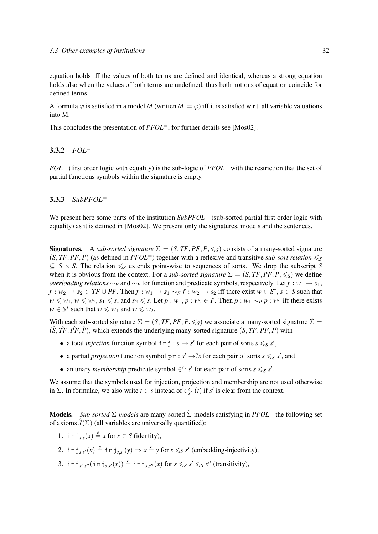equation holds iff the values of both terms are defined and identical, whereas a strong equation holds also when the values of both terms are undefined; thus both notions of equation coincide for defined terms.

A formula  $\varphi$  is satisfied in a model *M* (written  $M \models \varphi$ ) iff it is satisfied w.r.t. all variable valuations into M.

This concludes the presentation of *PFOL*<sup>=</sup>, for further details see [Mos02].

#### 3.3.2 *FOL*<sup>=</sup>

*FOL*<sup>=</sup> (first order logic with equality) is the sub-logic of *PFOL*<sup>=</sup> with the restriction that the set of partial functions symbols within the signature is empty.

#### 3.3.3 *SubPFOL*<sup>=</sup>

We present here some parts of the institution *SubPFOL*<sup>=</sup> (sub-sorted partial first order logic with equality) as it is defined in [Mos02]. We present only the signatures, models and the sentences.

**Signatures.** A *sub-sorted signature*  $\Sigma = (S, TF, PF, P, \leq_S)$  consists of a many-sorted signature  $(S, TF, PF, P)$  (as defined in *PFOL*<sup>=</sup>) together with a reflexive and transitive *sub-sort relation*  $\leqslant_S$  $\subseteq$  *S* × *S*. The relation  $\leq_S$  extends point-wise to sequences of sorts. We drop the subscript *S* when it is obvious from the context. For a *sub-sorted signature*  $\Sigma = (S, TF, PF, P, \leq_S)$  we define *overloading relations* ∼*F* and ∼*P* for function and predicate symbols, respectively. Let  $f : w_1 \rightarrow s_1$ , *f* : *w*<sub>2</sub> → *s*<sub>2</sub> ∈ *TF* ∪ *PF*. Then *f* : *w*<sub>1</sub> → *s*<sub>1</sub> ∼ *F f* : *w*<sub>2</sub> → *s*<sub>2</sub> iff there exist *w* ∈ *S*<sup>\*</sup>, *s* ∈ *S* such that *w* ≤ *w*<sub>1</sub>, *w* ≤ *w*<sub>2</sub>, *s*<sub>1</sub> ≤ *s*, and *s*<sub>2</sub> ≤ *s*. Let *p* : *w*<sub>1</sub>, *p* : *w*<sub>2</sub> ∈ *P*. Then *p* : *w*<sub>1</sub> ∼ *p y* : *w*<sub>2</sub> iff there exists  $w \in S^*$  such that  $w \leq w_1$  and  $w \leq w_2$ .

With each sub-sorted signature  $\Sigma = (S, TF, PF, P, \leq_S)$  we associate a many-sorted signature  $\hat{\Sigma} = \Sigma$  $(S, TF, PF, P)$ , which extends the underlying many-sorted signature  $(S, TF, PF, P)$  with

- a total *injection* function symbol  $\text{inj}: s \rightarrow s'$  for each pair of sorts  $s \leq s'$ ,
- a partial *projection* function symbol  $pr : s' \rightarrow ?s$  for each pair of sorts  $s \leq s s'$ , and
- an unary *membership* predicate symbol  $\in$ <sup>*s*</sup>: *s'* for each pair of sorts *s*  $\leq$  *s'*.

We assume that the symbols used for injection, projection and membership are not used otherwise in  $\Sigma$ . In formulae, we also write  $t \in s$  instead of  $\in_{s'}^s$  (*t*) if *s'* is clear from the context.

Models. *Sub-sorted* Σ*-models* are many-sorted Σˆ-models satisfying in *PFOL*<sup>=</sup> the following set of axioms  $\hat{J}(\Sigma)$  (all variables are universally quantified):

- 1. in  $j_{s,s}(x) \stackrel{e}{=} x$  for  $s \in S$  (identity),
- 2. in  $j_{s,s'}(x) \stackrel{e}{=}$  in  $j_{s,s'}(y) \Rightarrow x \stackrel{e}{=} y$  for  $s \leq s'$  (embedding-injectivity),
- 3. inj<sub>s',s''</sub>(inj<sub>s,s'</sub>'(x))  $\stackrel{e}{=}$  inj<sub>s,s''</sub>(x) for  $s \leqslant_S s' \leqslant_S s''$  (transitivity),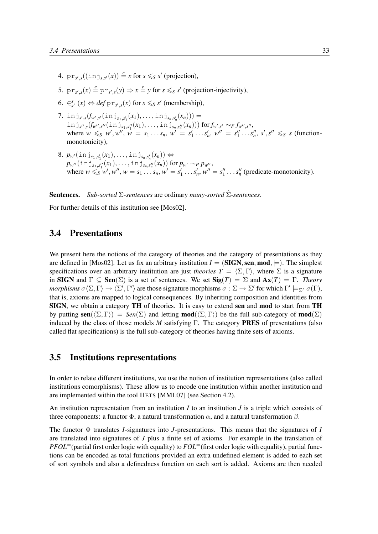- 4.  $pr_{s',s}((\text{in }j_{s,s'}(x)) \stackrel{e}{=} x \text{ for } s \leq s' \text{ (projection)},$
- 5.  $pr_{s',s}(x) \stackrel{e}{=} pr_{s',s}(y) \Rightarrow x \stackrel{e}{=} y$  for  $s \leq s'$  (projection-injectivity),
- 6.  $\in_{s'}^s$   $(x) \Leftrightarrow \text{def } \text{pr}_{s',s}(x) \text{ for } s \leq s' \text{ (membership)},$
- 7. inj<sub>s',s</sub>( $f_{w',s'}(i_n,j_{s_1,s'_1}(x_1),...,i_n,j_{s_n,s'_n}(x_n)))$ ) =  $\text{in } j_{s'',s}(f_{w'',s''}(\text{in } j_{s_1,s_1''}(x_1),\ldots,\text{in } j_{s_n,s_n''}(x_n))) \text{ for } f_{w',s'} \sim_F f_{w'',s''},$ where  $w \leq s$   $w', w'', w = s_1 \dots s_n$ ,  $w' = s'_1 \dots s'_n$ ,  $w'' = s''_1 \dots s''_n$ ,  $s', s'' \leq s$  (functionmonotonicity),
- $8. p_{w'}(\text{inj}_{s_1,s'_1}(x_1), \ldots, \text{inj}_{s_n,s'_n}(x_n)) \Leftrightarrow$  $p_{w''}(\text{inj}_{s_1,s_1''}(x_1), \ldots, \text{inj}_{s_n,s_n''}(x_n))$  for  $p_{w'} \sim_p p_{w''}$ , where  $w \le s_1, s_1 \le w'$ ,  $w''$ ,  $w = s_1 \dots s_n$ ,  $w' = s'_1 \dots s'_n$ ,  $w'' = s''_1 \dots s''_n$  (predicate-monotonicity).

Sentences. *Sub-sorted* Σ*-sentences* are ordinary *many-sorted* Σˆ*-sentences*.

For further details of this institution see [Mos02].

## 3.4 Presentations

We present here the notions of the category of theories and the category of presentations as they are defined in [Mos02]. Let us fix an arbitrary institution  $I = (\mathbf{SIGN}, \mathbf{sen}, \mathbf{mod}, \models)$ . The simplest specifications over an arbitrary institution are just *theories*  $T = \langle \Sigma, \Gamma \rangle$ , where  $\Sigma$  is a signature in SIGN and  $\Gamma \subseteq \text{Sen}(\Sigma)$  is a set of sentences. We set  $\text{Sig}(T) = \Sigma$  and  $\text{Ax}(T) = \Gamma$ . *Theory morphisms*  $\sigma \langle \Sigma, \Gamma \rangle \to \langle \Sigma', \Gamma' \rangle$  are those signature morphisms  $\sigma : \Sigma \to \Sigma'$  for which  $\Gamma' \models_{\Sigma'} \sigma(\Gamma)$ , that is, axioms are mapped to logical consequences. By inheriting composition and identities from SIGN, we obtain a category TH of theories. It is easy to extend sen and mod to start from TH by putting  $\textbf{sen}(\langle \Sigma, \Gamma \rangle) = \textit{Sen}(\Sigma)$  and letting  $\textbf{mod}(\langle \Sigma, \Gamma \rangle)$  be the full sub-category of  $\textbf{mod}(\Sigma)$ induced by the class of those models *M* satisfying Γ. The category PRES of presentations (also called flat specifications) is the full sub-category of theories having finite sets of axioms.

### 3.5 Institutions representations

In order to relate different institutions, we use the notion of institution representations (also called institutions comorphisms). These allow us to encode one institution within another institution and are implemented within the tool HETS [MML07] (see Section 4.2).

An institution representation from an institution *I* to an institution *J* is a triple which consists of three components: a functor  $\Phi$ , a natural transformation  $\alpha$ , and a natural transformation  $\beta$ .

The functor Φ translates *I*-signatures into *J*-presentations. This means that the signatures of *I* are translated into signatures of *J* plus a finite set of axioms. For example in the translation of *PFOL*=(partial first order logic with equality) to *FOL*=(first order logic with equality), partial functions can be encoded as total functions provided an extra undefined element is added to each set of sort symbols and also a definedness function on each sort is added. Axioms are then needed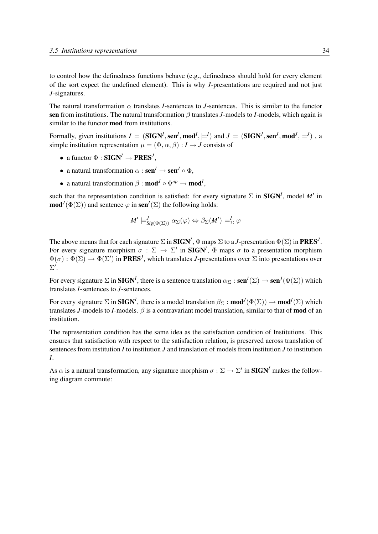to control how the definedness functions behave (e.g., definedness should hold for every element of the sort expect the undefined element). This is why *J*-presentations are required and not just *J*-signatures.

The natural transformation  $\alpha$  translates *I*-sentences to *J*-sentences. This is similar to the functor sen from institutions. The natural transformation β translates *J*-models to *I*-models, which again is similar to the functor mod from institutions.

Formally, given institutions  $I = (SIGN^I, sen^I, mod^I, \models^I)$  and  $J = (SIGN^J, sen^J, mod^J, \models^J)$ , a simple institution representation  $\mu = (\Phi, \alpha, \beta) : I \to J$  consists of

- a functor  $\Phi : \mathbf{SIGN}^I \to \mathbf{PRES}^J$ ,
- a natural transformation  $\alpha$  :  $\text{sen}^I \rightarrow \text{sen}^J \circ \Phi$ .
- a natural transformation  $\beta$  : **mod**<sup>*I*</sup>  $\circ$   $\Phi^{op} \to \textbf{mod}^I$ ,

such that the representation condition is satisfied: for every signature  $\Sigma$  in **SIGN<sup>I</sup>**, model M' in  $\text{mod}^J(\Phi(\Sigma))$  and sentence  $\varphi$  in  $\textbf{sen}^I(\Sigma)$  the following holds:

$$
M' \models^J_{\text{Sig}(\Phi(\Sigma))} \alpha_{\Sigma}(\varphi) \Leftrightarrow \beta_{\Sigma}(M') \models^I_{\Sigma} \varphi
$$

The above means that for each signature  $\Sigma$  in **SIGN<sup>I</sup>**,  $\Phi$  maps  $\Sigma$  to a *J*-presentation  $\Phi(\Sigma)$  in **PRES<sup>***J***</sup>**. For every signature morphism  $\sigma : \Sigma \to \Sigma'$  in **SIGN<sup>I</sup>**,  $\Phi$  maps  $\sigma$  to a presentation morphism  $\Phi(\sigma): \Phi(\Sigma) \to \Phi(\Sigma')$  in **PRES<sup>***J***</sup>**, which translates *J*-presentations over  $\Sigma$  into presentations over  $\Sigma^{\prime}$ .

For every signature  $\Sigma$  in **SIGN<sup>I</sup>**, there is a sentence translation  $\alpha_{\Sigma} : \textbf{sen}^I(\Sigma) \to \textbf{sen}^J(\Phi(\Sigma))$  which translates *I*-sentences to *J*-sentences.

For every signature  $\Sigma$  in **SIGN<sup>I</sup>**, there is a model translation  $\beta_{\Sigma}$  : **mod**<sup>I</sup> $(\Phi(\Sigma)) \to \text{mod}^I(\Sigma)$  which translates *J*-models to *I*-models.  $\beta$  is a contravariant model translation, similar to that of **mod** of an institution.

The representation condition has the same idea as the satisfaction condition of Institutions. This ensures that satisfaction with respect to the satisfaction relation, is preserved across translation of sentences from institution *I* to institution *J* and translation of models from institution *J* to institution *I*.

As  $\alpha$  is a natural transformation, any signature morphism  $\sigma : \Sigma \to \Sigma'$  in **SIGN<sup>I</sup>** makes the following diagram commute: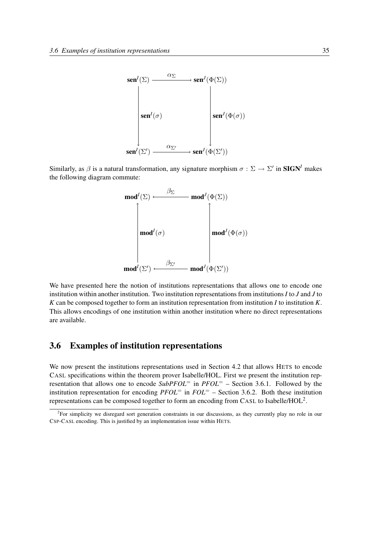

Similarly, as  $\beta$  is a natural transformation, any signature morphism  $\sigma : \Sigma \to \Sigma'$  in **SIGN<sup>I</sup>** makes the following diagram commute:



We have presented here the notion of institutions representations that allows one to encode one institution within another institution. Two institution representations from institutions *I* to *J* and *J* to *K* can be composed together to form an institution representation from institution *I* to institution *K*. This allows encodings of one institution within another institution where no direct representations are available.

## 3.6 Examples of institution representations

We now present the institutions representations used in Section 4.2 that allows HETS to encode CASL specifications within the theorem prover Isabelle/HOL. First we present the institution representation that allows one to encode  $SubPFOL^=$  in  $PFOL^=$  – Section 3.6.1. Followed by the institution representation for encoding  $PFOL^=$  in  $FOL^=$  – Section 3.6.2. Both these institution representations can be composed together to form an encoding from CASL to Isabelle/HOL<sup>2</sup>.

<sup>&</sup>lt;sup>2</sup>For simplicity we disregard sort generation constraints in our discussions, as they currently play no role in our CSP-CASL encoding. This is justified by an implementation issue within HETS.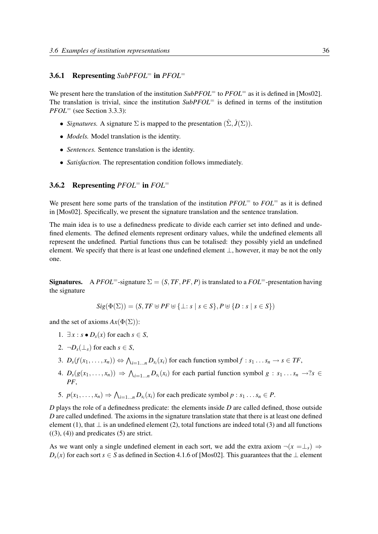## 3.6.1 Representing *SubPFOL*<sup>=</sup> in *PFOL*<sup>=</sup>

We present here the translation of the institution *SubPFOL*<sup>=</sup> to *PFOL*<sup>=</sup> as it is defined in [Mos02]. The translation is trivial, since the institution *SubPFOL*<sup>=</sup> is defined in terms of the institution *PFOL*<sup>=</sup> (see Section 3.3.3):

- *Signatures.* A signature  $\Sigma$  is mapped to the presentation  $(\hat{\Sigma}, \hat{J}(\Sigma))$ .
- *Models*. Model translation is the identity.
- *Sentences.* Sentence translation is the identity.
- *Satisfaction.* The representation condition follows immediately.

#### 3.6.2 Representing *PFOL*<sup>=</sup> in *FOL*<sup>=</sup>

We present here some parts of the translation of the institution *PFOL*<sup>=</sup> to *FOL*<sup>=</sup> as it is defined in [Mos02]. Specifically, we present the signature translation and the sentence translation.

The main idea is to use a definedness predicate to divide each carrier set into defined and undefined elements. The defined elements represent ordinary values, while the undefined elements all represent the undefined. Partial functions thus can be totalised: they possibly yield an undefined element. We specify that there is at least one undefined element  $\perp$ , however, it may be not the only one.

**Signatures.** A *PFOL*<sup>=</sup>-signature  $\Sigma = (S, TF, PF, P)$  is translated to a  $FOL$ <sup>=</sup>-presentation having the signature

$$
Sig(\Phi(\Sigma)) = (S, TF \uplus PF \uplus {\{\perp : s \mid s \in S\}}, P \uplus {\{D : s \mid s \in S\}})
$$

and the set of axioms  $Ax(\Phi(\Sigma))$ :

- 1.  $\exists x : s \bullet D_s(x)$  for each  $s \in S$ ,
- 2.  $\neg D_s(\perp_s)$  for each  $s \in S$ ,
- 3.  $D_s(f(x_1,\ldots,x_n)) \Leftrightarrow \bigwedge_{i=1\ldots n} D_{s_i}(x_i)$  for each function symbol  $f : s_1 \ldots s_n \to s \in TF$ ,
- 4.  $D_s(g(x_1,...,x_n)) \Rightarrow \bigwedge_{i=1...n} D_{s_i}(x_i)$  for each partial function symbol  $g: s_1...s_n \rightarrow s$ *PF*,
- 5.  $p(x_1, \ldots, x_n) \Rightarrow \bigwedge_{i=1...n} D_{s_i}(x_i)$  for each predicate symbol  $p : s_1 \ldots s_n \in P$ .

*D* plays the role of a definedness predicate: the elements inside *D* are called defined, those outside *D* are called undefined. The axioms in the signature translation state that there is at least one defined element (1), that  $\perp$  is an undefined element (2), total functions are indeed total (3) and all functions  $((3), (4))$  and predicates  $(5)$  are strict.

As we want only a single undefined element in each sort, we add the extra axiom  $\neg(x = \perp_s) \Rightarrow$ *D*<sub>*s*</sub>(*x*) for each sort *s* ∈ *S* as defined in Section 4.1.6 of [Mos02]. This guarantees that the ⊥ element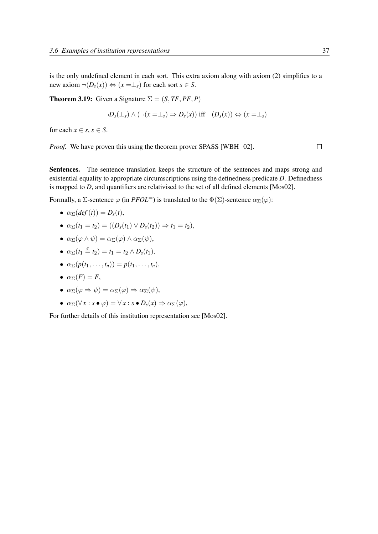is the only undefined element in each sort. This extra axiom along with axiom (2) simplifies to a new axiom  $\neg(D_s(x)) \Leftrightarrow (x = \perp_s)$  for each sort  $s \in S$ .

**Theorem 3.19:** Given a Signature  $\Sigma = (S, TF, PF, P)$ 

$$
\neg D_s(\perp_s) \land (\neg(x=\perp_s) \Rightarrow D_s(x)) \text{ iff } \neg(D_s(x)) \Leftrightarrow (x=\perp_s)
$$

for each  $x \in s$ ,  $s \in S$ .

*Proof.* We have proven this using the theorem prover SPASS [WBH<sup>+</sup>02].

 $\Box$ 

Sentences. The sentence translation keeps the structure of the sentences and maps strong and existential equality to appropriate circumscriptions using the definedness predicate *D*. Definedness is mapped to *D*, and quantifiers are relativised to the set of all defined elements [Mos02].

Formally, a  $\Sigma$ -sentence  $\varphi$  (in *PFOL*<sup>=</sup>) is translated to the  $\Phi(\Sigma)$ -sentence  $\alpha_{\Sigma}(\varphi)$ :

- $\alpha_{\Sigma}(\det(t)) = D_{s}(t),$
- $\bullet$   $\alpha_{\Sigma}(t_1 = t_2) = ((D_s(t_1) \vee D_s(t_2)) \Rightarrow t_1 = t_2),$
- $\alpha_{\Sigma}(\varphi \wedge \psi) = \alpha_{\Sigma}(\varphi) \wedge \alpha_{\Sigma}(\psi),$
- $\alpha_{\Sigma}(t_1 \stackrel{e}{=} t_2) = t_1 = t_2 \wedge D_s(t_1),$
- $\alpha_{\Sigma}(p(t_1, ..., t_n)) = p(t_1, ..., t_n),$
- $\alpha_{\Sigma}(F) = F$ ,
- $\alpha_{\Sigma}(\varphi \Rightarrow \psi) = \alpha_{\Sigma}(\varphi) \Rightarrow \alpha_{\Sigma}(\psi),$
- $\alpha_{\Sigma}(\forall x : s \bullet \varphi) = \forall x : s \bullet D_s(x) \Rightarrow \alpha_{\Sigma}(\varphi),$

For further details of this institution representation see [Mos02].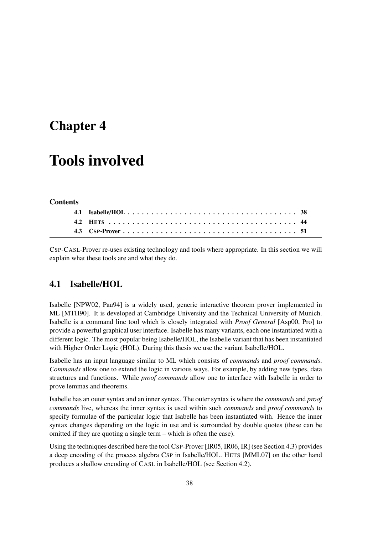## Chapter 4

# Tools involved

#### **Contents**

CSP-CASL-Prover re-uses existing technology and tools where appropriate. In this section we will explain what these tools are and what they do.

## 4.1 Isabelle/HOL

Isabelle [NPW02, Pau94] is a widely used, generic interactive theorem prover implemented in ML [MTH90]. It is developed at Cambridge University and the Technical University of Munich. Isabelle is a command line tool which is closely integrated with *Proof General* [Asp00, Pro] to provide a powerful graphical user interface. Isabelle has many variants, each one instantiated with a different logic. The most popular being Isabelle/HOL, the Isabelle variant that has been instantiated with Higher Order Logic (HOL). During this thesis we use the variant Isabelle/HOL.

Isabelle has an input language similar to ML which consists of *commands* and *proof commands*. *Commands* allow one to extend the logic in various ways. For example, by adding new types, data structures and functions. While *proof commands* allow one to interface with Isabelle in order to prove lemmas and theorems.

Isabelle has an outer syntax and an inner syntax. The outer syntax is where the *commands* and *proof commands* live, whereas the inner syntax is used within such *commands* and *proof commands* to specify formulae of the particular logic that Isabelle has been instantiated with. Hence the inner syntax changes depending on the logic in use and is surrounded by double quotes (these can be omitted if they are quoting a single term – which is often the case).

Using the techniques described here the tool CSP-Prover [IR05, IR06, IR] (see Section 4.3) provides a deep encoding of the process algebra CSP in Isabelle/HOL. HETS [MML07] on the other hand produces a shallow encoding of CASL in Isabelle/HOL (see Section 4.2).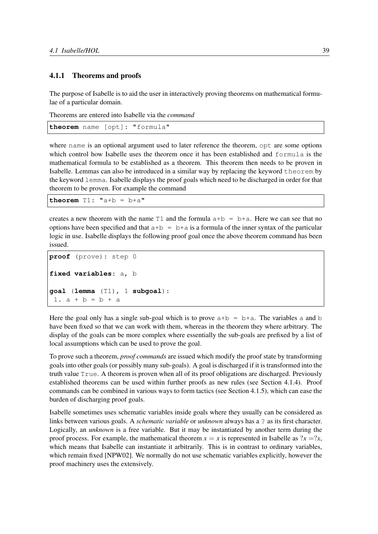#### 4.1.1 Theorems and proofs

The purpose of Isabelle is to aid the user in interactively proving theorems on mathematical formulae of a particular domain.

Theorems are entered into Isabelle via the *command*

```
theorem name [opt]: "formula"
```
where name is an optional argument used to later reference the theorem, opt are some options which control how Isabelle uses the theorem once it has been established and formula is the mathematical formula to be established as a theorem. This theorem then needs to be proven in Isabelle. Lemmas can also be introduced in a similar way by replacing the keyword theorem by the keyword lemma. Isabelle displays the proof goals which need to be discharged in order for that theorem to be proven. For example the command

**theorem**  $T1$ :  $''a+b = b+a$ 

creates a new theorem with the name  $T1$  and the formula  $a+b = b+a$ . Here we can see that no options have been specified and that  $a+b = b+a$  is a formula of the inner syntax of the particular logic in use. Isabelle displays the following proof goal once the above theorem command has been issued.

```
proof (prove): step 0
fixed variables: a, b
goal (lemma (T1), 1 subgoal):
 1. a + b = b + a
```
Here the goal only has a single sub-goal which is to prove  $a+b = b+a$ . The variables a and b have been fixed so that we can work with them, whereas in the theorem they where arbitrary. The display of the goals can be more complex where essentially the sub-goals are prefixed by a list of local assumptions which can be used to prove the goal.

To prove such a theorem, *proof commands* are issued which modify the proof state by transforming goals into other goals (or possibly many sub-goals). A goal is discharged if it is transformed into the truth value True. A theorem is proven when all of its proof obligations are discharged. Previously established theorems can be used within further proofs as new rules (see Section 4.1.4). Proof commands can be combined in various ways to form tactics (see Section 4.1.5), which can ease the burden of discharging proof goals.

Isabelle sometimes uses schematic variables inside goals where they usually can be considered as links between various goals. A *schematic variable* or *unknown* always has a ? as its first character. Logically, an *unknown* is a free variable. But it may be instantiated by another term during the proof process. For example, the mathematical theorem  $x = x$  is represented in Isabelle as  $2x = 2x$ , which means that Isabelle can instantiate it arbitrarily. This is in contrast to ordinary variables, which remain fixed [NPW02]. We normally do not use schematic variables explicitly, however the proof machinery uses the extensively.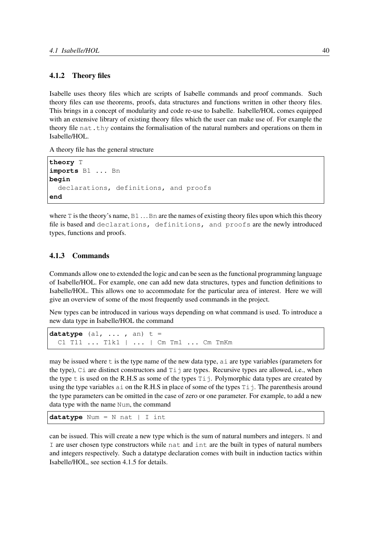#### 4.1.2 Theory files

Isabelle uses theory files which are scripts of Isabelle commands and proof commands. Such theory files can use theorems, proofs, data structures and functions written in other theory files. This brings in a concept of modularity and code re-use to Isabelle. Isabelle/HOL comes equipped with an extensive library of existing theory files which the user can make use of. For example the theory file nat.thy contains the formalisation of the natural numbers and operations on them in Isabelle/HOL.

A theory file has the general structure

```
theory T
imports B1 ... Bn
begin
  declarations, definitions, and proofs
end
```
where  $T$  is the theory's name,  $B1 \dots Bn$  are the names of existing theory files upon which this theory file is based and declarations, definitions, and proofs are the newly introduced types, functions and proofs.

#### 4.1.3 Commands

Commands allow one to extended the logic and can be seen as the functional programming language of Isabelle/HOL. For example, one can add new data structures, types and function definitions to Isabelle/HOL. This allows one to accommodate for the particular area of interest. Here we will give an overview of some of the most frequently used commands in the project.

New types can be introduced in various ways depending on what command is used. To introduce a new data type in Isabelle/HOL the command

```
datatype (a1, ..., an) t =
 C1 T11 ... T1k1 | ... | Cm Tm1 ... Cm TmKm
```
may be issued where t is the type name of the new data type, ai are type variables (parameters for the type),  $C_i$  are distinct constructors and  $Ti$  j are types. Recursive types are allowed, i.e., when the type t is used on the R.H.S as some of the types  $Ti$  - Polymorphic data types are created by using the type variables  $a_i$  on the R.H.S in place of some of the types  $Ti$  j. The parenthesis around the type parameters can be omitted in the case of zero or one parameter. For example, to add a new data type with the name Num, the command

```
datatype Num = N nat | I int
```
can be issued. This will create a new type which is the sum of natural numbers and integers. N and I are user chosen type constructors while nat and int are the built in types of natural numbers and integers respectively. Such a datatype declaration comes with built in induction tactics within Isabelle/HOL, see section 4.1.5 for details.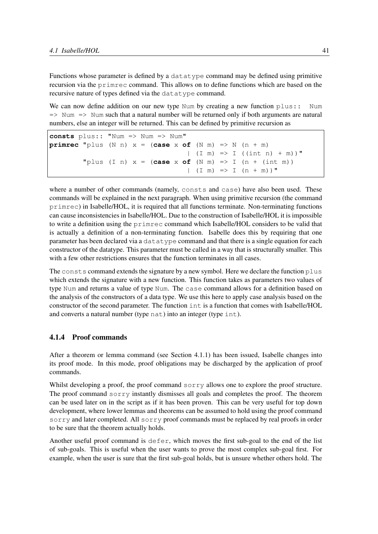Functions whose parameter is defined by a datatype command may be defined using primitive recursion via the primrec command. This allows on to define functions which are based on the recursive nature of types defined via the datatype command.

We can now define addition on our new type Num by creating a new function  $\nu$ lus:: Num  $\Rightarrow$  Num  $\Rightarrow$  Num such that a natural number will be returned only if both arguments are natural numbers, else an integer will be returned. This can be defined by primitive recursion as

```
consts plus:: "Num => Num => Num"
primrec "plus (N \ n) x = (case \ x \ of \ (N \ m) \implies N \ (n + m)| (I m) \implies I (int n) + m )"plus (I n) x = (case \times of \t(N \t m) \Rightarrow I \t(n + (int \t m))|\text{ } (I \text{ } m) \text{ } => \text{ } I \text{ } (n + m))"
```
where a number of other commands (namely, consts and case) have also been used. These commands will be explained in the next paragraph. When using primitive recursion (the command primrec) in Isabelle/HOL, it is required that all functions terminate. Non-terminating functions can cause inconsistencies in Isabelle/HOL. Due to the construction of Isabelle/HOL it is impossible to write a definition using the primrec command which Isabelle/HOL considers to be valid that is actually a definition of a non-terminating function. Isabelle does this by requiring that one parameter has been declared via a datatype command and that there is a single equation for each constructor of the datatype. This parameter must be called in a way that is structurally smaller. This with a few other restrictions ensures that the function terminates in all cases.

The consts command extends the signature by a new symbol. Here we declare the function plus which extends the signature with a new function. This function takes as parameters two values of type Num and returns a value of type Num. The case command allows for a definition based on the analysis of the constructors of a data type. We use this here to apply case analysis based on the constructor of the second parameter. The function int is a function that comes with Isabelle/HOL and converts a natural number (type nat) into an integer (type int).

#### 4.1.4 Proof commands

After a theorem or lemma command (see Section 4.1.1) has been issued, Isabelle changes into its proof mode. In this mode, proof obligations may be discharged by the application of proof commands.

Whilst developing a proof, the proof command sorry allows one to explore the proof structure. The proof command sorry instantly dismisses all goals and completes the proof. The theorem can be used later on in the script as if it has been proven. This can be very useful for top down development, where lower lemmas and theorems can be assumed to hold using the proof command sorry and later completed. All sorry proof commands must be replaced by real proofs in order to be sure that the theorem actually holds.

Another useful proof command is defer, which moves the first sub-goal to the end of the list of sub-goals. This is useful when the user wants to prove the most complex sub-goal first. For example, when the user is sure that the first sub-goal holds, but is unsure whether others hold. The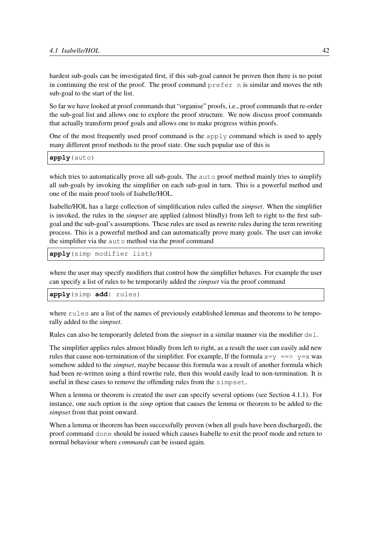hardest sub-goals can be investigated first, if this sub-goal cannot be proven then there is no point in continuing the rest of the proof. The proof command  $prefer n$  is similar and moves the nth sub-goal to the start of the list.

So far we have looked at proof commands that "organise" proofs, i.e., proof commands that re-order the sub-goal list and allows one to explore the proof structure. We now discuss proof commands that actually transform proof goals and allows one to make progress within proofs.

One of the most frequently used proof command is the apply command which is used to apply many different proof methods to the proof state. One such popular use of this is

**apply**(auto)

which tries to automatically prove all sub-goals. The auto proof method mainly tries to simplify all sub-goals by invoking the simplifier on each sub-goal in turn. This is a powerful method and one of the main proof tools of Isabelle/HOL.

Isabelle/HOL has a large collection of simplification rules called the *simpset*. When the simplifier is invoked, the rules in the *simpset* are applied (almost blindly) from left to right to the first subgoal and the sub-goal's assumptions. These rules are used as rewrite rules during the term rewriting process. This is a powerful method and can automatically prove many goals. The user can invoke the simplifier via the auto method via the proof command

**apply**(simp modifier list)

where the user may specify modifiers that control how the simplifier behaves. For example the user can specify a list of rules to be temporarily added the *simpset* via the proof command

**apply**(simp **add**: rules)

where rules are a list of the names of previously established lemmas and theorems to be temporally added to the *simpset*.

Rules can also be temporarily deleted from the *simpset* in a similar manner via the modifier del.

The simplifier applies rules almost blindly from left to right, as a result the user can easily add new rules that cause non-termination of the simplifier. For example, If the formula  $x=y == y = x$  was somehow added to the *simpset*, maybe because this formula was a result of another formula which had been re-written using a third rewrite rule, then this would easily lead to non-termination. It is useful in these cases to remove the offending rules from the simpset.

When a lemma or theorem is created the user can specify several options (see Section 4.1.1). For instance, one such option is the *simp* option that causes the lemma or theorem to be added to the *simpset* from that point onward.

When a lemma or theorem has been successfully proven (when all goals have been discharged), the proof command done should be issued which causes Isabelle to exit the proof mode and return to normal behaviour where *commands* can be issued again.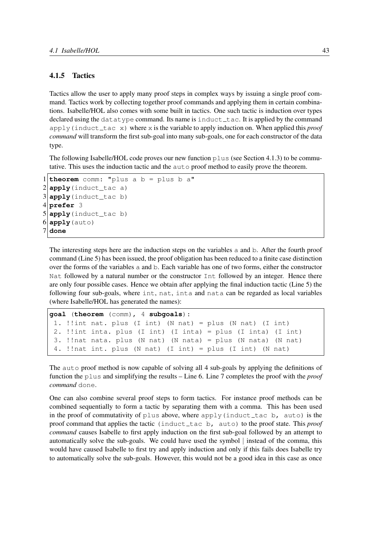#### 4.1.5 Tactics

Tactics allow the user to apply many proof steps in complex ways by issuing a single proof command. Tactics work by collecting together proof commands and applying them in certain combinations. Isabelle/HOL also comes with some built in tactics. One such tactic is induction over types declared using the datatype command. Its name is induct  $\pm$  ac. It is applied by the command apply(induct tac x) where x is the variable to apply induction on. When applied this *proof command* will transform the first sub-goal into many sub-goals, one for each constructor of the data type.

The following Isabelle/HOL code proves our new function plus (see Section 4.1.3) to be commutative. This uses the induction tactic and the auto proof method to easily prove the theorem.

```
1 theorem comm: "plus a b = plus b a"
2 apply (induct_tac a)
3 apply(induct_tac b)
4 prefer 3
5 apply(induct_tac b)
6 apply (auto)
7 done
```
The interesting steps here are the induction steps on the variables a and b. After the fourth proof command (Line 5) has been issued, the proof obligation has been reduced to a finite case distinction over the forms of the variables a and b. Each variable has one of two forms, either the constructor Nat followed by a natural number or the constructor Int followed by an integer. Hence there are only four possible cases. Hence we obtain after applying the final induction tactic (Line 5) the following four sub-goals, where int, nat, inta and nata can be regarded as local variables (where Isabelle/HOL has generated the names):

```
goal (theorem (comm), 4 subgoals):
 1. !!int nat. plus (I int) (N nat) = plus (N nat) (I int)
 2. !!int inta. plus (I \text{ int}) (I \text{ int}) = plus (I \text{ int}) (I \text{ int})3. !!nat nata. plus (N nat) (N nata) = plus (N nata) (N nat)
 4. !!nat int. plus (N nat) (I int) = plus (I int) (N nat)
```
The auto proof method is now capable of solving all 4 sub-goals by applying the definitions of function the plus and simplifying the results – Line 6. Line 7 completes the proof with the *proof command* done.

One can also combine several proof steps to form tactics. For instance proof methods can be combined sequentially to form a tactic by separating them with a comma. This has been used in the proof of commutativity of plus above, where apply (induct  $\pm$  actobilism the state) is the proof command that applies the tactic (induct tac b, auto) to the proof state. This *proof command* causes Isabelle to first apply induction on the first sub-goal followed by an attempt to automatically solve the sub-goals. We could have used the symbol | instead of the comma, this would have caused Isabelle to first try and apply induction and only if this fails does Isabelle try to automatically solve the sub-goals. However, this would not be a good idea in this case as once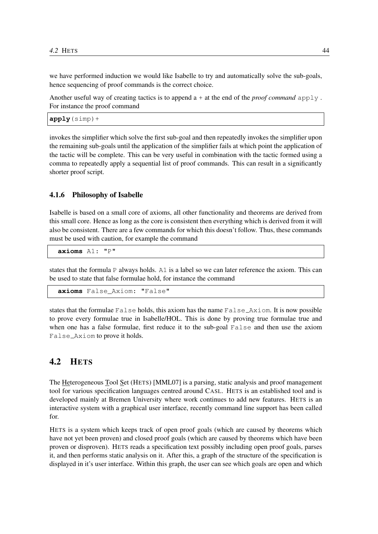we have performed induction we would like Isabelle to try and automatically solve the sub-goals, hence sequencing of proof commands is the correct choice.

Another useful way of creating tactics is to append a + at the end of the *proof command* apply . For instance the proof command

**apply**(simp)+

invokes the simplifier which solve the first sub-goal and then repeatedly invokes the simplifier upon the remaining sub-goals until the application of the simplifier fails at which point the application of the tactic will be complete. This can be very useful in combination with the tactic formed using a comma to repeatedly apply a sequential list of proof commands. This can result in a significantly shorter proof script.

#### 4.1.6 Philosophy of Isabelle

Isabelle is based on a small core of axioms, all other functionality and theorems are derived from this small core. Hence as long as the core is consistent then everything which is derived from it will also be consistent. There are a few commands for which this doesn't follow. Thus, these commands must be used with caution, for example the command

**axioms** A1: "P"

states that the formula P always holds. A1 is a label so we can later reference the axiom. This can be used to state that false formulae hold, for instance the command

**axioms** False\_Axiom: "False"

states that the formulae  $False$  holds, this axiom has the name  $False$   $Axiom$ . It is now possible to prove every formulae true in Isabelle/HOL. This is done by proving true formulae true and when one has a false formulae, first reduce it to the sub-goal False and then use the axiom False Axiom to prove it holds.

## 4.2 HETS

The Heterogeneous Tool Set (HETS) [MML07] is a parsing, static analysis and proof management tool for various specification languages centred around CASL. HETS is an established tool and is developed mainly at Bremen University where work continues to add new features. HETS is an interactive system with a graphical user interface, recently command line support has been called for.

HETS is a system which keeps track of open proof goals (which are caused by theorems which have not yet been proven) and closed proof goals (which are caused by theorems which have been proven or disproven). HETS reads a specification text possibly including open proof goals, parses it, and then performs static analysis on it. After this, a graph of the structure of the specification is displayed in it's user interface. Within this graph, the user can see which goals are open and which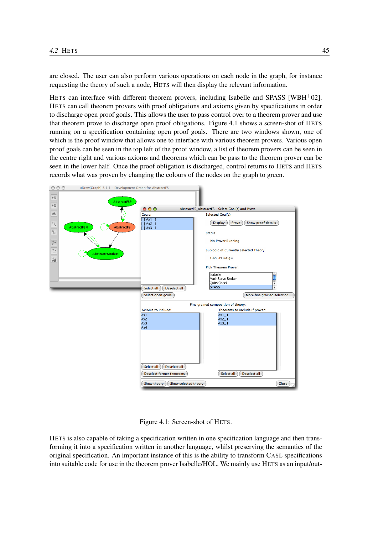are closed. The user can also perform various operations on each node in the graph, for instance requesting the theory of such a node, HETS will then display the relevant information.

HETS can interface with different theorem provers, including Isabelle and SPASS [WBH+02]. HETS can call theorem provers with proof obligations and axioms given by specifications in order to discharge open proof goals. This allows the user to pass control over to a theorem prover and use that theorem prove to discharge open proof obligations. Figure 4.1 shows a screen-shot of HETS running on a specification containing open proof goals. There are two windows shown, one of which is the proof window that allows one to interface with various theorem provers. Various open proof goals can be seen in the top left of the proof window, a list of theorem provers can be seen in the centre right and various axioms and theorems which can be pass to the theorem prover can be seen in the lower half. Once the proof obligation is discharged, control returns to HETS and HETS records what was proven by changing the colours of the nodes on the graph to green.



Figure 4.1: Screen-shot of HETS.

HETS is also capable of taking a specification written in one specification language and then transforming it into a specification written in another language, whilst preserving the semantics of the original specification. An important instance of this is the ability to transform CASL specifications into suitable code for use in the theorem prover Isabelle/HOL. We mainly use HETS as an input/out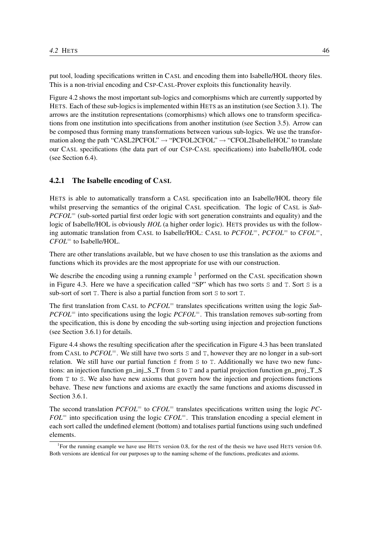put tool, loading specifications written in CASL and encoding them into Isabelle/HOL theory files. This is a non-trivial encoding and CSP-CASL-Prover exploits this functionality heavily.

Figure 4.2 shows the most important sub-logics and comorphisms which are currently supported by HETS. Each of these sub-logics is implemented within HETS as an institution (see Section 3.1). The arrows are the institution representations (comorphisms) which allows one to transform specifications from one institution into specifications from another institution (see Section 3.5). Arrow can be composed thus forming many transformations between various sub-logics. We use the transformation along the path "CASL2PCFOL"  $\rightarrow$  "PCFOL2CFOL"  $\rightarrow$  "CFOL2IsabelleHOL" to translate our CASL specifications (the data part of our CSP-CASL specifications) into Isabelle/HOL code (see Section 6.4).

#### 4.2.1 The Isabelle encoding of CASL

HETS is able to automatically transform a CASL specification into an Isabelle/HOL theory file whilst preserving the semantics of the original CASL specification. The logic of CASL is *Sub*-*PCFOL*<sup>=</sup> (sub-sorted partial first order logic with sort generation constraints and equality) and the logic of Isabelle/HOL is obviously *HOL* (a higher order logic). HETS provides us with the following automatic translation from CASL to Isabelle/HOL: CASL to *PCFOL*=, *PCFOL*<sup>=</sup> to *CFOL*=, *CFOL*<sup>=</sup> to Isabelle/HOL.

There are other translations available, but we have chosen to use this translation as the axioms and functions which its provides are the most appropriate for use with our construction.

We describe the encoding using a running example  $<sup>1</sup>$  performed on the CASL specification shown</sup> in Figure 4.3. Here we have a specification called "SP" which has two sorts S and T. Sort S is a sub-sort of sort T. There is also a partial function from sort S to sort T.

The first translation from CASL to *PCFOL*<sup>=</sup> translates specifications written using the logic *Sub*-*PCFOL*<sup>=</sup> into specifications using the logic *PCFOL*<sup>=</sup>. This translation removes sub-sorting from the specification, this is done by encoding the sub-sorting using injection and projection functions (see Section 3.6.1) for details.

Figure 4.4 shows the resulting specification after the specification in Figure 4.3 has been translated from CASL to *PCFOL*=. We still have two sorts S and T, however they are no longer in a sub-sort relation. We still have our partial function  $f$  from  $S$  to  $T$ . Additionally we have two new functions: an injection function gn\_inj\_S\_T from S to T and a partial projection function gn\_proj\_T\_S from T to S. We also have new axioms that govern how the injection and projections functions behave. These new functions and axioms are exactly the same functions and axioms discussed in Section 3.6.1.

The second translation *PCFOL*<sup>=</sup> to *CFOL*<sup>=</sup> translates specifications written using the logic *PC*-*FOL*<sup>=</sup> into specification using the logic *CFOL*=. This translation encoding a special element in each sort called the undefined element (bottom) and totalises partial functions using such undefined elements.

<sup>&</sup>lt;sup>1</sup>For the running example we have use HETS version 0.8, for the rest of the thesis we have used HETS version 0.6. Both versions are identical for our purposes up to the naming scheme of the functions, predicates and axioms.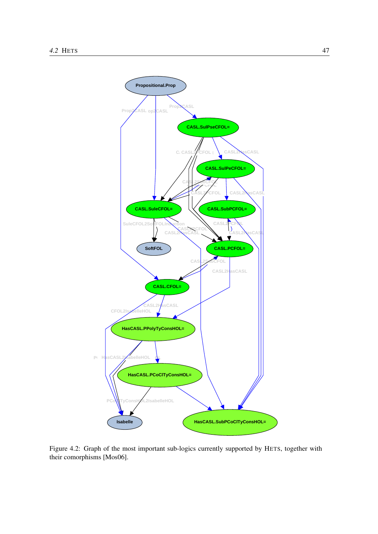

Figure 4.2: Graph of the most important sub-logics currently supported by HETS, together with their comorphisms [Mos06].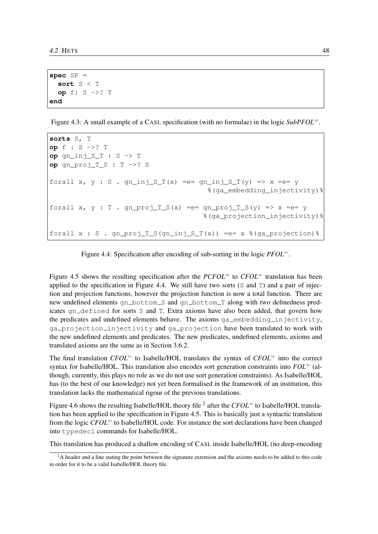```
spec SP =
  sort S < T
  op f: S ->? T
end
```
Figure 4.3: A small example of a CASL specification (with no formulae) in the logic *SubPFOL*=.

```
sorts S, T
op f : S ->? T
op gn_inj_S_T : S -> T
op gn_proj_T_S : T ->? S
forall x, y : S. gn\_inj_S_T(x) == gn\_inj_S_T(y) => x == y%(ga_embedding_injectivity)%
forall x, y : T. gn_proj_T_S(x) =e= gn_proj_T_S(y) => x =e= y
                                     %(ga_projection_injectivity)%
forall x : S. gn\_proj_T_S(gn\_inj_S_T(x)) == x % (ga\_projection)
```
Figure 4.4: Specification after encoding of sub-sorting in the logic *PFOL*=.

Figure 4.5 shows the resulting specification after the *PCFOL*<sup>=</sup> to *CFOL*<sup>=</sup> translation has been applied to the specification in Figure 4.4. We still have two sorts (S and T) and a pair of injection and projection functions, however the projection function is now a total function. There are new undefined elements gn\_bottom\_S and gn\_bottom\_T along with two definedness predicates gn defined for sorts S and T. Extra axioms have also been added, that govern how the predicates and undefined elements behave. The axioms ga\_embedding\_injectivity, ga projection injectivity and ga projection have been translated to work with the new undefined elements and predicates. The new predicates, undefined elements, axioms and translated axioms are the same as in Section 3.6.2.

The final translation *CFOL*<sup>=</sup> to Isabelle/HOL translates the syntax of *CFOL*<sup>=</sup> into the correct syntax for Isabelle/HOL. This translation also encodes sort generation constraints into *FOL*<sup>=</sup> (although, currently, this plays no role as we do not use sort generation constraints). As Isabelle/HOL has (to the best of our knowledge) not yet been formalised in the framework of an institution, this translation lacks the mathematical rigour of the previous translations.

Figure 4.6 shows the resulting Isabelle/HOL theory file <sup>2</sup> after the *CFOL*<sup>=</sup> to Isabelle/HOL translation has been applied to the specification in Figure 4.5. This is basically just a syntactic translation from the logic *CFOL*<sup>=</sup> to Isabelle/HOL code. For instance the sort declarations have been changed into typedecl commands for Isabelle/HOL.

This translation has produced a shallow encoding of CASL inside Isabelle/HOL (no deep-encoding

<sup>&</sup>lt;sup>2</sup>A header and a line stating the point between the signature extension and the axioms needs to be added to this code in order for it to be a valid Isabelle/HOL theory file.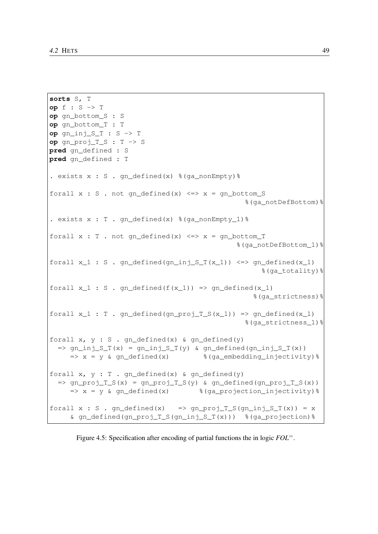```
sorts S, T
op f : S -> T
op gn_bottom_S : S
op gn_bottom_T : T
op gn_inj_S_T : S -> T
op gn_proj_T_S : T -> S
pred gn_defined : S
pred gn_defined : T
. exists x : S . gn_defined(x) %(ga_nonEmpty)%
forall x : S. not gn\_defined(x) \iff x = gn\_bottom\_S%(ga_notDefBottom)%
. exists x : T. qn defined(x) % f(x) = f(x) .
forall x : T . not qn defined(x) \iff x = qn bottom T
                                                   %(ga_notDefBottom_1)%
forall x_1 : S. gn\_defined(gn_inj_S_T(x_1)) \iff gn\_defined(x_1)%(ga_totality)%
forall x_1 : S. qn\text{ defined}(f(x_1)) \implies qn\text{ defined}(x_1)%(ga_strictness)%
forall x_1 : T. gn\_defined(gn\_proj\_T_S(x_1)) \Rightarrow gn\_defined(x_1)%(ga_strictness_1)%
forall x, y : S. gn defined(x) & gn defined(y)
  = \pi_{\text{min}} \text{S}_T(x) = \text{gn}_{\text{min}} \text{S}_T(y) & \text{gn}_{\text{defined}}(g_{\text{min}}) \text{S}_T(x)\Rightarrow x = y & qn_defined(x) \frac{1}{2} % (qa_embedding_injectivity) %
forall x, y : T . gn_defined(x) & gn_defined(y)
  = \pi_{p}roj_{T_S(x)} = \pi_{p}roj_{T_S(y)} & gn_{defined(gn\_proj\_T_S(x))}\Rightarrow x = y & gn_defined(x) % (ga_projection_injectivity) %
forall x : S. gn_defined(x) => gn_proj_T_S(gn_inj_S_T(x)) = x
     & gn_defined(gn_proj_T_S(gn_inj_S_T(x))) %(ga_projection)%
```
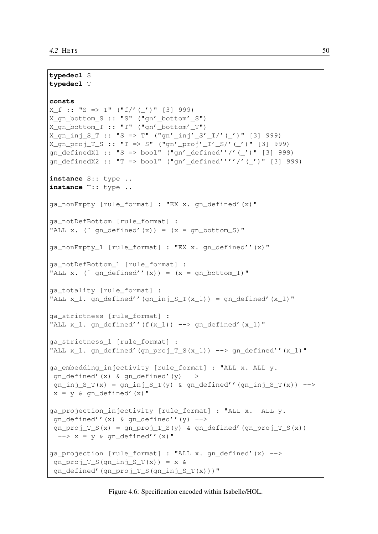```
typedecl S
typedecl T
consts
X_f : : "S \implies T" (''f'') (''')" [3] 999X qn bottom S :: "S" ("qn' bottom' S")
X_gn_bottom_T :: "T" ("gn'_bottom'_T")
X qn inj S T :: "S => T" ("qn'_inj'_S'_T/'(')" [3] 999)
X_qgn_proj_T_S :: "T => S" ("qn'_proj'_T'_S/'(_')" [3] 999)
gn_definedX1 :: "S => bool" ("gn'_defined''/'(_')" [3] 999)
gn_definedX2 :: "T => bool" ("gn'_defined''''/'(_')" [3] 999)
instance S:: type ..
instance T:: type ..
ga_nonEmpty [rule_format] : "EX x. gn_defined'(x)"
ga_notDefBottom [rule_format] :
"ALL x. (" qn_defined'(x)) = (x = qn_bottom_S)"
ga_nonEmpty_1 [rule_format] : "EX x. gn_defined''(x)"
ga_notDefBottom_1 [rule_format] :
"ALL x. (" gn\_defined''(x)) = (x = gn\_bottom\_T)"
ga_totality [rule_format] :
"ALL x_1. gn_defined''(gn_inj_S_T(x_1)) = gn_defined'(x_1)"
ga_strictness [rule_format] :
"ALL x_1. gn_defined''(f(x_1)) --> gn_defined'(x_1)"
ga_strictness_1 [rule_format] :
"ALL x 1. gn_defined'(gn_proj_T_S(x_1)) --> gn_defined''(x_1)"
ga_embedding_injectivity [rule_format] : "ALL x. ALL y.
qn_defined'(x) & qn_defined'(y) \rightarrowgn_inj_S_T(x) = gn_inj_S_T(y) & gn_defined''(gn_inj_S_T(x)) -->
x = y \& gn\_defined'(x)"
ga_projection_injectivity [rule_format] : "ALL x. ALL y.
gn_defined''(x) & gn_defined''(y) \rightarrowgn\_proj\_T_S(x) = gn\_proj\_T_S(y) & gn\_defined' (gn\_proj\_T_S(x))\leftarrow > x = y & gn_defined''(x)"
ga_projection [rule_format] : "ALL x. gn_defined'(x) -->
qn\_proj\_T_S(qn\_inj_S_T(x)) = x \&gn defined'(gn proj T S(gn inj S T(x)))"
```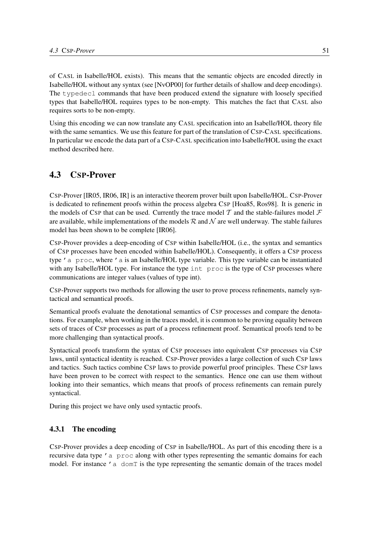of CASL in Isabelle/HOL exists). This means that the semantic objects are encoded directly in Isabelle/HOL without any syntax (see [NvOP00] for further details of shallow and deep encodings). The typedecl commands that have been produced extend the signature with loosely specified types that Isabelle/HOL requires types to be non-empty. This matches the fact that CASL also requires sorts to be non-empty.

Using this encoding we can now translate any CASL specification into an Isabelle/HOL theory file with the same semantics. We use this feature for part of the translation of CSP-CASL specifications. In particular we encode the data part of a CSP-CASL specification into Isabelle/HOL using the exact method described here.

## 4.3 CSP-Prover

CSP-Prover [IR05, IR06, IR] is an interactive theorem prover built upon Isabelle/HOL. CSP-Prover is dedicated to refinement proofs within the process algebra CSP [Hoa85, Ros98]. It is generic in the models of CSP that can be used. Currently the trace model T and the stable-failures model  $\mathcal F$ are available, while implementations of the models  $R$  and  $N$  are well underway. The stable failures model has been shown to be complete [IR06].

CSP-Prover provides a deep-encoding of CSP within Isabelle/HOL (i.e., the syntax and semantics of CSP processes have been encoded within Isabelle/HOL). Consequently, it offers a CSP process type 'a proc, where 'a is an Isabelle/HOL type variable. This type variable can be instantiated with any Isabelle/HOL type. For instance the type int proc is the type of CSP processes where communications are integer values (values of type int).

CSP-Prover supports two methods for allowing the user to prove process refinements, namely syntactical and semantical proofs.

Semantical proofs evaluate the denotational semantics of CSP processes and compare the denotations. For example, when working in the traces model, it is common to be proving equality between sets of traces of CSP processes as part of a process refinement proof. Semantical proofs tend to be more challenging than syntactical proofs.

Syntactical proofs transform the syntax of CSP processes into equivalent CSP processes via CSP laws, until syntactical identity is reached. CSP-Prover provides a large collection of such CSP laws and tactics. Such tactics combine CSP laws to provide powerful proof principles. These CSP laws have been proven to be correct with respect to the semantics. Hence one can use them without looking into their semantics, which means that proofs of process refinements can remain purely syntactical.

During this project we have only used syntactic proofs.

#### 4.3.1 The encoding

CSP-Prover provides a deep encoding of CSP in Isabelle/HOL. As part of this encoding there is a recursive data type 'a proc along with other types representing the semantic domains for each model. For instance 'a domT is the type representing the semantic domain of the traces model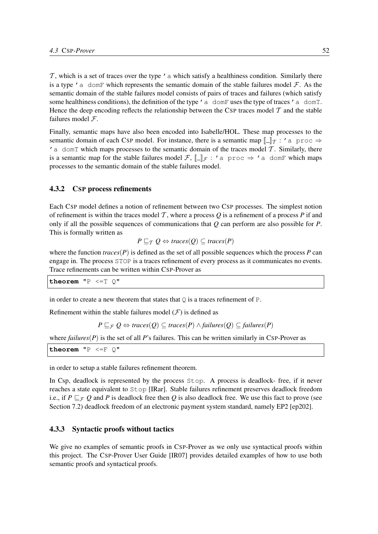$\tau$ , which is a set of traces over the type  $\prime$  a which satisfy a healthiness condition. Similarly there is a type  $\prime$  a domF which represents the semantic domain of the stable failures model  $\mathcal F$ . As the semantic domain of the stable failures model consists of pairs of traces and failures (which satisfy some healthiness conditions), the definition of the type 'a domF uses the type of traces 'a domT. Hence the deep encoding reflects the relationship between the CSP traces model  $\mathcal T$  and the stable failures model  $\mathcal{F}$ .

Finally, semantic maps have also been encoded into Isabelle/HOL. These map processes to the semantic domain of each CSP model. For instance, there is a semantic map  $[\![\cdot]\!]_T : 'a$  proc  $\Rightarrow$  $\ell$  a domT which maps processes to the semantic domain of the traces model  $\tau$ . Similarly, there is a semantic map for the stable failures model F,  $\llbracket \cdot \rrbracket_F$  : 'a proc  $\Rightarrow$  'a domF which maps processes to the semantic domain of the stable failures model.

#### 4.3.2 CSP process refinements

Each CSP model defines a notion of refinement between two CSP processes. The simplest notion of refinement is within the traces model  $T$ , where a process  $Q$  is a refinement of a process  $P$  if and only if all the possible sequences of communications that *Q* can perform are also possible for *P*. This is formally written as

$$
P \sqsubseteq_T Q \Leftrightarrow \mathit{traces}(Q) \subseteq \mathit{traces}(P)
$$

where the function  $traces(P)$  is defined as the set of all possible sequences which the process  $P$  can engage in. The process STOP is a traces refinement of every process as it communicates no events. Trace refinements can be written within CSP-Prover as

**theorem** "P <=T Q"

in order to create a new theorem that states that  $Q$  is a traces refinement of P.

Refinement within the stable failures model  $(F)$  is defined as

$$
P \sqsubseteq_{\mathcal{F}} Q \Leftrightarrow \text{traces}(Q) \subseteq \text{traces}(P) \land \text{failures}(Q) \subseteq \text{failures}(P)
$$

where  $failures(P)$  is the set of all P's failures. This can be written similarly in CSP-Prover as

**theorem** "P <=F Q"

in order to setup a stable failures refinement theorem.

In Csp, deadlock is represented by the process  $Stop.$  A process is deadlock- free, if it never reaches a state equivalent to Stop [IRar]. Stable failures refinement preserves deadlock freedom i.e., if *P*  $\sqsubseteq$  *F Q* and *P* is deadlock free then *Q* is also deadlock free. We use this fact to prove (see Section 7.2) deadlock freedom of an electronic payment system standard, namely EP2 [ep202].

#### 4.3.3 Syntactic proofs without tactics

We give no examples of semantic proofs in CSP-Prover as we only use syntactical proofs within this project. The CSP-Prover User Guide [IR07] provides detailed examples of how to use both semantic proofs and syntactical proofs.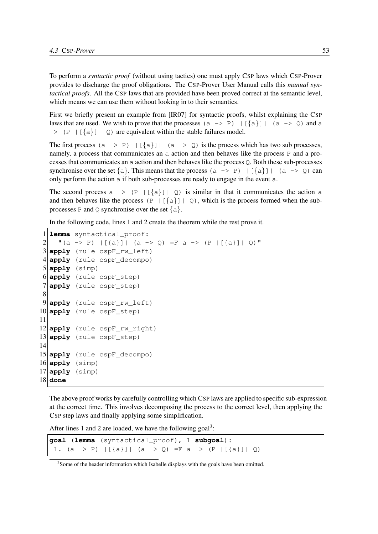To perform a *syntactic proof* (without using tactics) one must apply CSP laws which CSP-Prover provides to discharge the proof obligations. The CSP-Prover User Manual calls this *manual syntactical proofs*. All the CSP laws that are provided have been proved correct at the semantic level, which means we can use them without looking in to their semantics.

First we briefly present an example from [IR07] for syntactic proofs, whilst explaining the CSP laws that are used. We wish to prove that the processes  $(a \rightarrow P) | \{\{a\}\}|$   $(a \rightarrow Q)$  and a  $\Rightarrow$  (P | [{a}] | Q) are equivalent within the stable failures model.

The first process (a -> P)  $|\{\{a\}\}|$  (a -> Q) is the process which has two sub processes, namely, a process that communicates an a action and then behaves like the process P and a processes that communicates an a action and then behaves like the process Q. Both these sub-processes synchronise over the set  $\{a\}$ . This means that the process  $(a \rightarrow P) | \{a\}| | (a \rightarrow Q)$  can only perform the action a if both sub-processes are ready to engage in the event a.

The second process  $a \rightarrow (P \mid [\{a\}] \mid Q)$  is similar in that it communicates the action a and then behaves like the process (P |  $\lceil \{a\} \rceil$  | Q), which is the process formed when the subprocesses P and Q synchronise over the set  $\{a\}$ .

In the following code, lines 1 and 2 create the theorem while the rest prove it.

```
1 lemma syntactical_proof:
2 "(a -> P) |[{a}]| (a -> Q) =F a -> (P |[{a}]| Q)"
3 apply (rule cspF_rw_left)
4 apply (rule cspF_decompo)
5 apply (simp)
6 apply (rule cspF_step)
7 apply (rule cspF_step)
8
9 apply (rule cspF_rw_left)
10 apply (rule cspF_step)
11
12 apply (rule cspF_rw_right)
13 apply (rule cspF_step)
14
15 apply (rule cspF_decompo)
16 apply (simp)
17 apply (simp)
18 done
```
The above proof works by carefully controlling which CSP laws are applied to specific sub-expression at the correct time. This involves decomposing the process to the correct level, then applying the CSP step laws and finally applying some simplification.

After lines 1 and 2 are loaded, we have the following  $goal^3$ :

```
goal (lemma (syntactical_proof), 1 subgoal):
 1. (a \rightarrow P) |[(a)] | (a \rightarrow Q) = Fa \rightarrow (P |[(a)] | Q)
```
<sup>&</sup>lt;sup>3</sup> Some of the header information which Isabelle displays with the goals have been omitted.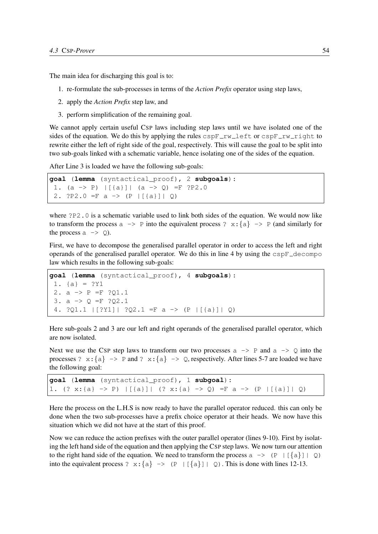The main idea for discharging this goal is to:

- 1. re-formulate the sub-processes in terms of the *Action Prefix* operator using step laws,
- 2. apply the *Action Prefix* step law, and
- 3. perform simplification of the remaining goal.

We cannot apply certain useful CSP laws including step laws until we have isolated one of the sides of the equation. We do this by applying the rules  $\text{cspF}_{rv}$  left or  $\text{cspF}_{rv}$  right to rewrite either the left of right side of the goal, respectively. This will cause the goal to be split into two sub-goals linked with a schematic variable, hence isolating one of the sides of the equation.

After Line 3 is loaded we have the following sub-goals:

```
goal (lemma (syntactical_proof), 2 subgoals):
 1. (a -> P) |[\{a\}]| (a -> Q) =F ?P2.0
 2. ?P2.0 = F a \rightarrow (P | [a] | Q)
```
where ?P2.0 is a schematic variable used to link both sides of the equation. We would now like to transform the process  $a \rightarrow P$  into the equivalent process ?  $x: \{a\} \rightarrow P$  (and similarly for the process  $a \rightarrow \varphi$ ).

First, we have to decompose the generalised parallel operator in order to access the left and right operands of the generalised parallel operator. We do this in line 4 by using the  $\c{cspF \_decomp}$ law which results in the following sub-goals:

```
goal (lemma (syntactical_proof), 4 subgoals):
1. {a} = ?Y12. a -> P =F ?Q1.1
3. a -> Q =F ?Q2.1
 4. ?Q1.1 | [?Y1] | ?Q2.1 =F a -> (P | [{a}] | Q)
```
Here sub-goals 2 and 3 are our left and right operands of the generalised parallel operator, which are now isolated.

Next we use the CSP step laws to transform our two processes  $a \rightarrow P$  and  $a \rightarrow Q$  into the processes ?  $x: \{a\} \rightarrow P$  and ?  $x: \{a\} \rightarrow Q$ , respectively. After lines 5-7 are loaded we have the following goal:

```
goal (lemma (syntactical_proof), 1 subgoal):
1. (? x:{a} -> P) |[{a}]| (? x:{a} -> Q) =F a -> (P |[{a}]| Q)
```
Here the process on the L.H.S is now ready to have the parallel operator reduced. this can only be done when the two sub-processes have a prefix choice operator at their heads. We now have this situation which we did not have at the start of this proof.

Now we can reduce the action prefixes with the outer parallel operator (lines 9-10). First by isolating the left hand side of the equation and then applying the CSP step laws. We now turn our attention to the right hand side of the equation. We need to transform the process a  $\rightarrow$  (P |[{a}]| Q) into the equivalent process ?  $x: \{a\} \rightarrow (P \mid [\{a\}] \mid Q)$ . This is done with lines 12-13.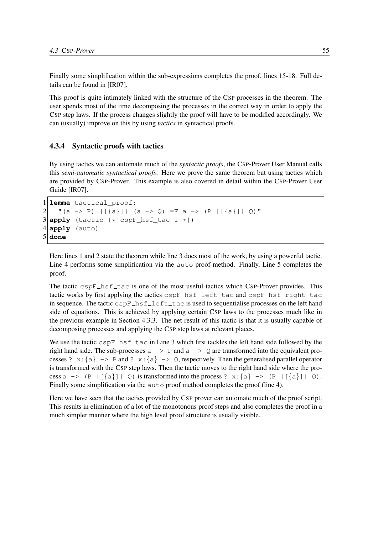Finally some simplification within the sub-expressions completes the proof, lines 15-18. Full details can be found in [IR07].

This proof is quite intimately linked with the structure of the CSP processes in the theorem. The user spends most of the time decomposing the processes in the correct way in order to apply the CSP step laws. If the process changes slightly the proof will have to be modified accordingly. We can (usually) improve on this by using *tactics* in syntactical proofs.

#### 4.3.4 Syntactic proofs with tactics

By using tactics we can automate much of the *syntactic proofs*, the CSP-Prover User Manual calls this *semi-automatic syntactical proofs*. Here we prove the same theorem but using tactics which are provided by CSP-Prover. This example is also covered in detail within the CSP-Prover User Guide [IR07].

```
1 lemma tactical_proof:
2 |(a \rightarrow P) | [a] | (a \rightarrow Q) = Fa \rightarrow (P | [a] | Q)3 apply (tactic {* cspF_hsf_tac 1 *})
4 apply (auto)
5 done
```
Here lines 1 and 2 state the theorem while line 3 does most of the work, by using a powerful tactic. Line 4 performs some simplification via the auto proof method. Finally, Line 5 completes the proof.

The tactic  $\text{cspF}$  hsf  $\text{Lac}$  is one of the most useful tactics which CSP-Prover provides. This tactic works by first applying the tactics  $c$ sp $F$ \_hsf\_left\_tac and  $c$ sp $F$ \_hsf\_right\_tac in sequence. The tactic cspF\_hsf\_left\_tac is used to sequentialise processes on the left hand side of equations. This is achieved by applying certain CSP laws to the processes much like in the previous example in Section 4.3.3. The net result of this tactic is that it is usually capable of decomposing processes and applying the CSP step laws at relevant places.

We use the tactic  $\text{cspF}$  hsf tack in Line 3 which first tackles the left hand side followed by the right hand side. The sub-processes  $a \rightarrow P$  and  $a \rightarrow Q$  are transformed into the equivalent processes ?  $x: \{a\} \rightarrow P$  and ?  $x: \{a\} \rightarrow Q$ , respectively. Then the generalised parallel operator is transformed with the CSP step laws. Then the tactic moves to the right hand side where the process a  $\rightarrow$  (P |[{a}]| Q) is transformed into the process ? x:{a} -> (P |[{a}]| Q). Finally some simplification via the auto proof method completes the proof (line 4).

Here we have seen that the tactics provided by CSP prover can automate much of the proof script. This results in elimination of a lot of the monotonous proof steps and also completes the proof in a much simpler manner where the high level proof structure is usually visible.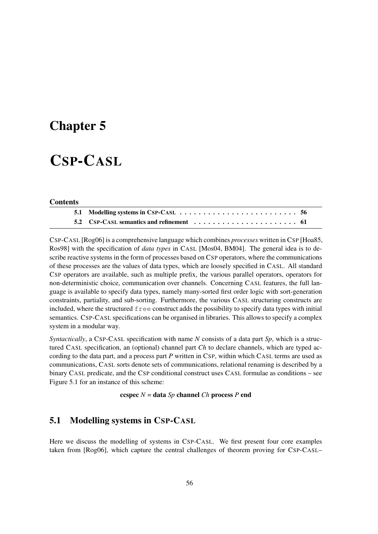## Chapter 5

# CSP-CASL

#### **Contents**

CSP-CASL [Rog06] is a comprehensive language which combines *processes* written in CSP [Hoa85, Ros98] with the specification of *data types* in CASL [Mos04, BM04]. The general idea is to describe reactive systems in the form of processes based on CSP operators, where the communications of these processes are the values of data types, which are loosely specified in CASL. All standard CSP operators are available, such as multiple prefix, the various parallel operators, operators for non-deterministic choice, communication over channels. Concerning CASL features, the full language is available to specify data types, namely many-sorted first order logic with sort-generation constraints, partiality, and sub-sorting. Furthermore, the various CASL structuring constructs are included, where the structured free construct adds the possibility to specify data types with initial semantics. CSP-CASL specifications can be organised in libraries. This allows to specify a complex system in a modular way.

*Syntactically*, a CSP-CASL specification with name *N* consists of a data part *Sp*, which is a structured CASL specification, an (optional) channel part *Ch* to declare channels, which are typed according to the data part, and a process part *P* written in CSP, within which CASL terms are used as communications, CASL sorts denote sets of communications, relational renaming is described by a binary CASL predicate, and the CSP conditional construct uses CASL formulae as conditions – see Figure 5.1 for an instance of this scheme:

ccspec *N* = data *Sp* channel *Ch* process *P* end

## 5.1 Modelling systems in CSP-CASL

Here we discuss the modelling of systems in CSP-CASL. We first present four core examples taken from [Rog06], which capture the central challenges of theorem proving for CSP-CASL–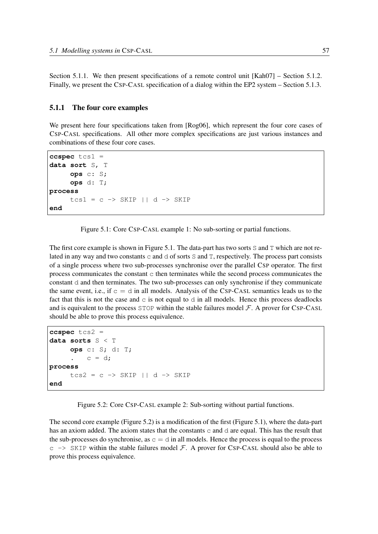Section 5.1.1. We then present specifications of a remote control unit [Kah07] – Section 5.1.2. Finally, we present the CSP-CASL specification of a dialog within the EP2 system – Section 5.1.3.

#### 5.1.1 The four core examples

We present here four specifications taken from [Rog06], which represent the four core cases of CSP-CASL specifications. All other more complex specifications are just various instances and combinations of these four core cases.

```
ccspec tcs1 =
data sort S, T
     ops c: S;
     ops d: T;
process
     tcs1 = c \rightarrow SKIP || d -> SKIP
end
```
Figure 5.1: Core CSP-CASL example 1: No sub-sorting or partial functions.

The first core example is shown in Figure 5.1. The data-part has two sorts S and T which are not related in any way and two constants  $\subset$  and  $\triangle$  of sorts S and T, respectively. The process part consists of a single process where two sub-processes synchronise over the parallel CSP operator. The first process communicates the constant  $\sigma$  then terminates while the second process communicates the constant d and then terminates. The two sub-processes can only synchronise if they communicate the same event, i.e., if  $c = d$  in all models. Analysis of the CSP-CASL semantics leads us to the fact that this is not the case and  $\sigma$  is not equal to  $\sigma$  in all models. Hence this process deadlocks and is equivalent to the process  $STOP$  within the stable failures model  $F$ . A prover for CSP-CASL should be able to prove this process equivalence.

```
ccspec tcs2 =
data sorts S < T
     ops c: S; d: T;
      \cdot c = d;
process
     tcs2 = c \rightarrow SKIP || d -> SKIP
end
```
Figure 5.2: Core CSP-CASL example 2: Sub-sorting without partial functions.

The second core example (Figure 5.2) is a modification of the first (Figure 5.1), where the data-part has an axiom added. The axiom states that the constants  $\sigma$  and  $\sigma$  are equal. This has the result that the sub-processes do synchronise, as  $c = d$  in all models. Hence the process is equal to the process  $c \rightarrow$  SKIP within the stable failures model  $\mathcal{F}$ . A prover for CSP-CASL should also be able to prove this process equivalence.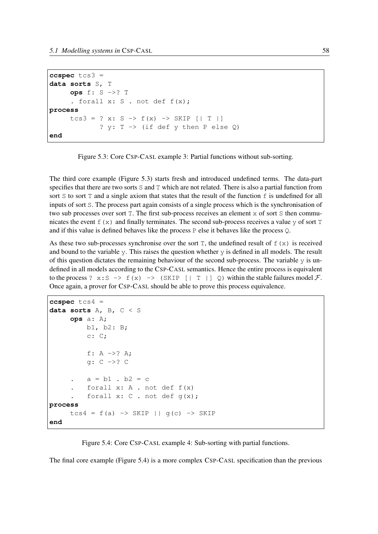```
ccspec tcs3 =
data sorts S, T
     ops f: S ->? T
      . forall x: S . not def f(x);
process
      tcs3 = ? x: S \rightarrow f(x) \rightarrow SKIP [ | T | ]? y: T \rightarrow (if def y then P else Q)end
```


The third core example (Figure 5.3) starts fresh and introduced undefined terms. The data-part specifies that there are two sorts S and T which are not related. There is also a partial function from sort S to sort T and a single axiom that states that the result of the function  $f$  is undefined for all inputs of sort S. The process part again consists of a single process which is the synchronisation of two sub processes over sort  $T$ . The first sub-process receives an element  $x$  of sort  $S$  then communicates the event  $f(x)$  and finally terminates. The second sub-process receives a value y of sort T and if this value is defined behaves like the process P else it behaves like the process Q.

As these two sub-processes synchronise over the sort T, the undefined result of  $f(x)$  is received and bound to the variable y. This raises the question whether  $\gamma$  is defined in all models. The result of this question dictates the remaining behaviour of the second sub-process. The variable  $\gamma$  is undefined in all models according to the CSP-CASL semantics. Hence the entire process is equivalent to the process ?  $x: S \rightarrow f(x) \rightarrow (SKIP [ | T | ] Q)$  within the stable failures model  $\mathcal{F}$ . Once again, a prover for CSP-CASL should be able to prove this process equivalence.

```
ccspec tcs4 =
data sorts A, B, C < S
     ops a: A;
         b1, b2: B;
         c: C;f: A ->? A;
         g: C ->? C
         a = b1 . b2 = cforall x: A. not def f(x)forall x: C. not def q(x);
process
     tcs4 = f(a) \rightarrow SKIP || g(c) -> SKIP
end
```
Figure 5.4: Core CSP-CASL example 4: Sub-sorting with partial functions.

The final core example (Figure 5.4) is a more complex CSP-CASL specification than the previous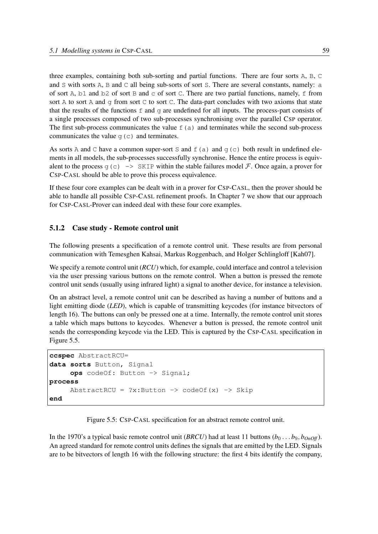three examples, containing both sub-sorting and partial functions. There are four sorts A, B, C and S with sorts A, B and C all being sub-sorts of sort S. There are several constants, namely: a of sort A, b1 and b2 of sort B and c of sort C. There are two partial functions, namely, f from sort A to sort A and q from sort C to sort C. The data-part concludes with two axioms that state that the results of the functions  $f$  and  $g$  are undefined for all inputs. The process-part consists of a single processes composed of two sub-processes synchronising over the parallel CSP operator. The first sub-process communicates the value  $f(a)$  and terminates while the second sub-process communicates the value  $q(c)$  and terminates.

As sorts A and C have a common super-sort S and  $f(a)$  and  $g(c)$  both result in undefined elements in all models, the sub-processes successfully synchronise. Hence the entire process is equivalent to the process  $g(c) \rightarrow$  SKIP within the stable failures model F. Once again, a prover for CSP-CASL should be able to prove this process equivalence.

If these four core examples can be dealt with in a prover for CSP-CASL, then the prover should be able to handle all possible CSP-CASL refinement proofs. In Chapter 7 we show that our approach for CSP-CASL-Prover can indeed deal with these four core examples.

#### 5.1.2 Case study - Remote control unit

The following presents a specification of a remote control unit. These results are from personal communication with Temesghen Kahsai, Markus Roggenbach, and Holger Schlingloff [Kah07].

We specify a remote control unit (*RCU*) which, for example, could interface and control a television via the user pressing various buttons on the remote control. When a button is pressed the remote control unit sends (usually using infrared light) a signal to another device, for instance a television.

On an abstract level, a remote control unit can be described as having a number of buttons and a light emitting diode (*LED*), which is capable of transmitting keycodes (for instance bitvectors of length 16). The buttons can only be pressed one at a time. Internally, the remote control unit stores a table which maps buttons to keycodes. Whenever a button is pressed, the remote control unit sends the corresponding keycode via the LED. This is captured by the CSP-CASL specification in Figure 5.5.

```
ccspec AbstractRCU=
data sorts Button, Signal
     ops codeOf: Button -> Signal;
process
     AbstractRCU = ?x:Button \rightarrow codeOf(x) \rightarrow Skipend
```
Figure 5.5: CSP-CASL specification for an abstract remote control unit.

In the 1970's a typical basic remote control unit (*BRCU*) had at least 11 buttons ( $b_0 \ldots b_9$ ,  $b_{On}$ *off*). An agreed standard for remote control units defines the signals that are emitted by the LED. Signals are to be bitvectors of length 16 with the following structure: the first 4 bits identify the company,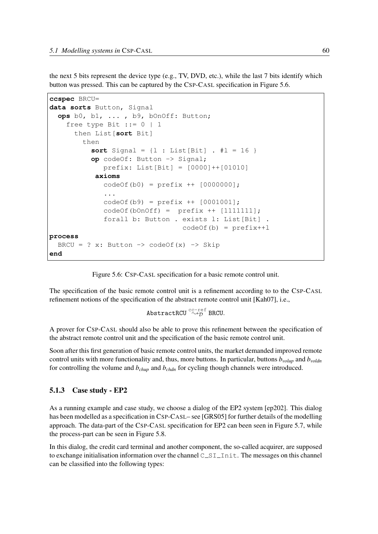the next 5 bits represent the device type (e.g., TV, DVD, etc.), while the last 7 bits identify which button was pressed. This can be captured by the CSP-CASL specification in Figure 5.6.

```
ccspec BRCU=
data sorts Button, Signal
  ops b0, b1, ... , b9, bOnOff: Button;
    free type Bit ::= 0 | 1then List[sort Bit]
        then
          sort Signal = \{1 : List[Bit] : #1 = 16 \}op codeOf: Button -> Signal;
             prefix: List[Bit] = [0000]++[01010]
           axioms
             codeOf(b0) = prefix ++ [0000000];...
             codeOf(b9) = prefix ++ [0001001];codeOf(bOnOff) = prefix ++ [1111111];
             forall b: Button . exists l: List[Bit] .
                                  codeOf(b) = prefix++lprocess
  BRCU = ? x: Button \rightarrow codeOf(x) \rightarrow Skip
end
```
Figure 5.6: CSP-CASL specification for a basic remote control unit.

The specification of the basic remote control unit is a refinement according to to the CSP-CASL refinement notions of the specification of the abstract remote control unit [Kah07], i.e.,

AbstractRCU  $\overset{\text{cc-ref}}{\rightsquigarrow}$  BRCU.

A prover for CSP-CASL should also be able to prove this refinement between the specification of the abstract remote control unit and the specification of the basic remote control unit.

Soon after this first generation of basic remote control units, the market demanded improved remote control units with more functionality and, thus, more buttons. In particular, buttons *bvolup* and *bvoldn* for controlling the volume and *bchup* and *bchdn* for cycling though channels were introduced.

#### 5.1.3 Case study - EP2

As a running example and case study, we choose a dialog of the EP2 system [ep202]. This dialog has been modelled as a specification in CSP-CASL– see [GRS05] for further details of the modelling approach. The data-part of the CSP-CASL specification for EP2 can been seen in Figure 5.7, while the process-part can be seen in Figure 5.8.

In this dialog, the credit card terminal and another component, the so-called acquirer, are supposed to exchange initialisation information over the channel C\_SI\_Init. The messages on this channel can be classified into the following types: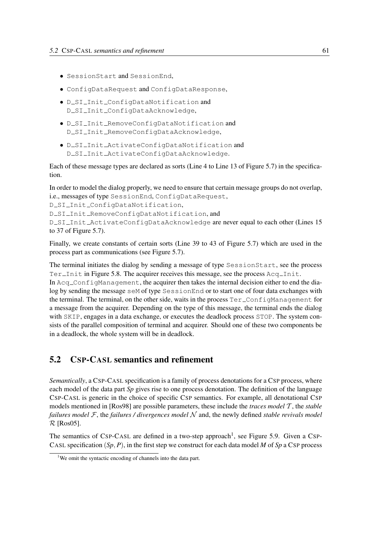- SessionStart and SessionEnd,
- ConfigDataRequest and ConfigDataResponse,
- · D\_SI\_Init\_ConfigDataNotification and D\_SI\_Init\_ConfigDataAcknowledge,
- D SI Init RemoveConfigDataNotification and D SI Init RemoveConfigDataAcknowledge,
- D SI Init ActivateConfigDataNotification and D SI Init ActivateConfigDataAcknowledge.

Each of these message types are declared as sorts (Line 4 to Line 13 of Figure 5.7) in the specification.

In order to model the dialog properly, we need to ensure that certain message groups do not overlap, i.e., messages of type SessionEnd, ConfigDataRequest,

D\_SI\_Init\_ConfigDataNotification,

D\_SI\_Init\_RemoveConfigDataNotification, and

D\_SI\_Init\_ActivateConfigDataAcknowledge are never equal to each other (Lines 15 to 37 of Figure 5.7).

Finally, we create constants of certain sorts (Line 39 to 43 of Figure 5.7) which are used in the process part as communications (see Figure 5.7).

The terminal initiates the dialog by sending a message of type SessionStart, see the process Ter $\bot$ Init in Figure 5.8. The acquirer receives this message, see the process Acq $\bot$ Init.

In Acq ConfigManagement, the acquirer then takes the internal decision either to end the dialog by sending the message seM of type SessionEnd or to start one of four data exchanges with the terminal. The terminal, on the other side, waits in the process  $Ter\_ConfigManager$  for a message from the acquirer. Depending on the type of this message, the terminal ends the dialog with SKIP, engages in a data exchange, or executes the deadlock process STOP. The system consists of the parallel composition of terminal and acquirer. Should one of these two components be in a deadlock, the whole system will be in deadlock.

## 5.2 CSP-CASL semantics and refinement

*Semantically*, a CSP-CASL specification is a family of process denotations for a CSP process, where each model of the data part *Sp* gives rise to one process denotation. The definition of the language CSP-CASL is generic in the choice of specific CSP semantics. For example, all denotational CSP models mentioned in [Ros98] are possible parameters, these include the *traces model* T , the *stable failures model* F, the *failures / divergences model* N and, the newly defined *stable revivals model*  $\mathcal{R}$  [Ros05].

The semantics of CSP-CASL are defined in a two-step approach<sup>1</sup>, see Figure 5.9. Given a CSP-CASL specification  $(S_p, P)$ , in the first step we construct for each data model *M* of *Sp* a CSP process

<sup>&</sup>lt;sup>1</sup>We omit the syntactic encoding of channels into the data part.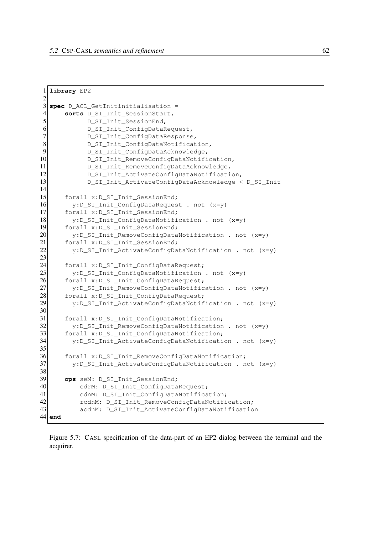```
1 library EP2
2
3 spec D ACL GetInitinitialisation =
4 sorts D_SI_Init_SessionStart,
5 D_SI_Init_SessionEnd,
6 D_SI_Init_ConfigDataRequest,<br>7 D SI Init ConfigDataResponse
           D_SI_Init_ConfigDataResponse,
8 D SI Init ConfigDataNotification,
9 D_SI_Init_ConfigDataAcknowledge,
10 D_SI_Init_RemoveConfigDataNotification,
11 D_SI_Init_RemoveConfigDataAcknowledge,
12 D_SI_Init_ActivateConfigDataNotification,
13 D_SI_Init_ActivateConfigDataAcknowledge < D_SI_Init
14
15 forall x:D_SI_Init_SessionEnd;
16 y:D_SI_Init_ConfigDataRequest . not (x=y)
17 forall x:D_SI_Init_SessionEnd;
18 y: D SI Init ConfigDataNotification . not (x=y)
19 forall x:D_SI_Init_SessionEnd;
20 y: D SI Init RemoveConfigDataNotification . not (x=v)
21 forall x:D_SI_Init_SessionEnd;
22 y:D_SI_Init_ActivateConfigDataNotification . not (x=y)
23
24 forall x:D_SI_Init_ConfigDataRequest;
25 y:D_SI_Init_ConfigDataNotification . not (x=y)
26 forall x:D_SI_Init_ConfigDataRequest;<br>27 v:D SI Init RemoveConfigDataNotific
        27 y:D_SI_Init_RemoveConfigDataNotification . not (x=y)
28 forall x:D_SI_Init_ConfigDataRequest;
29 y: D_S I_1init_ActivateConfigDataNotification . not (x=y)
30
31 forall x:D_SI_Init_ConfigDataNotification;
32 y:D_SI_Init_RemoveConfigDataNotification . not (x=y)
33 forall x:D_SI_Init_ConfigDataNotification;
34 y:D_SI_Init_ActivateConfigDataNotification . not (x=y)
35
36 forall x:D_SI_Init_RemoveConfigDataNotification;
37 y:D_SI_Init_ActivateConfigDataNotification . not (x=y)
38
39 ops seM: D_SI_Init_SessionEnd;
40 cdrM: D_SI_Init_ConfigDataRequest;
41 cdnM: D_SI_Init_ConfigDataNotification;
42 rcdnM: D_SI_Init_RemoveConfigDataNotification;
43 acdnM: D_SI_Init_ActivateConfigDataNotification
44 end
```
Figure 5.7: CASL specification of the data-part of an EP2 dialog between the terminal and the acquirer.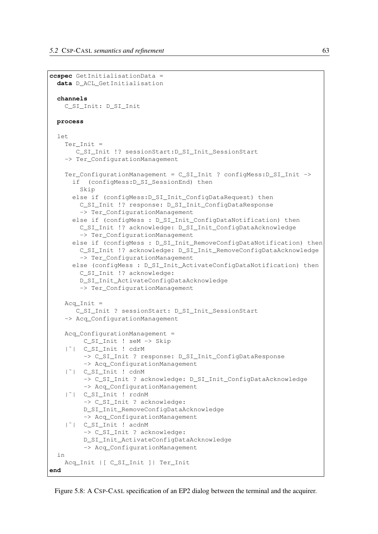```
ccspec GetInitialisationData =
 data D_ACL_GetInitialisation
 channels
   C_SI_Init: D_SI_Init
 process
 let
   Ter_Init =
      C_SI_Init !? sessionStart:D_SI_Init_SessionStart
   -> Ter_ConfigurationManagement
   Ter_ConfigurationManagement = C_SI_Init ? configMess: D_SI_Init ->
     if (configMess:D_SI_SessionEnd) then
       Skip
     else if (configMess:D_SI_Init_ConfigDataRequest) then
        C_SI_Init !? response: D_SI_Init_ConfigDataResponse
        -> Ter_ConfigurationManagement
     else if (configMess : D_SI_Init_ConfigDataNotification) then
        C_SI_Init !? acknowledge: D_SI_Init_ConfigDataAcknowledge
        -> Ter ConfigurationManagement
     else if (configMess : D_SI_Init_RemoveConfigDataNotification) then
       C_SI_Init !? acknowledge: D_SI_Init_RemoveConfigDataAcknowledge
       -> Ter ConfigurationManagement
     else (configMess : D_SI_Init_ActivateConfigDataNotification) then
       C_SI_Init !? acknowledge:
       D_SI_Init_ActivateConfigDataAcknowledge
        -> Ter_ConfigurationManagement
   Acq Init =C_SI_Init ? sessionStart: D_SI_Init_SessionStart
   -> Acq_ConfigurationManagement
   Acq_ConfigurationManagement =
        C_SI_Init ! seM -> Skip
    |˜| C_SI_Init ! cdrM
        -> C_SI_Init ? response: D_SI_Init_ConfigDataResponse
        -> Acq_ConfigurationManagement
    |˜| C_SI_Init ! cdnM
        -> C_SI_Init ? acknowledge: D_SI_Init_ConfigDataAcknowledge
        -> Acq ConfigurationManagement
    |˜| C_SI_Init ! rcdnM
        -> C_SI_Init ? acknowledge:
        D_SI_Init_RemoveConfigDataAcknowledge
        -> Acq_ConfigurationManagement
    |˜| C_SI_Init ! acdnM
        -> C_SI_Init ? acknowledge:
        D_SI_Init_ActivateConfigDataAcknowledge
        -> Acq_ConfigurationManagement
 in
   Acq_Init | | C_SI_Init | | Ter_Init
end
```
Figure 5.8: A CSP-CASL specification of an EP2 dialog between the terminal and the acquirer.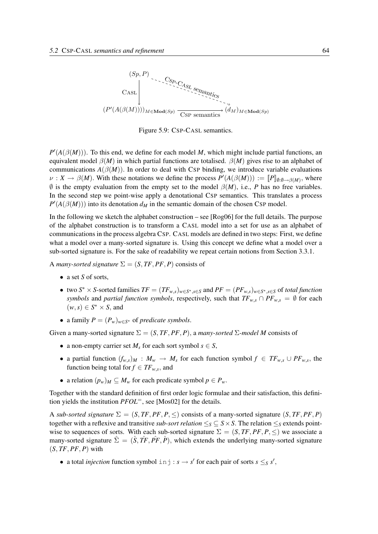

Figure 5.9: CSP-CASL semantics.

 $P'(A(\beta(M)))$ . To this end, we define for each model *M*, which might include partial functions, an equivalent model  $\beta(M)$  in which partial functions are totalised.  $\beta(M)$  gives rise to an alphabet of communications  $A(\beta(M))$ . In order to deal with CSP binding, we introduce variable evaluations  $\nu: X \to \beta(M)$ . With these notations we define the process  $P'(A(\beta(M))) := [P]_{\emptyset:\emptyset \to \beta(M)}$ , where  $\emptyset$  is the empty evaluation from the empty set to the model  $\beta(M)$ , i.e., *P* has no free variables. In the second step we point-wise apply a denotational CSP semantics. This translates a process  $P'(A(\beta(M)))$  into its denotation  $d_M$  in the semantic domain of the chosen CSP model.

In the following we sketch the alphabet construction – see [Rog06] for the full details. The purpose of the alphabet construction is to transform a CASL model into a set for use as an alphabet of communications in the process algebra CSP. CASL models are defined in two steps: First, we define what a model over a many-sorted signature is. Using this concept we define what a model over a sub-sorted signature is. For the sake of readability we repeat certain notions from Section 3.3.1.

A *many-sorted signature*  $\Sigma = (S, TF, PF, P)$  consists of

- a set *S* of sorts.
- two  $S^* \times S$ -sorted families  $TF = (TF_{w,s})_{w \in S^*, s \in S}$  and  $PF = (PF_{w,s})_{w \in S^*, s \in S}$  of total function *symbols* and *partial function symbols*, respectively, such that  $TF_{w,s} \cap PF_{w,s} = \emptyset$  for each  $(w, s) \in S^* \times S$ , and
- a family  $P = (P_w)_{w \in S^*}$  of *predicate symbols*.

Given a many-sorted signature  $\Sigma = (S, TF, PF, P)$ , a *many-sorted*  $\Sigma$ *-model M* consists of

- a non-empty carrier set  $M_s$  for each sort symbol  $s \in S$ ,
- a partial function  $(f_{w,s})_M$  :  $M_w \to M_s$  for each function symbol  $f \in TF_{w,s} \cup PF_{w,s}$ , the function being total for  $f \in TF_{w,s}$ , and
- a relation  $(p_w)_M \subseteq M_w$  for each predicate symbol  $p \in P_w$ .

Together with the standard definition of first order logic formulae and their satisfaction, this definition yields the institution *PFOL*=, see [Mos02] for the details.

A *sub-sorted signature*  $\Sigma = (S, TF, PF, P, \leq)$  consists of a many-sorted signature  $(S, TF, PF, P)$ together with a reflexive and transitive *sub-sort relation*  $\leq_S$   $\subseteq$  *S* × *S*. The relation  $\leq_S$  extends pointwise to sequences of sorts. With each sub-sorted signature  $\Sigma = (S, TF, PF, P, \leq)$  we associate a many-sorted signature  $\hat{\Sigma} = (\hat{S}, \hat{T}F, \hat{PF}, \hat{P})$ , which extends the underlying many-sorted signature  $(S, TF, PF, P)$  with

• a total *injection* function symbol  $\text{inj}: s \rightarrow s'$  for each pair of sorts  $s \leq s'$ ,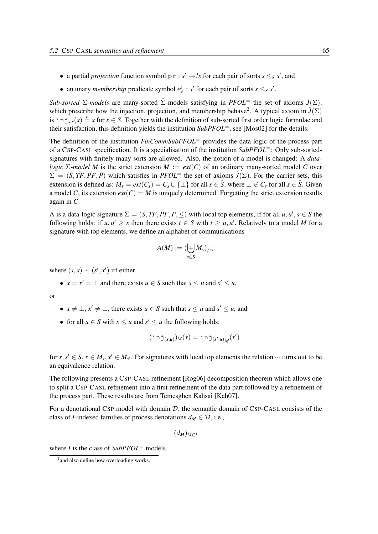- a partial *projection* function symbol  $pr : s' \rightarrow ?s$  for each pair of sorts  $s \leq_S s'$ , and
- an unary *membership* predicate symbol  $\epsilon_{s'}^s$ : *s'* for each pair of sorts  $s \leq_s s'$ .

*Sub-sorted* Σ*-models* are many-sorted Σ<sup>2</sup>-models satisfying in *PFOL*<sup>=</sup> the set of axioms  $\hat{J}(\Sigma)$ , which prescribe how the injection, projection, and membership behave<sup>2</sup>. A typical axiom in  $\hat{J}(\Sigma)$ is  $\sin \frac{1}{2}s$ ,  $\sin \frac{e}{s}$  *x* for  $s \in S$ . Together with the definition of sub-sorted first order logic formulae and their satisfaction, this definition yields the institution *SubPFOL*=, see [Mos02] for the details.

The definition of the institution *FinCommSubPFOL*<sup>=</sup> provides the data-logic of the process part of a CSP-CASL specification. It is a specialisation of the institution *SubPFOL*=: Only sub-sortedsignatures with finitely many sorts are allowed. Also, the notion of a model is changed: A *datalogic* Σ*-model M* is the strict extension  $M := ext(C)$  of an ordinary many-sorted model C over  $\hat{\Sigma} = (\hat{S}, \hat{T}F, \hat{PF}, \hat{P})$  which satisfies in  $PFOL^=$  the set of axioms  $\hat{J}(\Sigma)$ . For the carrier sets, this extension is defined as:  $M_s = ext(C_s) = C_s \cup \{\perp\}$  for all  $s \in \hat{S}$ , where  $\perp \notin C_s$  for all  $s \in \hat{S}$ . Given a model *C*, its extension  $ext(C) = M$  is uniquely determined. Forgetting the strict extension results again in *C*.

A is a data-logic signature  $\Sigma = (S, TF, PF, P, \leq)$  with local top elements, if for all  $u, u', s \in S$  the following holds: if  $u, u' \geq s$  then there exists  $t \in S$  with  $t \geq u, u'$ . Relatively to a model *M* for a signature with top elements, we define an alphabet of communications

$$
A(M):=(\biguplus_{s\in S}M_s)_{/\sim}
$$

where  $(s, x) \sim (s', x')$  iff either

•  $x = x' = \bot$  and there exists  $u \in S$  such that  $s \le u$  and  $s' \le u$ ,

or

- $x \neq \perp, x' \neq \perp$ , there exists  $u \in S$  such that  $s \leq u$  and  $s' \leq u$ , and
- for all  $u \in S$  with  $s \le u$  and  $s' \le u$  the following holds:

$$
(\operatorname{inj}_{(s,u)})_M(x) = \operatorname{inj}_{(s',u)_M}(x')
$$

for  $s, s' \in S$ ,  $x \in M_s$ ,  $x' \in M_{s'}$ . For signatures with local top elements the relation  $\sim$  turns out to be an equivalence relation.

The following presents a CSP-CASL refinement [Rog06] decomposition theorem which allows one to split a CSP-CASL refinement into a first refinement of the data part followed by a refinement of the process part. These results are from Temesghen Kahsai [Kah07].

For a denotational CSP model with domain  $D$ , the semantic domain of CSP-CASL consists of the class of *I*-indexed families of process denotations  $d_M \in \mathcal{D}$ , i.e.,

 $(d_M)_{M \in I}$ 

where *I* is the class of *SubPFOL*<sup>=</sup> models.

<sup>&</sup>lt;sup>2</sup> and also define how overloading works.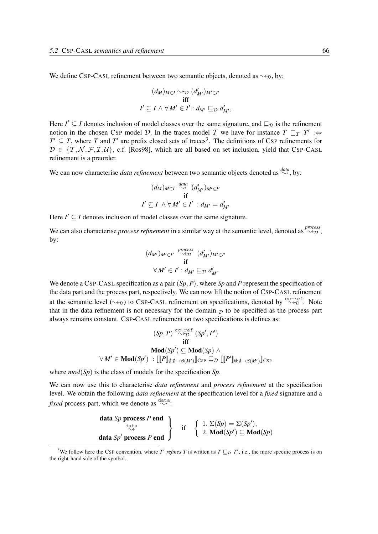We define CSP-CASL refinement between two semantic objects, denoted as  $\rightsquigarrow_{\mathcal{D}}$ , by:

$$
(d_M)_{M \in I} \leadsto_{\mathcal{D}} (d'_{M'})_{M' \in I'}
$$
  
iff  

$$
I' \subseteq I \land \forall M' \in I': d_{M'} \sqsubseteq_{\mathcal{D}} d'_{M'},
$$

Here  $I' \subseteq I$  denotes inclusion of model classes over the same signature, and  $\subseteq_{\mathcal{D}}$  is the refinement notion in the chosen CSP model D. In the traces model T we have for instance  $T \sqsubseteq_T T' : \Leftrightarrow$  $T' \subseteq T$ , where *T* and *T'* are prefix closed sets of traces<sup>3</sup>. The definitions of CSP refinements for  $\mathcal{D} \in \{T, \mathcal{N}, \mathcal{F}, \mathcal{I}, \mathcal{U}\}\$ , c.f. [Ros98], which are all based on set inclusion, yield that CSP-CASL refinement is a preorder.

We can now characterise *data refinement* between two semantic objects denoted as  $\overset{data}{\rightsquigarrow}$ , by:

$$
(d_M)_{M \in I} \stackrel{data}{\rightsquigarrow} (d'_{M'})_{M' \in I'}
$$
  
if  
 $I' \subseteq I \land \forall M' \in I' : d_{M'} = d'_{M'}$ 

Here  $I' \subseteq I$  denotes inclusion of model classes over the same signature.

We can also characterise *process refinement* in a similar way at the semantic level, denoted as  $\sim_{\mathcal{D}}^{process}$ by:

$$
(d_{M'})_{M'\in I'} \stackrel{process}{\sim p} (d'_{M'})_{M'\in I'}
$$
  
if  

$$
\forall M' \in I': d_{M'} \sqsubseteq_{\mathcal{D}} d'_{M'}
$$

We denote a CSP-CASL specification as a pair (*Sp*, *P*), where *Sp* and *P* represent the specification of the data part and the process part, respectively. We can now lift the notion of CSP-CASL refinement at the semantic level  $(\leadsto_{\mathcal{D}})$  to CSP-CASL refinement on specifications, denoted by  $\overset{\text{cc-ref.}}{\leadsto_{\mathcal{D}}}$ . Note that in the data refinement is not necessary for the domain  $\mathcal{D}$  to be specified as the process part always remains constant. CSP-CASL refinement on two specifications is defines as:

$$
(Sp, P) \overset{c \subset + e \in f}{\sim p} (Sp', P')
$$
  
iff  

$$
\mathbf{Mod}(Sp') \subseteq \mathbf{Mod}(Sp) \wedge
$$
  

$$
\forall M' \in \mathbf{Mod}(Sp') : [\![P]\!]_{\emptyset:\emptyset \rightarrow \beta(M')} \!]_{CSP} \sqsubseteq_{\mathcal{D}} [\![P']\!]_{\emptyset:\emptyset \rightarrow \beta(M')} \!]_{CSP}
$$

where *mod*(*Sp*) is the class of models for the specification *Sp*.

We can now use this to characterise *data refinement* and *process refinement* at the specification level. We obtain the following *data refinement* at the specification level for a *fixed* signature and a *fixed* process-part, which we denote as  $\overset{\text{data}}{\rightsquigarrow}$ :

| data Sp process P end                                                                                                                          |                                                                                                                                           |
|------------------------------------------------------------------------------------------------------------------------------------------------|-------------------------------------------------------------------------------------------------------------------------------------------|
| \n $\left\{\n \begin{array}{c}\n 1. \Sigma(Sp) = \Sigma(Sp'), \\  \text{data } Sp' \text{ process } P \text{ end}\n \end{array}\n \right\}$ \n | \n $\left\{\n \begin{array}{c}\n 1. \Sigma(Sp) = \Sigma(Sp'), \\  2. \text{Mod}(Sp') \subseteq \text{Mod}(Sp)\n \end{array}\n \right.$ \n |

<sup>&</sup>lt;sup>3</sup>We follow here the CSP convention, where *T'* refines *T* is written as  $T \sqsubseteq_{\mathcal{D}} T'$ , i.e., the more specific process is on the right-hand side of the symbol.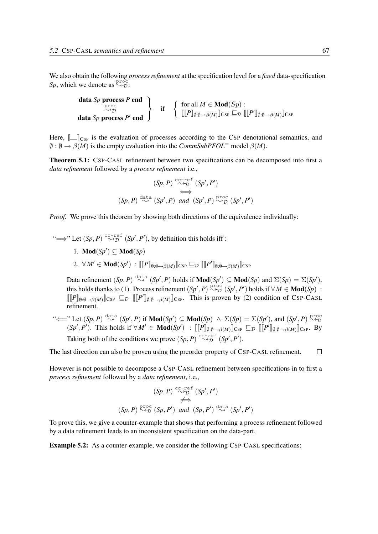We also obtain the following *process refinement* at the specification level for a *fixed* data-specification *Sp*, which we denote as  $\stackrel{\text{proc}}{\rightsquigarrow}$ .

data *Sp* process *P* end proc<br>~D data Sp process P' end  $\mathcal{L}$  $\mathcal{L}$  $\int$ if  $\left\{\n \begin{array}{c}\n \text{for all } M \in \mathbf{Mod}(Sp): \\
 \text{if } D^n \quad \mathbb{R} \n\end{array}\n\right.$  $\llbracket [P]_{\emptyset:\emptyset \longrightarrow \beta(M)} \rrbracket_{\text{CSP}} \sqsubseteq_{\mathcal{D}} \llbracket [P']_{\emptyset:\emptyset \longrightarrow \beta(M)} \rrbracket_{\text{CSP}}$ 

Here,  $\llbracket \_\_\_\_\_\$  is the evaluation of processes according to the CSP denotational semantics, and  $\emptyset$  :  $\emptyset \rightarrow \beta(M)$  is the empty evaluation into the *CommSubPFOL*<sup>=</sup> model  $\beta(M)$ .

Theorem 5.1: CSP-CASL refinement between two specifications can be decomposed into first a *data refinement* followed by a *process refinement* i.e.,

$$
(Sp, P) \overset{c \text{c-ref}}{\leftrightarrow} (Sp', P')
$$
  
\n
$$
(Sp, P) \overset{\text{data}}{\leftrightarrow} (Sp', P) \text{ and } (Sp', P) \overset{\text{proc}}{\leftrightarrow} (Sp', P')
$$

*Proof.* We prove this theorem by showing both directions of the equivalence individually:

" $\Longrightarrow$ " Let  $(Sp, P) \stackrel{c \text{c-ref}}{\sim} (Sp', P')$ , by definition this holds iff :

- 1. **Mod**(*Sp'*)  $\subseteq$  **Mod**(*Sp*)
- 2.  $\forall M' \in \textbf{Mod}(Sp') \; : \llbracket \llbracket P \rrbracket_{\emptyset:\emptyset \to \beta(M)} \rrbracket_{\text{CSP}} \sqsubseteq_{\mathcal{D}} \llbracket \llbracket P' \rrbracket_{\emptyset:\emptyset \to \beta(M)} \rrbracket_{\text{CSP}}$

Data refinement  $(Sp, P) \stackrel{\text{data}}{\rightsquigarrow} (Sp', P)$  holds if  $\text{Mod}(Sp') \subseteq \text{Mod}(Sp)$  and  $\Sigma(Sp) = \Sigma(Sp')$ , this holds thanks to (1). Process refinement  $(Sp', P) \stackrel{\text{proc}}{\sim} \mathcal{D} (Sp', P')$  holds if  $\forall M \in \text{Mod}(Sp)$ :  $[[P]_{\emptyset:\emptyset\to\beta(M)}]_{\text{CSP}}\subseteq_{\mathcal{D}}[[P']_{\emptyset:\emptyset\to\beta(M)}]_{\text{CSP}}$ . This is proven by (2) condition of CSP-CASL refinement.

"<sup>←</sup> Let  $(Sp, P) \stackrel{\text{data}}{\rightsquigarrow} (Sp', P)$  if  $\text{Mod}(Sp') \subseteq \text{Mod}(Sp) \land \Sigma(Sp) = \Sigma(Sp')$ , and  $(Sp', P) \stackrel{\text{proc}}{\rightsquigarrow} \mathcal{D}$  $(Sp', P')$ . This holds if  $\forall M' \in \textbf{Mod}(Sp') : [\![ [P]_{\emptyset:\emptyset \to \beta(M)}]\!]_{\textbf{CSP}} \sqsubseteq_{\mathcal{D}} [\![ [P']_{\emptyset:\emptyset \to \beta(M)}]\!]_{\textbf{CSP}}$ . By Taking both of the conditions we prove  $(Sp, P) \overset{cc-ref}{\rightsquigarrow} (Sp', P')$ .

The last direction can also be proven using the preorder property of CSP-CASL refinement.  $\Box$ 

However is not possible to decompose a CSP-CASL refinement between specifications in to first a *process refinement* followed by a *data refinement*, i.e.,

$$
(Sp, P) \overset{c_{C-ref}}{\leftrightarrow} (Sp', P')
$$
  
\n
$$
\iff (Sp, P) \overset{p_{C\circ C}}{\leftrightarrow} (Sp, P') \quad and \quad (Sp, P') \overset{\text{data}}{\leftrightarrow} (Sp', P')
$$

To prove this, we give a counter-example that shows that performing a process refinement followed by a data refinement leads to an inconsistent specification on the data-part.

Example 5.2: As a counter-example, we consider the following CSP-CASL specifications: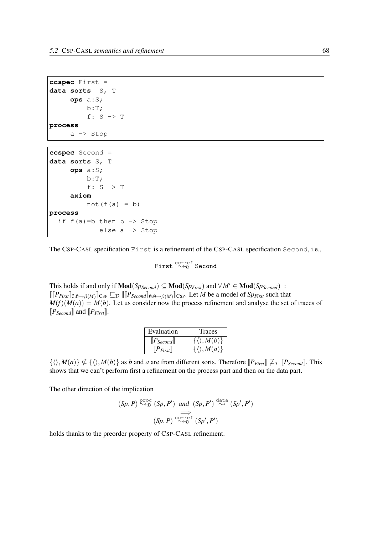```
ccspec First =
data sorts S, T
     ops a:S;
         b:T;
         f: S -> T
process
     a -> Stop
```

```
ccspec Second =
data sorts S, T
     ops a:S;
          b:T;
          f: S -> T
     axiom
          not(f(a) = b)process
  if f(a) = b then b \rightarrow Stop
             else a -> Stop
```
The CSP-CASL specification First is a refinement of the CSP-CASL specification Second, i.e.,

First  $\overset{cc-ref}{\leadsto}$  Second

This holds if and only if  $\text{Mod}(Sp_{Second}) \subseteq \text{Mod}(Sp_{First})$  and  $\forall M' \in \text{Mod}(Sp_{Second})$ :  $[[P_{First}]\mathbf{0}:\mathbf{0}\rightarrow\mathbf{0}(M)]$ CSP  $\subseteq$   $\mathbf{D}$   $[[P_{Second}]\mathbf{0}:\mathbf{0}\rightarrow\mathbf{0}(M)]$ CSP. Let *M* be a model of *Sp<sub>First</sub>* such that  $M(f)(M(a)) = M(b)$ . Let us consider now the process refinement and analyse the set of traces of  $[P_{Second}]$  and  $[P_{First}]$ .

| Evaluation    | Traces                       |
|---------------|------------------------------|
| $[P_{Second}$ | $\{\langle \rangle, M(b)\}\$ |
| $[P_{First}]$ | $\{\langle \rangle, M(a)\}\$ |

 $\{\langle \rangle, M(a)\} \nsubseteq \{\langle \rangle, M(b)\}$  as *b* and *a* are from different sorts. Therefore  $\llbracket P_{First} \rrbracket \nsubseteq_T \llbracket P_{Second} \rrbracket$ . This shows that we can't perform first a refinement on the process part and then on the data part.

The other direction of the implication

$$
(Sp, P) \overset{\text{proc}}{\rightsquigarrow} (Sp, P') \text{ and } (Sp, P') \overset{\text{data}}{\rightsquigarrow} (Sp', P')
$$
  

$$
\Longrightarrow
$$
  

$$
(Sp, P) \overset{\text{cc-ref}}{\rightsquigarrow} (Sp', P')
$$

holds thanks to the preorder property of CSP-CASL refinement.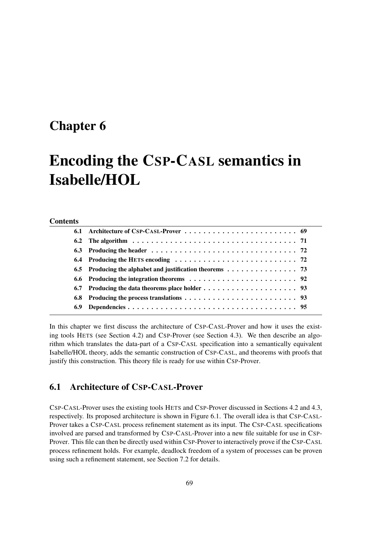## Chapter 6

# Encoding the CSP-CASL semantics in Isabelle/HOL

#### **Contents**

| 6.9 |  |
|-----|--|
|     |  |

In this chapter we first discuss the architecture of CSP-CASL-Prover and how it uses the existing tools HETS (see Section 4.2) and CSP-Prover (see Section 4.3). We then describe an algorithm which translates the data-part of a CSP-CASL specification into a semantically equivalent Isabelle/HOL theory, adds the semantic construction of CSP-CASL, and theorems with proofs that justify this construction. This theory file is ready for use within CSP-Prover.

## 6.1 Architecture of CSP-CASL-Prover

CSP-CASL-Prover uses the existing tools HETS and CSP-Prover discussed in Sections 4.2 and 4.3, respectively. Its proposed architecture is shown in Figure 6.1. The overall idea is that CSP-CASL-Prover takes a CSP-CASL process refinement statement as its input. The CSP-CASL specifications involved are parsed and transformed by CSP-CASL-Prover into a new file suitable for use in CSP-Prover. This file can then be directly used within CSP-Prover to interactively prove if the CSP-CASL process refinement holds. For example, deadlock freedom of a system of processes can be proven using such a refinement statement, see Section 7.2 for details.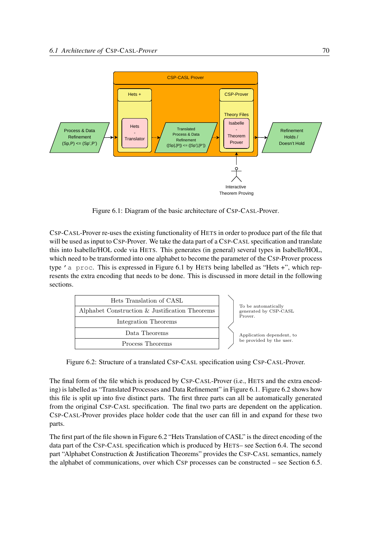

Figure 6.1: Diagram of the basic architecture of CSP-CASL-Prover.

CSP-CASL-Prover re-uses the existing functionality of HETS in order to produce part of the file that will be used as input to CSP-Prover. We take the data part of a CSP-CASL specification and translate this into Isabelle/HOL code via HETS. This generates (in general) several types in Isabelle/HOL, which need to be transformed into one alphabet to become the parameter of the CSP-Prover process type 'a proc. This is expressed in Figure 6.1 by HETS being labelled as "Hets +", which represents the extra encoding that needs to be done. This is discussed in more detail in the following sections.



Figure 6.2: Structure of a translated CSP-CASL specification using CSP-CASL-Prover.

The final form of the file which is produced by CSP-CASL-Prover (i.e., HETS and the extra encoding) is labelled as "Translated Processes and Data Refinement" in Figure 6.1. Figure 6.2 shows how this file is split up into five distinct parts. The first three parts can all be automatically generated from the original CSP-CASL specification. The final two parts are dependent on the application. CSP-CASL-Prover provides place holder code that the user can fill in and expand for these two parts.

The first part of the file shown in Figure 6.2 "Hets Translation of CASL" is the direct encoding of the data part of the CSP-CASL specification which is produced by HETS– see Section 6.4. The second part "Alphabet Construction & Justification Theorems" provides the CSP-CASL semantics, namely the alphabet of communications, over which CSP processes can be constructed – see Section 6.5.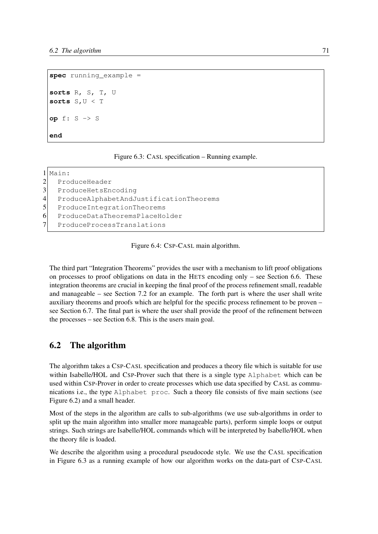```
spec running_example =
sorts R, S, T, U
sorts S,U < T
op f: S -> S
end
```

|                | Main:                                   |
|----------------|-----------------------------------------|
| $\overline{2}$ | ProduceHeader                           |
| $\mathfrak{Z}$ | ProduceHetsEncoding                     |
| $\overline{4}$ | ProduceAlphabetAndJustificationTheorems |
| $\mathfrak{S}$ | ProduceIntegrationTheorems              |
| 6              | ProduceDataTheoremsPlaceHolder          |
|                | ProduceProcessTranslations              |

Figure 6.4: CSP-CASL main algorithm.

The third part "Integration Theorems" provides the user with a mechanism to lift proof obligations on processes to proof obligations on data in the HETS encoding only – see Section 6.6. These integration theorems are crucial in keeping the final proof of the process refinement small, readable and manageable – see Section 7.2 for an example. The forth part is where the user shall write auxiliary theorems and proofs which are helpful for the specific process refinement to be proven – see Section 6.7. The final part is where the user shall provide the proof of the refinement between the processes – see Section 6.8. This is the users main goal.

## 6.2 The algorithm

The algorithm takes a CSP-CASL specification and produces a theory file which is suitable for use within Isabelle/HOL and CSP-Prover such that there is a single type Alphabet which can be used within CSP-Prover in order to create processes which use data specified by CASL as communications i.e., the type Alphabet proc. Such a theory file consists of five main sections (see Figure 6.2) and a small header.

Most of the steps in the algorithm are calls to sub-algorithms (we use sub-algorithms in order to split up the main algorithm into smaller more manageable parts), perform simple loops or output strings. Such strings are Isabelle/HOL commands which will be interpreted by Isabelle/HOL when the theory file is loaded.

We describe the algorithm using a procedural pseudocode style. We use the CASL specification in Figure 6.3 as a running example of how our algorithm works on the data-part of CSP-CASL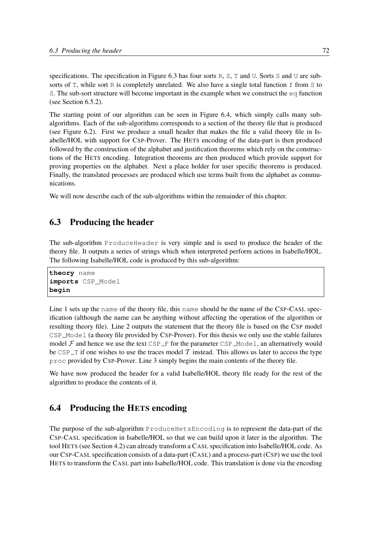specifications. The specification in Figure 6.3 has four sorts R, S, T and U. Sorts S and U are subsorts of  $T$ , while sort R is completely unrelated. We also have a single total function  $f$  from  $S$  to S. The sub-sort structure will become important in the example when we construct the  $eq$  function (see Section 6.5.2).

The starting point of our algorithm can be seen in Figure 6.4, which simply calls many subalgorithms. Each of the sub-algorithms corresponds to a section of the theory file that is produced (see Figure 6.2). First we produce a small header that makes the file a valid theory file in Isabelle/HOL with support for CSP-Prover. The HETS encoding of the data-part is then produced followed by the construction of the alphabet and justification theorems which rely on the constructions of the HETS encoding. Integration theorems are then produced which provide support for proving properties on the alphabet. Next a place holder for user specific theorems is produced. Finally, the translated processes are produced which use terms built from the alphabet as communications.

We will now describe each of the sub-algorithms within the remainder of this chapter.

## 6.3 Producing the header

The sub-algorithm ProduceHeader is very simple and is used to produce the header of the theory file. It outputs a series of strings which when interpreted perform actions in Isabelle/HOL. The following Isabelle/HOL code is produced by this sub-algorithm:

**theory** name **imports** CSP\_Model **begin**

Line 1 sets up the name of the theory file, this name should be the name of the CSP-CASL specification (although the name can be anything without affecting the operation of the algorithm or resulting theory file). Line 2 outputs the statement that the theory file is based on the CSP model CSP Model (a theory file provided by CSP-Prover). For this thesis we only use the stable failures model  $\mathcal F$  and hence we use the text CSP  $\mathcal F$  for the parameter CSP  $\mathcal P$  Model, an alternatively would be CSP $\perp$  T if one wishes to use the traces model T instead. This allows us later to access the type proc provided by CSP-Prover. Line 3 simply begins the main contents of the theory file.

We have now produced the header for a valid Isabelle/HOL theory file ready for the rest of the algorithm to produce the contents of it.

## 6.4 Producing the HETS encoding

The purpose of the sub-algorithm ProduceHetsEncoding is to represent the data-part of the CSP-CASL specification in Isabelle/HOL so that we can build upon it later in the algorithm. The tool HETS (see Section 4.2) can already transform a CASL specification into Isabelle/HOL code. As our CSP-CASL specification consists of a data-part (CASL) and a process-part (CSP) we use the tool HETS to transform the CASL part into Isabelle/HOL code. This translation is done via the encoding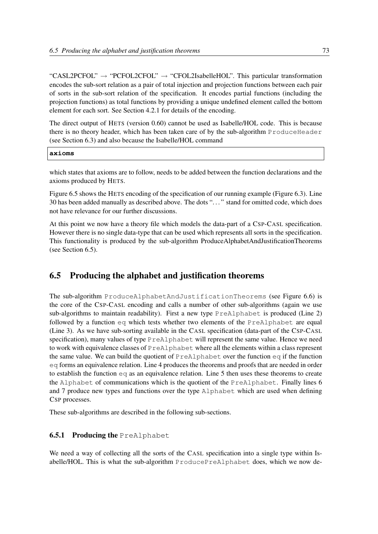"CASL2PCFOL"  $\rightarrow$  "PCFOL2CFOL"  $\rightarrow$  "CFOL2IsabelleHOL". This particular transformation encodes the sub-sort relation as a pair of total injection and projection functions between each pair of sorts in the sub-sort relation of the specification. It encodes partial functions (including the projection functions) as total functions by providing a unique undefined element called the bottom element for each sort. See Section 4.2.1 for details of the encoding.

The direct output of HETS (version 0.60) cannot be used as Isabelle/HOL code. This is because there is no theory header, which has been taken care of by the sub-algorithm ProduceHeader (see Section 6.3) and also because the Isabelle/HOL command

| ۲. | m. |
|----|----|
|    |    |

which states that axioms are to follow, needs to be added between the function declarations and the axioms produced by HETS.

Figure 6.5 shows the HETS encoding of the specification of our running example (Figure 6.3). Line 30 has been added manually as described above. The dots ". . . " stand for omitted code, which does not have relevance for our further discussions.

At this point we now have a theory file which models the data-part of a CSP-CASL specification. However there is no single data-type that can be used which represents all sorts in the specification. This functionality is produced by the sub-algorithm ProduceAlphabetAndJustificationTheorems (see Section 6.5).

## 6.5 Producing the alphabet and justification theorems

The sub-algorithm ProduceAlphabetAndJustificationTheorems (see Figure 6.6) is the core of the CSP-CASL encoding and calls a number of other sub-algorithms (again we use sub-algorithms to maintain readability). First a new type PreAlphabet is produced (Line 2) followed by a function eq which tests whether two elements of the PreAlphabet are equal (Line 3). As we have sub-sorting available in the CASL specification (data-part of the CSP-CASL specification), many values of type PreAlphabet will represent the same value. Hence we need to work with equivalence classes of PreAlphabet where all the elements within a class represent the same value. We can build the quotient of PreAlphabet over the function eq if the function eq forms an equivalence relation. Line 4 produces the theorems and proofs that are needed in order to establish the function  $eq a$  as an equivalence relation. Line 5 then uses these theorems to create the Alphabet of communications which is the quotient of the PreAlphabet. Finally lines 6 and 7 produce new types and functions over the type Alphabet which are used when defining CSP processes.

These sub-algorithms are described in the following sub-sections.

#### **6.5.1 Producing the PreAlphabet**

We need a way of collecting all the sorts of the CASL specification into a single type within Isabelle/HOL. This is what the sub-algorithm ProducePreAlphabet does, which we now de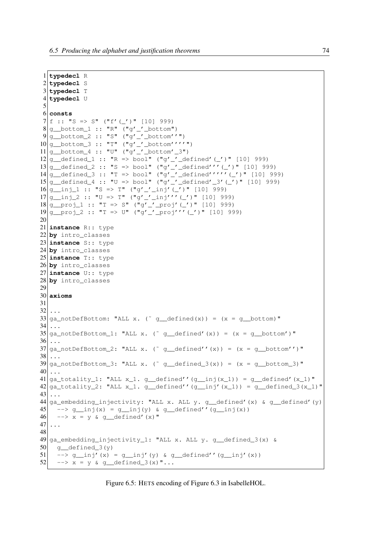*6.5 Producing the alphabet and justification theorems* 74

```
1 typedecl R
 2 typedecl S
 3 typedecl T
 4 typedecl U
5
6 consts
7 \vert f :: "S => S" ("f'(_')" [10] 999)
8 \mid q \text{ bottom } 1 :: "R" ("q' ' bottom")9 | q \tbottoon 2 :: "S" ("q'_'_bottom''")
10<sup>q</sup> bottom 3 :: "T" ("q'' bottom''''")
11 |q_{\text{bottom}_4} :: "U" ("q'_'_bottom'_3")
12 | g defined 1 :: "R => bool" ("g'_'_defined'(_')" [10] 999)
13 \frac{13}{9} defined_2 :: "S => bool" ("g'_'_defined'''(_')" [10] 999)
14|g defined 3 :: "T > bool" ("g'-'defined'''''' (-'))" [10] 999)15|g defined 4 :: "U => bool" ("g'_'_defined'_3'(_')" [10] 999)
16|q_{ni}1:: "S \Rightarrow T" ("q'_{ni}nj' (-')" [10] 999)17|q_{i1}^{i} \geq 1: "U => T" ("g'_'_inj'''(_')" [10] 999)
18 | g_{\text{proj}}1 :: "T \Rightarrow S" ("g'_{\text{proj}}' ('')" [10] 999)19 | g \text{proj}_2 : : "T \Rightarrow U" ("g' \text{proj}''' (r')" [10] 999)20
21 instance R:: type
22 by intro_classes
23 instance S:: type
24 by intro_classes
25 instance T:: type
26 by intro_classes
27 instance U:: type
28 by intro_classes
29
30 axioms
31
32 ...
33 ga_notDefBottom: "ALL x. ( \alpha defined(x)) = (x = q bottom)"
34 ...
35 \text{ g} ga_notDefBottom_1: "ALL x. (<sup>\sim</sup> g_defined'(x)) = (x = g_bottom')"
36 \ldots37 |ga_notDefBottom_2: "ALL x. (~ g_defined''(x)) = (x = g_bottom'')"
38 \ldots39 \mid \text{qa\_notDefBottom\_3: "ALL x. (' g\_defined_3(x)) = (x = g\_bottom_3)"40 ...
41 ga totality 1: "ALL x 1. g defined''(g inj(x 1)) = g defined'(x 1)"
42 ga totality 2: "ALL x 1. g defined''(g inj'(x 1)) = g defined 3(x_1)"
43 ...
44 ga_embedding_injectivity: "ALL x. ALL y. g_defined'(x) & g_defined'(y)
45 - > g_inj(x) = g_inj(y) & g_defined''(g_inj(x))
46 - > x = y & g_defined'(x)"
47
48
49 \text{ g} embedding_injectivity_1: "ALL x. ALL y. g_defined_3(x) &
50 g_defined_3(y)
51 \vert -> q_inj'(x) = q_inj'(y) & q_defined''(q_inj'(x))
52 - > x = y & q defined 3(x)"...
```
Figure 6.5: HETS encoding of Figure 6.3 in IsabelleHOL.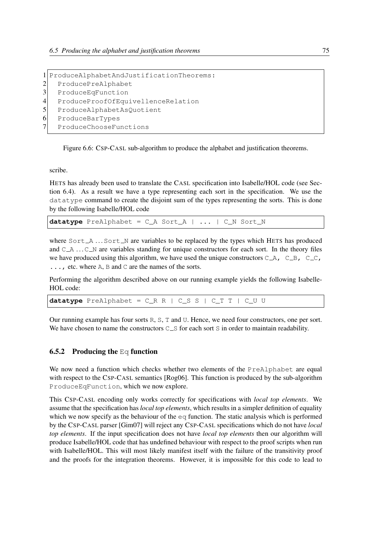```
1 ProduceAlphabetAndJustificationTheorems:
2 ProducePreAlphabet
3 ProduceEqFunction
4 ProduceProofOfEquivellenceRelation
5 ProduceAlphabetAsQuotient
6 ProduceBarTypes
7 ProduceChooseFunctions
```
Figure 6.6: CSP-CASL sub-algorithm to produce the alphabet and justification theorems.

scribe.

HETS has already been used to translate the CASL specification into Isabelle/HOL code (see Section 6.4). As a result we have a type representing each sort in the specification. We use the datatype command to create the disjoint sum of the types representing the sorts. This is done by the following Isabelle/HOL code

**datatype** PreAlphabet = C\_A Sort\_A | ... | C\_N Sort\_N

where  $Sort\_A$  ...  $Sort\_N$  are variables to be replaced by the types which HETS has produced and  $C_A$  ...  $C_N$  are variables standing for unique constructors for each sort. In the theory files we have produced using this algorithm, we have used the unique constructors  $C_A$ ,  $C_B$ ,  $C_C$ , ..., etc. where A, B and C are the names of the sorts.

Performing the algorithm described above on our running example yields the following Isabelle-HOL code:

**datatype** PreAlphabet = C\_R R | C\_S S | C\_T T | C\_U U

Our running example has four sorts R, S, T and U. Hence, we need four constructors, one per sort. We have chosen to name the constructors  $C_S$  for each sort S in order to maintain readability.

#### **6.5.2** Producing the Eq function

We now need a function which checks whether two elements of the PreAlphabet are equal with respect to the CSP-CASL semantics [Rog06]. This function is produced by the sub-algorithm ProduceEqFunction, which we now explore.

This CSP-CASL encoding only works correctly for specifications with *local top elements*. We assume that the specification has *local top elements*, which results in a simpler definition of equality which we now specify as the behaviour of the eq function. The static analysis which is performed by the CSP-CASL parser [Gim07] will reject any CSP-CASL specifications which do not have *local top elements*. If the input specification does not have *local top elements* then our algorithm will produce Isabelle/HOL code that has undefined behaviour with respect to the proof scripts when run with Isabelle/HOL. This will most likely manifest itself with the failure of the transitivity proof and the proofs for the integration theorems. However, it is impossible for this code to lead to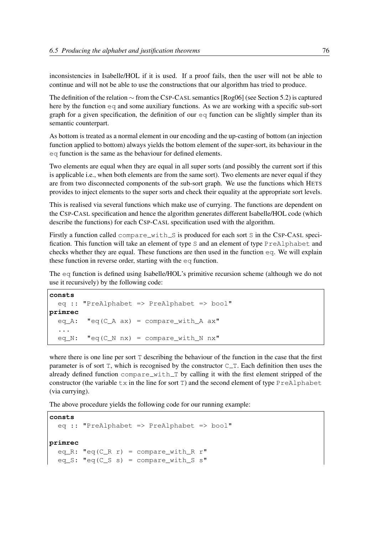inconsistencies in Isabelle/HOL if it is used. If a proof fails, then the user will not be able to continue and will not be able to use the constructions that our algorithm has tried to produce.

The definition of the relation ∼ from the CSP-CASL semantics [Rog06] (see Section 5.2) is captured here by the function  $\epsilon q$  and some auxiliary functions. As we are working with a specific sub-sort graph for a given specification, the definition of our  $\epsilon q$  function can be slightly simpler than its semantic counterpart.

As bottom is treated as a normal element in our encoding and the up-casting of bottom (an injection function applied to bottom) always yields the bottom element of the super-sort, its behaviour in the eq function is the same as the behaviour for defined elements.

Two elements are equal when they are equal in all super sorts (and possibly the current sort if this is applicable i.e., when both elements are from the same sort). Two elements are never equal if they are from two disconnected components of the sub-sort graph. We use the functions which HETS provides to inject elements to the super sorts and check their equality at the appropriate sort levels.

This is realised via several functions which make use of currying. The functions are dependent on the CSP-CASL specification and hence the algorithm generates different Isabelle/HOL code (which describe the functions) for each CSP-CASL specification used with the algorithm.

Firstly a function called  $\text{compare\_with\_S}$  is produced for each sort S in the CSP-CASL specification. This function will take an element of type S and an element of type PreAlphabet and checks whether they are equal. These functions are then used in the function  $eq$ . We will explain these function in reverse order, starting with the eq function.

The eq function is defined using Isabelle/HOL's primitive recursion scheme (although we do not use it recursively) by the following code:

```
consts
  eq :: "PreAlphabet => PreAlphabet => bool"
primrec
 eq_A: "eq(C_A ax) = compare\_with_A ax"...
  eq_N: "eq(C_N nx) = compare\_with_N nx"
```
where there is one line per sort T describing the behaviour of the function in the case that the first parameter is of sort  $T$ , which is recognised by the constructor  $C_T$ . Each definition then uses the already defined function  $\text{compare\_with\_T}$  by calling it with the first element stripped of the constructor (the variable  $\pm x$  in the line for sort T) and the second element of type PreAlphabet (via currying).

The above procedure yields the following code for our running example:

```
consts
  eq :: "PreAlphabet => PreAlphabet => bool"
primrec
  eq_R: "eq(C_R r) = compare_with_R r"eq_S: "eq(C_S s) = compare_with_S s"
```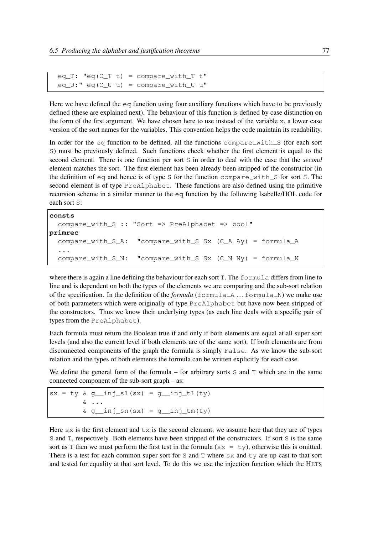```
eq_T: "eq(C_T t) = compare_with_T t"
eq_U:" eq(C_U u) = compare_with_U u"
```
Here we have defined the  $eq$  function using four auxiliary functions which have to be previously defined (these are explained next). The behaviour of this function is defined by case distinction on the form of the first argument. We have chosen here to use instead of the variable x, a lower case version of the sort names for the variables. This convention helps the code maintain its readability.

In order for the eq function to be defined, all the functions compare  $\text{with } S$  (for each sort S) must be previously defined. Such functions check whether the first element is equal to the second element. There is one function per sort S in order to deal with the case that the *second* element matches the sort. The first element has been already been stripped of the constructor (in the definition of  $eq$  and hence is of type S for the function compare with S for sort S. The second element is of type PreAlphabet. These functions are also defined using the primitive recursion scheme in a similar manner to the eq function by the following Isabelle/HOL code for each sort S:

```
consts
  compare_with_S :: "Sort => PreAlphabet => bool"
primrec
  compare_with_S_A: "compare_with_S Sx (C_A Ay) = formula_A
  ...
  compare_with_S_N: "compare_with_S Sx (C_N Ny) = formula_N
```
where there is again a line defining the behaviour for each sort  $T$ . The  $f$ ormula differs from line to line and is dependent on both the types of the elements we are comparing and the sub-sort relation of the specification. In the definition of the *formula* (formula A ... formula N) we make use of both parameters which were originally of type PreAlphabet but have now been stripped of the constructors. Thus we know their underlying types (as each line deals with a specific pair of types from the PreAlphabet).

Each formula must return the Boolean true if and only if both elements are equal at all super sort levels (and also the current level if both elements are of the same sort). If both elements are from disconnected components of the graph the formula is simply False. As we know the sub-sort relation and the types of both elements the formula can be written explicitly for each case.

We define the general form of the formula – for arbitrary sorts  $S$  and  $T$  which are in the same connected component of the sub-sort graph – as:

```
sx = ty \& g_{\text{inj_S1}}(sx) = g_{\text{inj_L1}}(ty)& ...
          \omega g_inj_sn(sx) = g_inj_tm(ty)
```
Here  $s \times s$  is the first element and  $t \times s$  is the second element, we assume here that they are of types S and T, respectively. Both elements have been stripped of the constructors. If sort S is the same sort as T then we must perform the first test in the formula ( $sx = ty$ ), otherwise this is omitted. There is a test for each common super-sort for S and T where  $s \times s$  and  $t \vee s$  are up-cast to that sort and tested for equality at that sort level. To do this we use the injection function which the HETS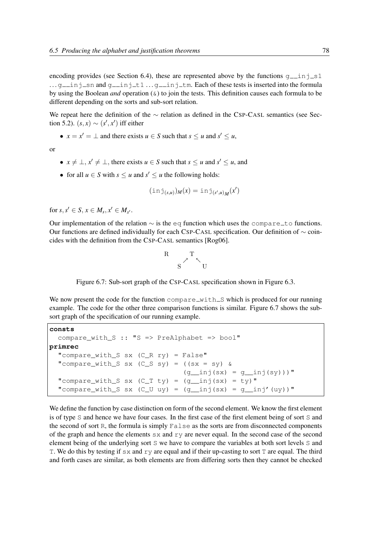encoding provides (see Section 6.4), these are represented above by the functions  $g_{\text{min}} = 1$  $\ldots$  g inj sn and g inj t1  $\ldots$  g inj tm. Each of these tests is inserted into the formula by using the Boolean *and* operation (&) to join the tests. This definition causes each formula to be different depending on the sorts and sub-sort relation.

We repeat here the definition of the ∼ relation as defined in the CSP-CASL semantics (see Section 5.2).  $(s, x) \sim (s', x')$  iff either

•  $x = x' = \bot$  and there exists  $u \in S$  such that  $s \le u$  and  $s' \le u$ ,

or

- $x \neq \perp, x' \neq \perp$ , there exists  $u \in S$  such that  $s \leq u$  and  $s' \leq u$ , and
- for all  $u \in S$  with  $s \le u$  and  $s' \le u$  the following holds:

$$
(\operatorname{inj}_{(s,u)})_M(x) = \operatorname{inj}_{(s',u)_M}(x')
$$

for  $s, s' \in S, x \in M_s, x' \in M_{s'}$ .

Our implementation of the relation  $\sim$  is the eq function which uses the compare to functions. Our functions are defined individually for each CSP-CASL specification. Our definition of ∼ coincides with the definition from the CSP-CASL semantics [Rog06].

$$
\begin{array}{cc}R& & T\\ & S& & U\end{array}
$$

Figure 6.7: Sub-sort graph of the CSP-CASL specification shown in Figure 6.3.

We now present the code for the function  $\text{compact}_{\text{with}}$  S which is produced for our running example. The code for the other three comparison functions is similar. Figure 6.7 shows the subsort graph of the specification of our running example.

```
consts
  compare_with_S :: "S => PreAlphabet => bool"
primrec
  "compare_with_S sx (C_R ry) = False"
  "compare_with_S sx (C_S sy) = ((sx = sy) &(q_i)inj(sx) = q_iinj(sy)))"
  "compare_with_S sx (C_T ty) = (g_{inj}(sx) = ty)"
  "compare_with_S sx (C_U \t u y) = (g_inj(sx) = g_inj'(uy))"
```
We define the function by case distinction on form of the second element. We know the first element is of type S and hence we have four cases. In the first case of the first element being of sort S and the second of sort R, the formula is simply False as the sorts are from disconnected components of the graph and hence the elements  $s \times s$  and  $r \vee r$  are never equal. In the second case of the second element being of the underlying sort S we have to compare the variables at both sort levels S and T. We do this by testing if  $s \times$  and  $r \times r$  are equal and if their up-casting to sort T are equal. The third and forth cases are similar, as both elements are from differing sorts then they cannot be checked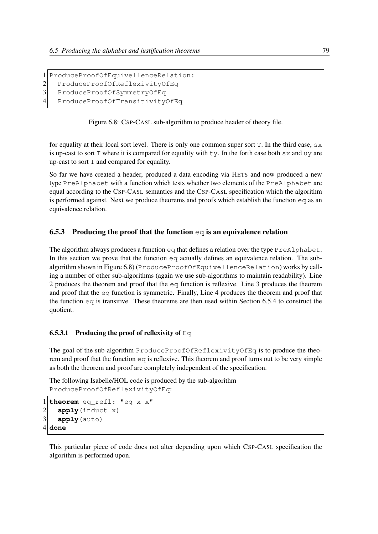```
1 ProduceProofOfEquivellenceRelation:
```

```
2 ProduceProofOfReflexivityOfEq
```

```
3 ProduceProofOfSymmetryOfEq
```

```
4 ProduceProofOfTransitivityOfEq
```
Figure 6.8: CSP-CASL sub-algorithm to produce header of theory file.

for equality at their local sort level. There is only one common super sort T. In the third case, sx is up-cast to sort  $T$  where it is compared for equality with  $ty$ . In the forth case both  $sx$  and  $uy$  are up-cast to sort T and compared for equality.

So far we have created a header, produced a data encoding via HETS and now produced a new type PreAlphabet with a function which tests whether two elements of the PreAlphabet are equal according to the CSP-CASL semantics and the CSP-CASL specification which the algorithm is performed against. Next we produce theorems and proofs which establish the function eq as an equivalence relation.

## 6.5.3 Producing the proof that the function  $\epsilon q$  is an equivalence relation

The algorithm always produces a function  $eq$  that defines a relation over the type  $PreAlpha bet$ . In this section we prove that the function  $\epsilon q$  actually defines an equivalence relation. The subalgorithm shown in Figure 6.8) (ProduceProofOfEquivellenceRelation) works by calling a number of other sub-algorithms (again we use sub-algorithms to maintain readability). Line 2 produces the theorem and proof that the eq function is reflexive. Line 3 produces the theorem and proof that the eq function is symmetric. Finally, Line 4 produces the theorem and proof that the function  $eq$  is transitive. These theorems are then used within Section 6.5.4 to construct the quotient.

## **6.5.3.1 Producing the proof of reflexivity of Eq.**

The goal of the sub-algorithm ProduceProofOfReflexivityOfEq is to produce the theorem and proof that the function  $\epsilon q$  is reflexive. This theorem and proof turns out to be very simple as both the theorem and proof are completely independent of the specification.

The following Isabelle/HOL code is produced by the sub-algorithm ProduceProofOfReflexivityOfEq:

```
1 theorem eq_refl: "eq x x"
2 apply(induct x)
3 apply (auto)
4 done
```
This particular piece of code does not alter depending upon which CSP-CASL specification the algorithm is performed upon.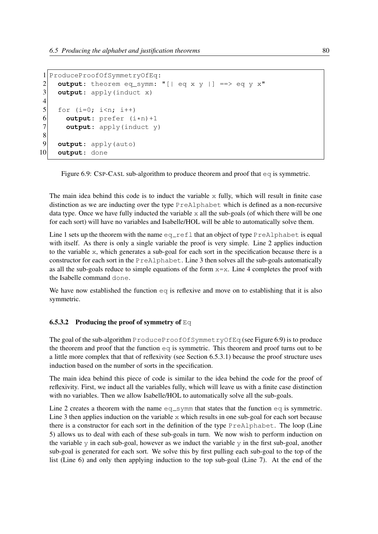```
1 ProduceProofOfSymmetryOfEq:
2 output: theorem eq_symm: "[| eq x y |] ==> eq y x"
3 output: apply(induct x)
\frac{4}{5}for (i=0; i\leq n; i++)6 output: prefer (i*n)+1<br>7 output: apply(induct y
       output: apply(induct y)
8<br>9
     output: apply(auto)
10 output: done
```
Figure 6.9: CSP-CASL sub-algorithm to produce theorem and proof that  $\epsilon q$  is symmetric.

The main idea behind this code is to induct the variable  $x$  fully, which will result in finite case distinction as we are inducting over the type PreAlphabet which is defined as a non-recursive data type. Once we have fully inducted the variable  $x$  all the sub-goals (of which there will be one for each sort) will have no variables and Isabelle/HOL will be able to automatically solve them.

Line 1 sets up the theorem with the name  $eq_{ref}$  that an object of type PreAlphabet is equal with itself. As there is only a single variable the proof is very simple. Line 2 applies induction to the variable x, which generates a sub-goal for each sort in the specification because there is a constructor for each sort in the PreAlphabet. Line 3 then solves all the sub-goals automatically as all the sub-goals reduce to simple equations of the form  $x=x$ . Line 4 completes the proof with the Isabelle command done.

We have now established the function  $eq$  is reflexive and move on to establishing that it is also symmetric.

#### **6.5.3.2** Producing the proof of symmetry of Eq.

The goal of the sub-algorithm ProduceProofOfSymmetryOfEq (see Figure 6.9) is to produce the theorem and proof that the function  $eq$  is symmetric. This theorem and proof turns out to be a little more complex that that of reflexivity (see Section 6.5.3.1) because the proof structure uses induction based on the number of sorts in the specification.

The main idea behind this piece of code is similar to the idea behind the code for the proof of reflexivity. First, we induct all the variables fully, which will leave us with a finite case distinction with no variables. Then we allow Isabelle/HOL to automatically solve all the sub-goals.

Line 2 creates a theorem with the name  $eq$ -symm that states that the function  $eq$  is symmetric. Line 3 then applies induction on the variable x which results in one sub-goal for each sort because there is a constructor for each sort in the definition of the type PreAlphabet. The loop (Line 5) allows us to deal with each of these sub-goals in turn. We now wish to perform induction on the variable y in each sub-goal, however as we induct the variable  $\gamma$  in the first sub-goal, another sub-goal is generated for each sort. We solve this by first pulling each sub-goal to the top of the list (Line 6) and only then applying induction to the top sub-goal (Line 7). At the end of the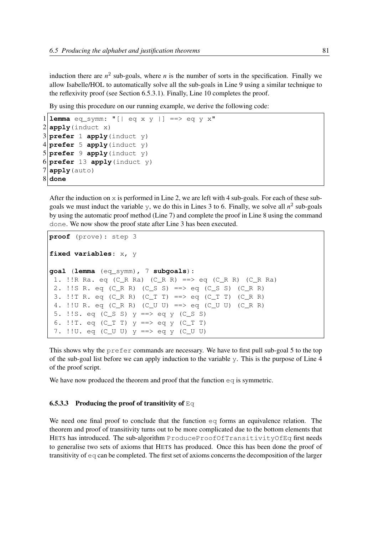induction there are  $n^2$  sub-goals, where *n* is the number of sorts in the specification. Finally we allow Isabelle/HOL to automatically solve all the sub-goals in Line 9 using a similar technique to the reflexivity proof (see Section 6.5.3.1). Finally, Line 10 completes the proof.

By using this procedure on our running example, we derive the following code:

```
1emma eq symm: "| eq x y | ==> eq y x"
2 apply (induct x)
3 prefer 1 apply(induct y)
4 prefer 5 apply(induct y)
5 prefer 9 apply(induct y)
6 prefer 13 apply(induct y)
7 apply(auto)
8 done
```
After the induction on  $x$  is performed in Line 2, we are left with 4 sub-goals. For each of these subgoals we must induct the variable  $\gamma$ , we do this in Lines 3 to 6. Finally, we solve all  $n^2$  sub-goals by using the automatic proof method (Line 7) and complete the proof in Line 8 using the command done. We now show the proof state after Line 3 has been executed.

```
proof (prove): step 3
fixed variables: x, y
goal (lemma (eq_symm), 7 subgoals):
1. !!R Ra. eq (C_R Ra) (C_R R) ==> eq (C_R R) (C_R Ra)
2. !!S R. eq (C_R R) (C_S S) ==> eq (C_S S) (C_R R)
 3. !!T R. eq (C_R R) (C_T T) ==> eq (C_T T) (C_R R)
 4. !!U R. eq (C_R R) (C_U U) ==> eq (C_U U) (C_R R)
 5. !!S. eq (C_S S) y ==> eq y (C_S S)
 6. !! T. eq (C_T T) y == > eq y (C_T T)7. !!U. eq (C_U U) y ==> eq y (C_U U)
```
This shows why the prefer commands are necessary. We have to first pull sub-goal 5 to the top of the sub-goal list before we can apply induction to the variable y. This is the purpose of Line 4 of the proof script.

We have now produced the theorem and proof that the function  $\infty q$  is symmetric.

#### **6.5.3.3** Producing the proof of transitivity of Eq.

We need one final proof to conclude that the function  $\epsilon q$  forms an equivalence relation. The theorem and proof of transitivity turns out to be more complicated due to the bottom elements that HETS has introduced. The sub-algorithm ProduceProofOfTransitivityOfEq first needs to generalise two sets of axioms that HETS has produced. Once this has been done the proof of transitivity of  $\epsilon q$  can be completed. The first set of axioms concerns the decomposition of the larger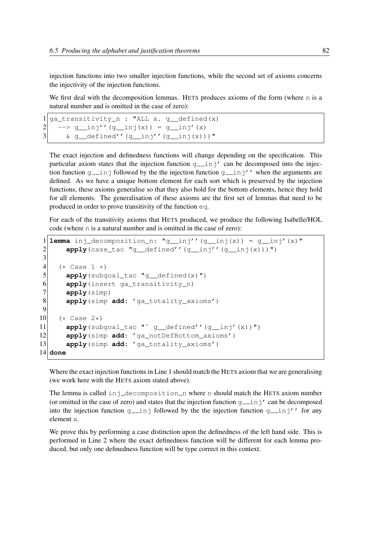injection functions into two smaller injection functions, while the second set of axioms concerns the injectivity of the injection functions.

We first deal with the decomposition lemmas. HETS produces axioms of the form (where n is a natural number and is omitted in the case of zero):

```
1 ga transitivity n : "ALL x. g defined(x)
2 --> g_{ni}j''(g_{ni}j(x)) = g_{ni}j'(x)
3 & g_defined''(g_inj''(g_inj(x)))"
```
The exact injection and definedness functions will change depending on the specification. This particular axiom states that the injection function  $g_{\text{min}}'$  can be decomposed into the injection function  $g_{\text{min}}$  followed by the the injection function  $g_{\text{min}}'$ '' when the arguments are defined. As we have a unique bottom element for each sort which is preserved by the injection functions, these axioms generalise so that they also hold for the bottom elements, hence they hold for all elements. The generalisation of these axioms are the first set of lemmas that need to be produced in order to prove transitivity of the function eq.

For each of the transitivity axioms that HETS produced, we produce the following Isabelle/HOL code (where n is a natural number and is omitted in the case of zero):

```
1lemma inj_decomposition_n: "q_inj''(q_inj(x)) = q_inj'(x)"
2 apply(case_tac "g_defined''(g_inj''(g_inj(x)))")
3
\begin{array}{c|c}\n4 & (* \text{ Case } 1 \end{array} *)<br>
\begin{array}{c}\n5 & \text{apply (sub)}\n\end{array}apply(subgoal tac "g_defined(x)")
6 apply(insert ga_transitivity_n)
7 apply(simp)
8 apply(simp add: 'ga_totality_axioms')
9
10 (* Case 2*)
11 apply(subgoal_tac "<sup>"</sup> g__defined''(g__inj'(x))")
12 apply(simp add: 'ga_notDefBottom_axioms')
13 apply(simp add: 'ga_totality_axioms')
14 done
```
Where the exact injection functions in Line 1 should match the HETS axiom that we are generalising (we work here with the HETS axiom stated above).

The lemma is called inj\_decomposition\_n where n should match the HETS axiom number (or omitted in the case of zero) and states that the injection function  $q_{\text{min}}'$  can be decomposed into the injection function g inj followed by the the injection function g inj'' for any element x.

We prove this by performing a case distinction upon the definedness of the left hand side. This is performed in Line 2 where the exact definedness function will be different for each lemma produced, but only one definedness function will be type correct in this context.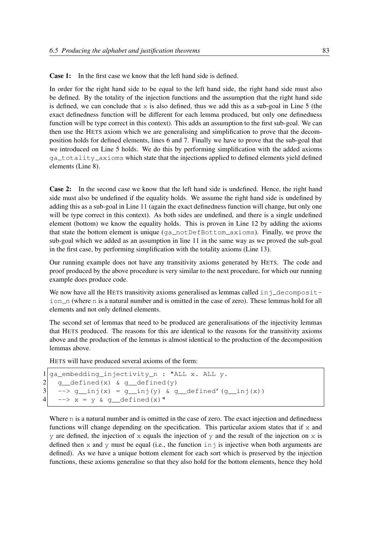**Case 1:** In the first case we know that the left hand side is defined.

In order for the right hand side to be equal to the left hand side, the right hand side must also be defined. By the totality of the injection functions and the assumption that the right hand side is defined, we can conclude that  $x$  is also defined, thus we add this as a sub-goal in Line 5 (the exact definedness function will be different for each lemma produced, but only one definedness function will be type correct in this context). This adds an assumption to the first sub-goal. We can then use the HETS axiom which we are generalising and simplification to prove that the decomposition holds for defined elements, lines 6 and 7. Finally we have to prove that the sub-goal that we introduced on Line 5 holds. We do this by performing simplification with the added axioms ga totality axioms which state that the injections applied to defined elements yield defined elements (Line 8).

Case 2: In the second case we know that the left hand side is undefined. Hence, the right hand side must also be undefined if the equality holds. We assume the right hand side is undefined by adding this as a sub-goal in Line 11 (again the exact definedness function will change, but only one will be type correct in this context). As both sides are undefined, and there is a single undefined element (bottom) we know the equality holds. This is proven in Line 12 by adding the axioms that state the bottom element is unique  $(qa_{\text{notDef}})$  be for  $\text{notDef}}$  axioms). Finally, we prove the sub-goal which we added as an assumption in line 11 in the same way as we proved the sub-goal in the first case, by performing simplification with the totality axioms (Line 13).

Our running example does not have any transitivity axioms generated by HETS. The code and proof produced by the above procedure is very similar to the next procedure, for which our running example does produce code.

We now have all the HETS transitivity axioms generalised as lemmas called  $\text{inj\_decomposition}$ ion n (where n is a natural number and is omitted in the case of zero). These lemmas hold for all elements and not only defined elements.

The second set of lemmas that need to be produced are generalisations of the injectivity lemmas that HETS produced. The reasons for this are identical to the reasons for the transitivity axioms above and the production of the lemmas is almost identical to the production of the decomposition lemmas above.

HETS will have produced several axioms of the form:

```
1 ga_embedding_injectivity_n : "ALL x. ALL y.
2 \mid g_defined(x) & g_defined(y)
3 \left| \quad -->\n g_inj(x) = g_inj(y) & g_defined'(g_inj(x))
4 \rightarrow -\rightarrow x = y \& q \text{ defined (x) "}
```
Where n is a natural number and is omitted in the case of zero. The exact injection and definedness functions will change depending on the specification. This particular axiom states that if  $x$  and y are defined, the injection of x equals the injection of y and the result of the injection on  $x$  is defined then x and y must be equal (i.e., the function  $\text{in } \mathfrak{z}$  is injective when both arguments are defined). As we have a unique bottom element for each sort which is preserved by the injection functions, these axioms generalise so that they also hold for the bottom elements, hence they hold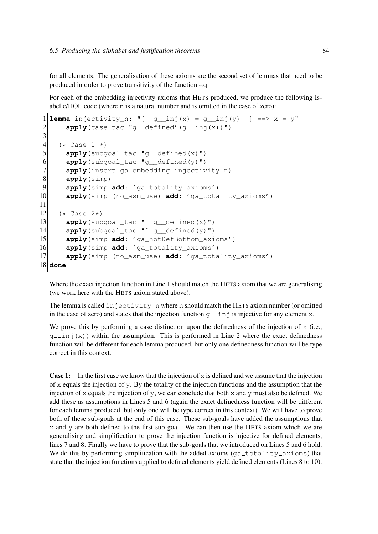for all elements. The generalisation of these axioms are the second set of lemmas that need to be produced in order to prove transitivity of the function eq.

For each of the embedding injectivity axioms that HETS produced, we produce the following Isabelle/HOL code (where n is a natural number and is omitted in the case of zero):

```
1 lemma injectivity_n: "[| g_inj(x) = g_inj(y) |] ==> x = y"
2 apply (case_tac "g_defined'(g_inj(x))")
3
\begin{array}{c|c}\n 4 & \text{(* Case 1 *)} \\
 5 & \text{apply} \text{ (subg)}\n \end{array}apply(subgoal_tac "g_defined(x)")
6 apply(subgoal_tac "g_defined(y)")
7 apply(insert ga_embedding_injectivity_n)
8 apply(simp)
9 apply(simp add: 'ga_totality_axioms')
10 apply(simp (no_asm_use) add: 'ga_totality_axioms')
11
12 (* Case 2*)
13 apply(subgoal_tac "<sup>\sim</sup> g_defined(x)")
14 apply(subgoal_tac "<sup>\sim</sup> q_defined(y)")
15 apply(simp add: 'ga_notDefBottom_axioms')
16 apply(simp add: 'ga_totality_axioms')
17 apply(simp (no_asm_use) add: 'ga_totality_axioms')
18 done
```
Where the exact injection function in Line 1 should match the HETS axiom that we are generalising (we work here with the HETS axiom stated above).

The lemma is called in  $jectivity_n$  where n should match the HETS axiom number (or omitted in the case of zero) and states that the injection function  $g$ <sub>-inj</sub> is injective for any element x.

We prove this by performing a case distinction upon the definedness of the injection of  $x$  (i.e.,  $g_{\text{min}}(x)$ ) within the assumption. This is performed in Line 2 where the exact definedness function will be different for each lemma produced, but only one definedness function will be type correct in this context.

**Case 1:** In the first case we know that the injection of  $x$  is defined and we assume that the injection of  $x$  equals the injection of y. By the totality of the injection functions and the assumption that the injection of x equals the injection of y, we can conclude that both x and y must also be defined. We add these as assumptions in Lines 5 and 6 (again the exact definedness function will be different for each lemma produced, but only one will be type correct in this context). We will have to prove both of these sub-goals at the end of this case. These sub-goals have added the assumptions that x and y are both defined to the first sub-goal. We can then use the HETS axiom which we are generalising and simplification to prove the injection function is injective for defined elements, lines 7 and 8. Finally we have to prove that the sub-goals that we introduced on Lines 5 and 6 hold. We do this by performing simplification with the added axioms ( $ga\_totality\_axioms$ ) that state that the injection functions applied to defined elements yield defined elements (Lines 8 to 10).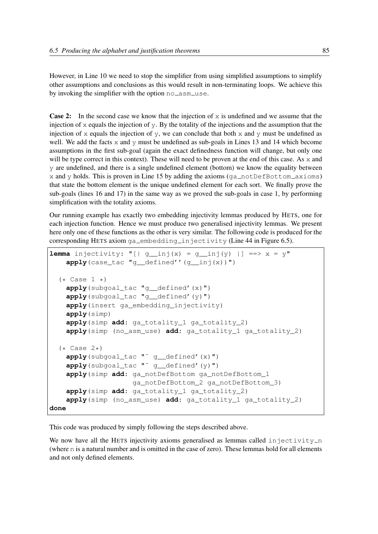However, in Line 10 we need to stop the simplifier from using simplified assumptions to simplify other assumptions and conclusions as this would result in non-terminating loops. We achieve this by invoking the simplifier with the option  $no\_asm\_use$ .

**Case 2:** In the second case we know that the injection of  $x$  is undefined and we assume that the injection of  $x$  equals the injection of  $y$ . By the totality of the injections and the assumption that the injection of x equals the injection of y, we can conclude that both x and y must be undefined as well. We add the facts  $x$  and  $y$  must be undefined as sub-goals in Lines 13 and 14 which become assumptions in the first sub-goal (again the exact definedness function will change, but only one will be type correct in this context). These will need to be proven at the end of this case. As x and y are undefined, and there is a single undefined element (bottom) we know the equality between  $x$  and  $y$  holds. This is proven in Line 15 by adding the axioms (ga\_notDefBottom\_axioms) that state the bottom element is the unique undefined element for each sort. We finally prove the sub-goals (lines 16 and 17) in the same way as we proved the sub-goals in case 1, by performing simplification with the totality axioms.

Our running example has exactly two embedding injectivity lemmas produced by HETS, one for each injection function. Hence we must produce two generalised injectivity lemmas. We present here only one of these functions as the other is very similar. The following code is produced for the corresponding HETS axiom ga\_embedding\_injectivity (Line 44 in Figure 6.5).

```
lemma injectivity: "[] q_inj(x) = q_inj(y) || ==> x = y"apply(case_tac "g__defined''(g__inj(x))")
  (* Case 1 *)apply(subgoal_tac "g__defined'(x)")
   apply(subgoal_tac "g__defined'(y)")
   apply(insert ga_embedding_injectivity)
   apply(simp)
   apply(simp add: ga_totality_1 ga_totality_2)
   apply(simp (no_asm_use) add: ga_totality_1 ga_totality_2)
  (* \text{ Case } 2*)apply(subgoal_tac "˜ g__defined'(x)")
   apply(subgoal_tac "˜ g__defined'(y)")
   apply(simp add: ga_notDefBottom ga_notDefBottom_1
                    ga_notDefBottom_2 ga_notDefBottom_3)
   apply(simp add: ga_totality_1 ga_totality_2)
    apply(simp (no_asm_use) add: ga_totality_1 ga_totality_2)
done
```
This code was produced by simply following the steps described above.

We now have all the HETS injectivity axioms generalised as lemmas called  $\text{in}\$ jectivity n (where n is a natural number and is omitted in the case of zero). These lemmas hold for all elements and not only defined elements.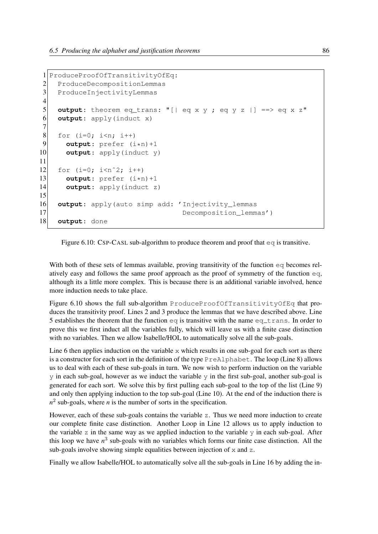```
1 ProduceProofOfTransitivityOfEq:
2 ProduceDecompositionLemmas
3 ProduceInjectivityLemmas
\frac{4}{5}output: theorem eq_trans: "[| eq x y ; eq y z |] ==> eq x z"
6 output: apply(induct x)
7
\begin{array}{c|cc}\n8 & \text{for (i=0; i<n; i++)} \\
9 & \text{output: prefer (i)}\n\end{array}output: prefer (i*n)+110 output: apply(induct y)
11
12 for (i=0; i\le n^2; i++)13 output: prefer (i*n)+114 output: apply(induct z)
15
16 output: apply(auto simp add: 'Injectivity_lemmas
17 Decomposition lemmas')
18 output: done
```
Figure 6.10: CSP-CASL sub-algorithm to produce theorem and proof that  $\epsilon q$  is transitive.

With both of these sets of lemmas available, proving transitivity of the function eq becomes relatively easy and follows the same proof approach as the proof of symmetry of the function eq, although its a little more complex. This is because there is an additional variable involved, hence more induction needs to take place.

Figure 6.10 shows the full sub-algorithm ProduceProofOfTransitivityOfEq that produces the transitivity proof. Lines 2 and 3 produce the lemmas that we have described above. Line 5 establishes the theorem that the function  $eq$  is transitive with the name  $eq_{\text{max}}$ . In order to prove this we first induct all the variables fully, which will leave us with a finite case distinction with no variables. Then we allow Isabelle/HOL to automatically solve all the sub-goals.

Line 6 then applies induction on the variable  $x$  which results in one sub-goal for each sort as there is a constructor for each sort in the definition of the type PreAlphabet. The loop (Line 8) allows us to deal with each of these sub-goals in turn. We now wish to perform induction on the variable  $\gamma$  in each sub-goal, however as we induct the variable  $\gamma$  in the first sub-goal, another sub-goal is generated for each sort. We solve this by first pulling each sub-goal to the top of the list (Line 9) and only then applying induction to the top sub-goal (Line 10). At the end of the induction there is  $n^2$  sub-goals, where *n* is the number of sorts in the specification.

However, each of these sub-goals contains the variable z. Thus we need more induction to create our complete finite case distinction. Another Loop in Line 12 allows us to apply induction to the variable z in the same way as we applied induction to the variable  $\gamma$  in each sub-goal. After this loop we have  $n^3$  sub-goals with no variables which forms our finite case distinction. All the sub-goals involve showing simple equalities between injection of  $x$  and  $z$ .

Finally we allow Isabelle/HOL to automatically solve all the sub-goals in Line 16 by adding the in-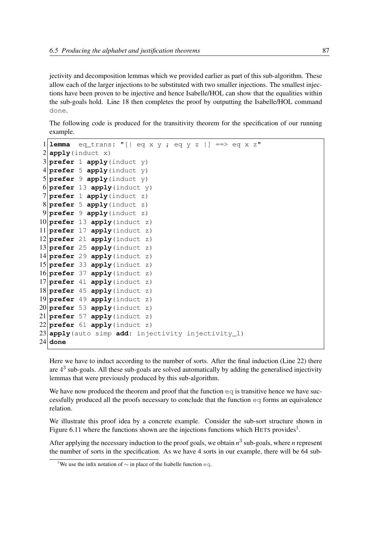jectivity and decomposition lemmas which we provided earlier as part of this sub-algorithm. These allow each of the larger injections to be substituted with two smaller injections. The smallest injections have been proven to be injective and hence Isabelle/HOL can show that the equalities within the sub-goals hold. Line 18 then completes the proof by outputting the Isabelle/HOL command done.

The following code is produced for the transitivity theorem for the specification of our running example.

```
1lemma eq_trans: "[| eq x y ; eq y z |] ==> eq x z"
2 apply (induct x)
3 prefer 1 apply (induct y)
4 prefer 5 apply (induct y)
5 prefer 9 apply(induct y)
6 prefer 13 apply(induct y)
7 prefer 1 apply(induct z)
8 prefer 5 apply(induct z)
9 prefer 9 apply(induct z)
10 prefer 13 apply(induct z)
11 prefer 17 apply(induct z)
12 prefer 21 apply(induct z)
13 prefer 25 apply(induct z)
14 prefer 29 apply(induct z)
15 prefer 33 apply(induct z)
16 prefer 37 apply(induct z)
17 prefer 41 apply(induct z)
18 prefer 45 apply(induct z)
19 prefer 49 apply(induct z)
20 prefer 53 apply(induct z)
21 prefer 57 apply(induct z)
22 prefer 61 apply(induct z)
23 apply(auto simp add: injectivity injectivity_1)
24 done
```
Here we have to induct according to the number of sorts. After the final induction (Line 22) there are  $4<sup>3</sup>$  sub-goals. All these sub-goals are solved automatically by adding the generalised injectivity lemmas that were previously produced by this sub-algorithm.

We have now produced the theorem and proof that the function  $\epsilon q$  is transitive hence we have successfully produced all the proofs necessary to conclude that the function eq forms an equivalence relation.

We illustrate this proof idea by a concrete example. Consider the sub-sort structure shown in Figure 6.11 where the functions shown are the injections functions which HETS provides<sup>1</sup>.

After applying the necessary induction to the proof goals, we obtain *n* 3 sub-goals, where *n* represent the number of sorts in the specification. As we have 4 sorts in our example, there will be 64 sub-

<sup>&</sup>lt;sup>1</sup>We use the infix notation of  $\sim$  in place of the Isabelle function eq.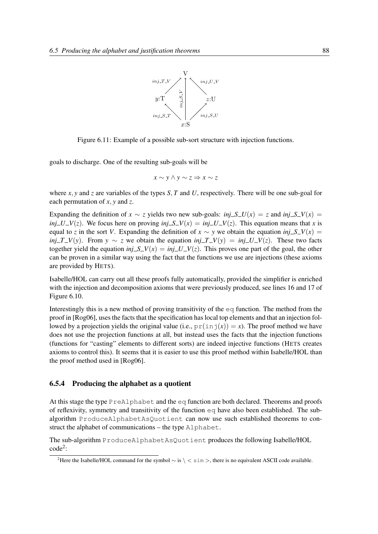

Figure 6.11: Example of a possible sub-sort structure with injection functions.

goals to discharge. One of the resulting sub-goals will be

$$
x \sim y \land y \sim z \Rightarrow x \sim z
$$

where *x*, *y* and *z* are variables of the types *S*, *T* and *U*, respectively. There will be one sub-goal for each permutation of *x*, *y* and *z*.

Expanding the definition of *x* ∼ *z* yields two new sub-goals: *inj*  $S_U(x) = z$  and *inj*  $S_U(x) = z$ *inj*  $-U-V(z)$ . We focus here on proving *inj*  $S-V(x) = inj$   $-U-V(z)$ . This equation means that *x* is equal to *z* in the sort *V*. Expanding the definition of  $x \sim y$  we obtain the equation *inj*  $S_V(x) =$ *inj*  $T$  *V*(*y*). From *y* ∼ *z* we obtain the equation *inj*  $T$  *V*(*y*) = *inj*  $U$  *V*(*z*). These two facts together yield the equation *inj*  $S_V(x) = inj_V(vz)$ . This proves one part of the goal, the other can be proven in a similar way using the fact that the functions we use are injections (these axioms are provided by HETS).

Isabelle/HOL can carry out all these proofs fully automatically, provided the simplifier is enriched with the injection and decomposition axioms that were previously produced, see lines 16 and 17 of Figure 6.10.

Interestingly this is a new method of proving transitivity of the  $\epsilon q$  function. The method from the proof in [Rog06], uses the facts that the specification has local top elements and that an injection followed by a projection yields the original value (i.e.,  $pr(inj(x)) = x$ ). The proof method we have does not use the projection functions at all, but instead uses the facts that the injection functions (functions for "casting" elements to different sorts) are indeed injective functions (HETS creates axioms to control this). It seems that it is easier to use this proof method within Isabelle/HOL than the proof method used in [Rog06].

#### 6.5.4 Producing the alphabet as a quotient

At this stage the type PreAlphabet and the eq function are both declared. Theorems and proofs of reflexivity, symmetry and transitivity of the function eq have also been established. The subalgorithm ProduceAlphabetAsQuotient can now use such established theorems to construct the alphabet of communications – the type Alphabet.

The sub-algorithm ProduceAlphabetAsQuotient produces the following Isabelle/HOL code<sup>2</sup> :

<sup>&</sup>lt;sup>2</sup>Here the Isabelle/HOL command for the symbol  $\sim$  is  $\setminus$  < sim >, there is no equivalent ASCII code available.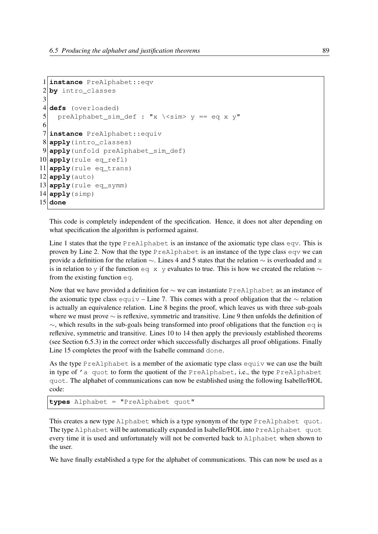```
1 instance PreAlphabet::eqv
2 by intro_classes
3
4 defs (overloaded)
5 preAlphabet_sim_def : "x \ < sim > y == eq x y"
6
7 instance PreAlphabet::equiv
8 apply(intro_classes)
9 apply(unfold preAlphabet_sim_def)
10 apply(rule eq_refl)
11 apply(rule eq_trans)
12 apply (auto)
13 apply(rule eq_symm)
14 apply (simp)
15 done
```
This code is completely independent of the specification. Hence, it does not alter depending on what specification the algorithm is performed against.

Line 1 states that the type PreAlphabet is an instance of the axiomatic type class eqv. This is proven by Line 2. Now that the type PreAlphabet is an instance of the type class eqv we can provide a definition for the relation ∼. Lines 4 and 5 states that the relation ∼ is overloaded and x is in relation to y if the function eq x y evaluates to true. This is how we created the relation  $\sim$ from the existing function eq.

Now that we have provided a definition for ∼ we can instantiate PreAlphabet as an instance of the axiomatic type class equiv – Line 7. This comes with a proof obligation that the  $\sim$  relation is actually an equivalence relation. Line 8 begins the proof, which leaves us with three sub-goals where we must prove ∼ is reflexive, symmetric and transitive. Line 9 then unfolds the definition of  $\sim$ , which results in the sub-goals being transformed into proof obligations that the function eq is reflexive, symmetric and transitive. Lines 10 to 14 then apply the previously established theorems (see Section 6.5.3) in the correct order which successfully discharges all proof obligations. Finally Line 15 completes the proof with the Isabelle command done.

As the type PreAlphabet is a member of the axiomatic type class equiv we can use the built in type of 'a quot to form the quotient of the PreAlphabet, i.e., the type PreAlphabet quot. The alphabet of communications can now be established using the following Isabelle/HOL code:

```
types Alphabet = "PreAlphabet quot"
```
This creates a new type Alphabet which is a type synonym of the type PreAlphabet quot. The type Alphabet will be automatically expanded in Isabelle/HOL into PreAlphabet quot every time it is used and unfortunately will not be converted back to Alphabet when shown to the user.

We have finally established a type for the alphabet of communications. This can now be used as a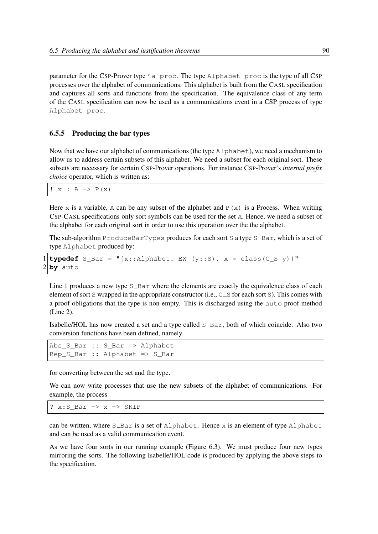parameter for the CSP-Prover type 'a proc. The type Alphabet proc is the type of all CSP processes over the alphabet of communications. This alphabet is built from the CASL specification and captures all sorts and functions from the specification. The equivalence class of any term of the CASL specification can now be used as a communications event in a CSP process of type Alphabet proc.

#### 6.5.5 Producing the bar types

Now that we have our alphabet of communications (the type Alphabet), we need a mechanism to allow us to address certain subsets of this alphabet. We need a subset for each original sort. These subsets are necessary for certain CSP-Prover operations. For instance CSP-Prover's *internal prefix choice* operator, which is written as:

 $! x : A \rightarrow P(x)$ 

Here x is a variable, A can be any subset of the alphabet and  $P(x)$  is a Process. When writing CSP-CASL specifications only sort symbols can be used for the set A. Hence, we need a subset of the alphabet for each original sort in order to use this operation over the the alphabet.

The sub-algorithm ProduceBarTypes produces for each sort S a type  $S_B$ -Bar, which is a set of type Alphabet produced by:

```
1typedef S_Bar = "{x::Alphabet. EX (y::S). x = class(C_S y) }"
2 by auto
```
Line 1 produces a new type  $S_{\text{max}}$  where the elements are exactly the equivalence class of each element of sort S wrapped in the appropriate constructor (i.e.,  $C_{\text{S}}$  for each sort S). This comes with a proof obligations that the type is non-empty. This is discharged using the auto proof method (Line 2).

Isabelle/HOL has now created a set and a type called  $S_{\text{Bar}}$ , both of which coincide. Also two conversion functions have been defined, namely

```
Abs_S_Bar :: S_Bar => Alphabet
Rep_S_Bar :: Alphabet => S_Bar
```
for converting between the set and the type.

We can now write processes that use the new subsets of the alphabet of communications. For example, the process

? x:S\_Bar -> x -> SKIP

can be written, where  $S_Bar$  is a set of Alphabet. Hence x is an element of type Alphabet and can be used as a valid communication event.

As we have four sorts in our running example (Figure 6.3). We must produce four new types mirroring the sorts. The following Isabelle/HOL code is produced by applying the above steps to the specification.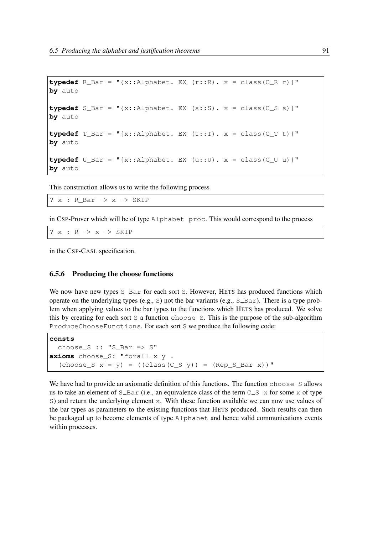```
typedef R Bar = "{x::Alphabet. EX (r::R). x = class(C R r)}"
by auto
typedef S_Bar = "\{x::A\}phabet. EX (s::S). x = class(C S s)]"
by auto
typedef T_Bar = "{x::Alphabet. EX (t::T). x = class(C_T t)}"by auto
typedef U_Bar = "{x::Alphabet. EX (u::U). x = class(C_U u)}"
by auto
```
This construction allows us to write the following process

? x : R\_Bar -> x -> SKIP

in CSP-Prover which will be of type Alphabet proc. This would correspond to the process

? x : R -> x -> SKIP

in the CSP-CASL specification.

#### 6.5.6 Producing the choose functions

We now have new types  $S_{\text{max}}$  for each sort S. However, HETS has produced functions which operate on the underlying types (e.g., S) not the bar variants (e.g.,  $S_Bar$ ). There is a type problem when applying values to the bar types to the functions which HETS has produced. We solve this by creating for each sort S a function choose\_S. This is the purpose of the sub-algorithm ProduceChooseFunctions. For each sort S we produce the following code:

```
consts
 choose_S :: "S_Bar => S"
axioms choose_S: "forall x y .
  (choose S x = y) = ((class(C S y)) = (Rep S Bar x))"
```
We have had to provide an axiomatic definition of this functions. The function  $choose \infty$  selses allows us to take an element of  $S_{\text{max}}$  (i.e., an equivalence class of the term  $C_{\text{max}}$  x for some x of type S) and return the underlying element x. With these function available we can now use values of the bar types as parameters to the existing functions that HETS produced. Such results can then be packaged up to become elements of type Alphabet and hence valid communications events within processes.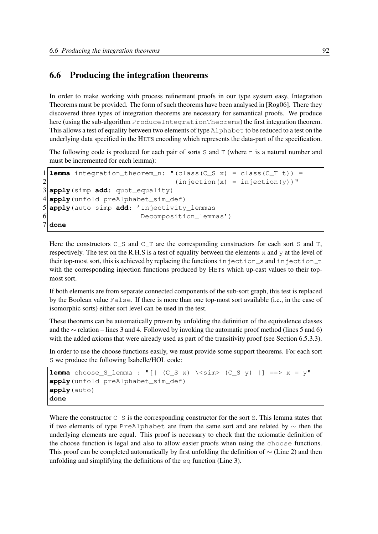## 6.6 Producing the integration theorems

In order to make working with process refinement proofs in our type system easy, Integration Theorems must be provided. The form of such theorems have been analysed in [Rog06]. There they discovered three types of integration theorems are necessary for semantical proofs. We produce here (using the sub-algorithm ProduceIntegrationTheorems) the first integration theorem. This allows a test of equality between two elements of type Alphabet to be reduced to a test on the underlying data specified in the HETS encoding which represents the data-part of the specification.

The following code is produced for each pair of sorts S and T (where n is a natural number and must be incremented for each lemma):

```
1lemma integration_theorem_n: "(class(C_S x) = class(C_T t)) =
2 (injection(x) = injection(y))"
3 apply(simp add: quot_equality)
4 apply(unfold preAlphabet sim def)
5 apply(auto simp add: 'Injectivity_lemmas
6 Decomposition_lemmas')
7 done
```
Here the constructors  $C_S$  and  $C_T$  are the corresponding constructors for each sort S and T, respectively. The test on the R.H.S is a test of equality between the elements  $x$  and  $y$  at the level of their top-most sort, this is achieved by replacing the functions in jection s and injection  $t$ with the corresponding injection functions produced by HETS which up-cast values to their topmost sort.

If both elements are from separate connected components of the sub-sort graph, this test is replaced by the Boolean value False. If there is more than one top-most sort available (i.e., in the case of isomorphic sorts) either sort level can be used in the test.

These theorems can be automatically proven by unfolding the definition of the equivalence classes and the ∼ relation – lines 3 and 4. Followed by invoking the automatic proof method (lines 5 and 6) with the added axioms that were already used as part of the transitivity proof (see Section 6.5.3.3).

In order to use the choose functions easily, we must provide some support theorems. For each sort S we produce the following Isabelle/HOL code:

```
lemma choose_S_lemma : "[| (C_S x) \ \> \sin (C_S y) |] ==> x = y"
apply(unfold preAlphabet sim def)
apply(auto)
done
```
Where the constructor  $C_{\text{S}}$  is the corresponding constructor for the sort S. This lemma states that if two elements of type PreAlphabet are from the same sort and are related by ∼ then the underlying elements are equal. This proof is necessary to check that the axiomatic definition of the choose function is legal and also to allow easier proofs when using the choose functions. This proof can be completed automatically by first unfolding the definition of  $\sim$  (Line 2) and then unfolding and simplifying the definitions of the  $eq$  function (Line 3).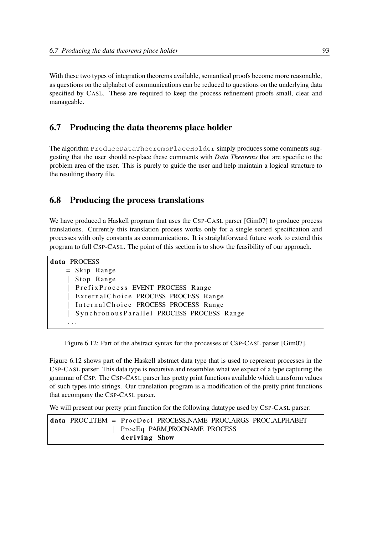With these two types of integration theorems available, semantical proofs become more reasonable, as questions on the alphabet of communications can be reduced to questions on the underlying data specified by CASL. These are required to keep the process refinement proofs small, clear and manageable.

## 6.7 Producing the data theorems place holder

The algorithm ProduceDataTheoremsPlaceHolder simply produces some comments suggesting that the user should re-place these comments with *Data Theorems* that are specific to the problem area of the user. This is purely to guide the user and help maintain a logical structure to the resulting theory file.

## 6.8 Producing the process translations

We have produced a Haskell program that uses the CSP-CASL parser [Gim07] to produce process translations. Currently this translation process works only for a single sorted specification and processes with only constants as communications. It is straightforward future work to extend this program to full CSP-CASL. The point of this section is to show the feasibility of our approach.

```
data PROCESS
   = Skip Range
    | Stop Range
      PrefixProcess EVENT PROCESS Range
      External Choice PROCESS PROCESS Range
      Internal Choice PROCESS PROCESS Range
      SynchronousParallel PROCESS PROCESS Range
    . . .
```
Figure 6.12: Part of the abstract syntax for the processes of CsP-CASL parser [Gim07].

Figure 6.12 shows part of the Haskell abstract data type that is used to represent processes in the CSP-CASL parser. This data type is recursive and resembles what we expect of a type capturing the grammar of CSP. The CSP-CASL parser has pretty print functions available which transform values of such types into strings. Our translation program is a modification of the pretty print functions that accompany the CSP-CASL parser.

We will present our pretty print function for the following datatype used by CSP-CASL parser:

|  | data PROC_ITEM = ProcDecl PROCESS_NAME PROC_ARGS PROC_ALPHABET |
|--|----------------------------------------------------------------|
|  | ProcEq PARM_PROCNAME PROCESS                                   |
|  | deriving Show                                                  |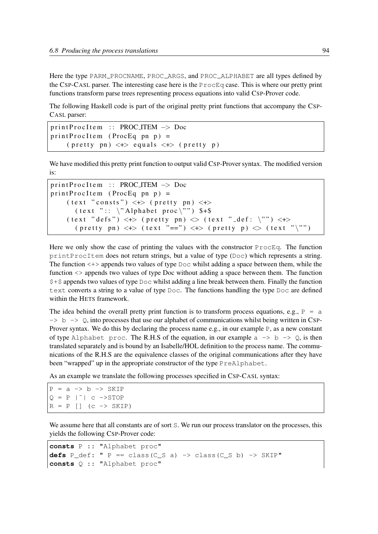Here the type PARM PROCNAME, PROC ARGS, and PROC ALPHABET are all types defined by the CSP-CASL parser. The interesting case here is the  $P_{\text{TOCEq}}$  case. This is where our pretty print functions transform parse trees representing process equations into valid CSP-Prover code.

The following Haskell code is part of the original pretty print functions that accompany the CSP-CASL parser:

```
print Proc I tem :: PROC_ITEM \rightarrow Doc
printProoftem (ProcEq pn p) =
     (\text{ pretty } pn) \iff equals \iff (\text{ pretty } p)
```
We have modified this pretty print function to output valid CSP-Prover syntax. The modified version is:

```
print Proc I tem :: PROC_ITEM \rightarrow Doc
printProoftem (ProcEq pn p) =
     (text "consits") \iff ( pretty pn) \iff( text ":: \forall Alphabet proc\forall") $+$
     (\text{text "defs"}) \iff (\text{pretty pn}) \iff (\text{text "rats "def: '"}) \iff(\text{ pretty } pn) \iff (\text{text "=="}) \iff (\text{ pretty } p) \iff (\text{text "" "''})
```
Here we only show the case of printing the values with the constructor ProcEq. The function printProcItem does not return strings, but a value of type (Doc) which represents a string. The function  $\langle + \rangle$  appends two values of type  $\text{Doc}$  whilst adding a space between them, while the function <> appends two values of type Doc without adding a space between them. The function  $$+$$  appends two values of type  $\text{Doc}$  whilst adding a line break between them. Finally the function text converts a string to a value of type Doc. The functions handling the type Doc are defined within the HETS framework.

The idea behind the overall pretty print function is to transform process equations, e.g.,  $P = a$  $\rightarrow$  b  $\rightarrow$  Q, into processes that use our alphabet of communications whilst being written in CSP-Prover syntax. We do this by declaring the process name e.g., in our example P, as a new constant of type Alphabet proc. The R.H.S of the equation, in our example  $a \rightarrow b \rightarrow Q$ , is then translated separately and is bound by an Isabelle/HOL definition to the process name. The communications of the R.H.S are the equivalence classes of the original communications after they have been "wrapped" up in the appropriate constructor of the type PreAlphabet.

As an example we translate the following processes specified in CSP-CASL syntax:

```
P = a \rightarrow b \rightarrow SKIPQ = P |^{\sim} | C \rightarrow STOPR = P [] (c -> SKIP)
```
We assume here that all constants are of sort S. We run our process translator on the processes, this yields the following CSP-Prover code:

```
consts P :: "Alphabet proc"
defs P def: " P = class(C S a) \rightarrow class(C S b) \rightarrow SkIP"consts Q :: "Alphabet proc"
```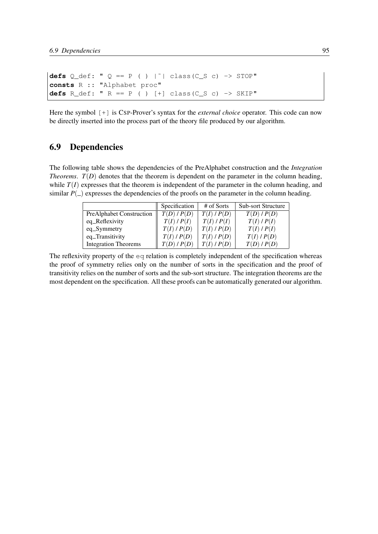```
defs Q_def: " Q == P ( ) |˜| class(C_S c) -> STOP"
consts R :: "Alphabet proc"
defs R_def: " R == P ( ) [+] class(C_S c) -> SKIP"
```
Here the symbol  $[+]$  is CSP-Prover's syntax for the *external choice* operator. This code can now be directly inserted into the process part of the theory file produced by our algorithm.

## 6.9 Dependencies

The following table shows the dependencies of the PreAlphabet construction and the *Integration Theorems.*  $T(D)$  denotes that the theorem is dependent on the parameter in the column heading, while  $T(I)$  expresses that the theorem is independent of the parameter in the column heading, and similar  $P(\_)$  expresses the dependencies of the proofs on the parameter in the column heading.

|                                 | Specification   | # of Sorts      | <b>Sub-sort Structure</b> |
|---------------------------------|-----------------|-----------------|---------------------------|
| <b>PreAlphabet Construction</b> | T(D)/P(D)       | $T(I)$ / $P(D)$ | T(D)/P(D)                 |
| eq_Reflexivity                  | $T(I)$ / $P(I)$ | $T(I)$ / $P(I)$ | $T(I)$ / $P(I)$           |
| $eq\_Symmetry$                  | $T(I)$ / $P(D)$ | $T(I)$ / $P(D)$ | $T(I)$ / $P(I)$           |
| eq_Transitivity                 | $T(I)$ / $P(D)$ | $T(I)$ / $P(D)$ | $T(I)$ / $P(D)$           |
| <b>Integration Theorems</b>     | T(D)/P(D)       | $T(I)$ / $P(D)$ | T(D)/P(D)                 |

The reflexivity property of the eq relation is completely independent of the specification whereas the proof of symmetry relies only on the number of sorts in the specification and the proof of transitivity relies on the number of sorts and the sub-sort structure. The integration theorems are the most dependent on the specification. All these proofs can be automatically generated our algorithm.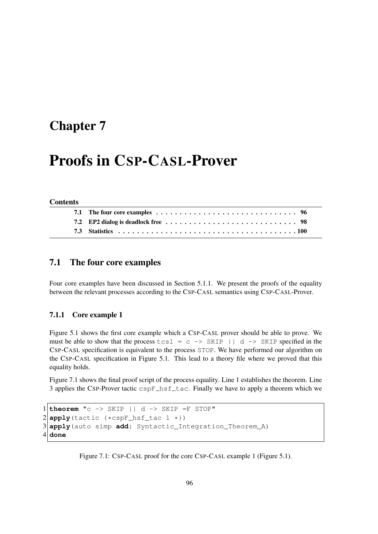## Chapter 7

# Proofs in CSP-CASL-Prover

#### **Contents**

## 7.1 The four core examples

Four core examples have been discussed in Section 5.1.1. We present the proofs of the equality between the relevant processes according to the CSP-CASL semantics using CSP-CASL-Prover.

#### 7.1.1 Core example 1

Figure 5.1 shows the first core example which a CSP-CASL prover should be able to prove. We must be able to show that the process  $\tanctan 1 = c \rightarrow \text{SKIP} \mid | d \rightarrow \text{SKIP}$  specified in the CSP-CASL specification is equivalent to the process STOP. We have performed our algorithm on the CSP-CASL specification in Figure 5.1. This lead to a theory file where we proved that this equality holds.

Figure 7.1 shows the final proof script of the process equality. Line 1 establishes the theorem. Line 3 applies the CSP-Prover tactic  $c$ spF $\_\text{hsf\_tac}$ . Finally we have to apply a theorem which we

```
1 theorem "c \rightarrow SKIP || d \rightarrow SKIP =F STOP"
2 apply (tactic {*cspF_hsf_tac 1 *})
3 apply(auto simp add: Syntactic_Integration_Theorem_A)
4 done
```
Figure 7.1: CSP-CASL proof for the core CSP-CASL example 1 (Figure 5.1).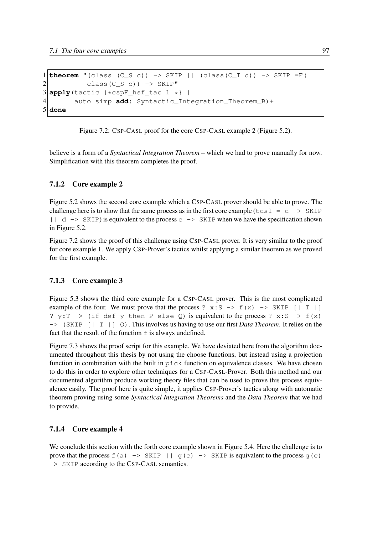```
1 theorem "(class (C_S c)) \rightarrow SKIP || (class(C_T d)) \rightarrow SKIP =F(
2 class(C_S c)) -> SKIP"
3 apply(tactic {*cspF_hsf_tac 1 *} |
        auto simp add: Syntactic_Integration_Theorem_B)+
5 done
```
Figure 7.2: CSP-CASL proof for the core CSP-CASL example 2 (Figure 5.2).

believe is a form of a *Syntactical Integration Theorem* – which we had to prove manually for now. Simplification with this theorem completes the proof.

### 7.1.2 Core example 2

Figure 5.2 shows the second core example which a CSP-CASL prover should be able to prove. The challenge here is to show that the same process as in the first core example ( $\text{tcs1} = \text{c} \rightarrow \text{SKIP}$ )  $| \cdot |$  d  $\rightarrow$  SKIP) is equivalent to the process c  $\rightarrow$  SKIP when we have the specification shown in Figure 5.2.

Figure 7.2 shows the proof of this challenge using CSP-CASL prover. It is very similar to the proof for core example 1. We apply CSP-Prover's tactics whilst applying a similar theorem as we proved for the first example.

#### 7.1.3 Core example 3

Figure 5.3 shows the third core example for a CSP-CASL prover. This is the most complicated example of the four. We must prove that the process ?  $x: S \rightarrow f(x) \rightarrow$  SKIP [| T |] ?  $y:T \rightarrow$  (if def y then P else Q) is equivalent to the process ? x:S -> f(x) -> (SKIP [| T |] Q). This involves us having to use our first *Data Theorem*. It relies on the fact that the result of the function  $f$  is always undefined.

Figure 7.3 shows the proof script for this example. We have deviated here from the algorithm documented throughout this thesis by not using the choose functions, but instead using a projection function in combination with the built in  $\text{pick}$  function on equivalence classes. We have chosen to do this in order to explore other techniques for a CSP-CASL-Prover. Both this method and our documented algorithm produce working theory files that can be used to prove this process equivalence easily. The proof here is quite simple, it applies CSP-Prover's tactics along with automatic theorem proving using some *Syntactical Integration Theorems* and the *Data Theorem* that we had to provide.

#### 7.1.4 Core example 4

We conclude this section with the forth core example shown in Figure 5.4. Here the challenge is to prove that the process  $f(a) \rightarrow SKIP \mid | g(c) \rightarrow SKIP$  is equivalent to the process  $g(c)$ -> SKIP according to the CSP-CASL semantics.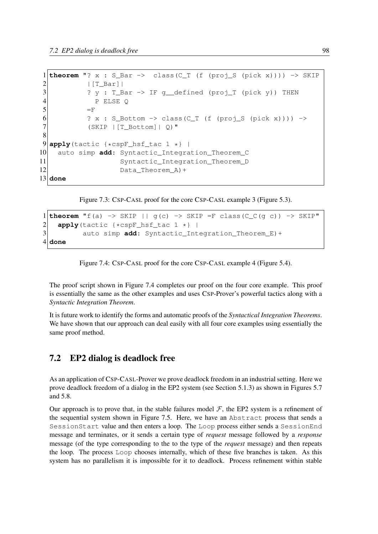```
1 theorem "? x : S_Bar -> class(C_T (f (proj_S (pick x)))) -> SKIP
2 | [T_Bar] |
3 ? y : T_Bar -> IF q_defined (proj_T (pick y)) THEN
4 P ELSE Q
5 =F
6 ? x : S_Bottom -> class(C_T (f (proj_S (pick x)))) ->
7 (SKIP |[T_Bottom]| Q)"
8
9 apply (tactic {*cspF_hsf_tac 1 *} |
10 auto simp add: Syntactic_Integration_Theorem_C
11 Syntactic_Integration_Theorem_D
12 Data_Theorem_A) +
13 done
```
Figure 7.3: CSP-CASL proof for the core CSP-CASL example 3 (Figure 5.3).

```
1 theorem "f(a) \rightarrow SKIP || g(c) \rightarrow SKIP =F class(C_C(g c)) \rightarrow SKIP"
2 \n\begin{array}{c|c}\n2 & \text{apply}(\text{tactic } {*} \text{cspF_hsf\_tac 1 } *) \\
3 & \text{auto simp add: Syntactic Int}\n\end{array}auto simp add: Syntactic_Integration_Theorem_E)+
4 done
```
Figure 7.4: CSP-CASL proof for the core CSP-CASL example 4 (Figure 5.4).

The proof script shown in Figure 7.4 completes our proof on the four core example. This proof is essentially the same as the other examples and uses CSP-Prover's powerful tactics along with a *Syntactic Integration Theorem*.

It is future work to identify the forms and automatic proofs of the *Syntactical Integration Theorems*. We have shown that our approach can deal easily with all four core examples using essentially the same proof method.

## 7.2 EP2 dialog is deadlock free

As an application of CSP-CASL-Prover we prove deadlock freedom in an industrial setting. Here we prove deadlock freedom of a dialog in the EP2 system (see Section 5.1.3) as shown in Figures 5.7 and 5.8.

Our approach is to prove that, in the stable failures model  $F$ , the EP2 system is a refinement of the sequential system shown in Figure 7.5. Here, we have an Abstract process that sends a SessionStart value and then enters a loop. The Loop process either sends a SessionEnd message and terminates, or it sends a certain type of *request* message followed by a *response* message (of the type corresponding to the to the type of the *request* message) and then repeats the loop. The process Loop chooses internally, which of these five branches is taken. As this system has no parallelism it is impossible for it to deadlock. Process refinement within stable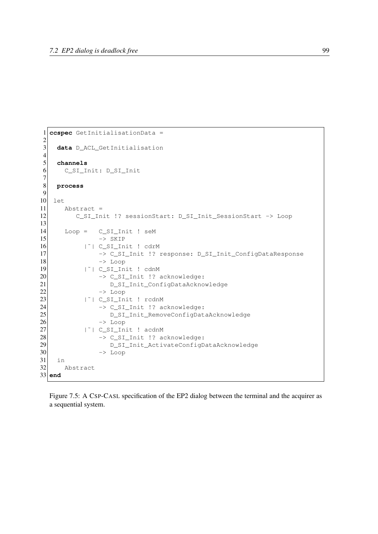```
1| ccspec GetInitialisationData =
\frac{2}{3}3 data D_ACL_GetInitialisation
\frac{4}{5}5 channels
6 C_SI_Init: D_SI_Init
\begin{array}{c} 7 \\ 8 \end{array}8 process
9
10 let
11 Abstract =
12 C_SI_Init !? sessionStart: D_SI_Init_SessionStart -> Loop
13
14 Loop = C_SI_Init ! seM
15 -> SKIP
\begin{array}{ccc} 16 & |^{\sim} & C\_SI\_Init \end{array} ! cdrM \rightarrow C\_SI\_Init \end{array} ! 2
                -> C_SI_Init !? response: D_SI_Init_ConfigDataResponse
18 \rightarrow Loop
19 | \degree | \degree | C_SI_Init ! cdnM
20 -> C_SI_Init !? acknowledge:
21 D_SI_Init_ConfigDataAcknowledge
22 -> Loop
23 | | | C_SI_Init ! rcdnM
24 -> C_SI_Init !? acknowledge:
25 D_SI_Init_RemoveConfigDataAcknowledge
26 -> Loop
27 |˜| C_SI_Init ! acdnM
28 -> C_SI_Init !? acknowledge:<br>29 D SI Init ActivateConfigD
                   29 D_SI_Init_ActivateConfigDataAcknowledge
30 -> Loop
31 in
32 Abstract
33 end
```
Figure 7.5: A CSP-CASL specification of the EP2 dialog between the terminal and the acquirer as a sequential system.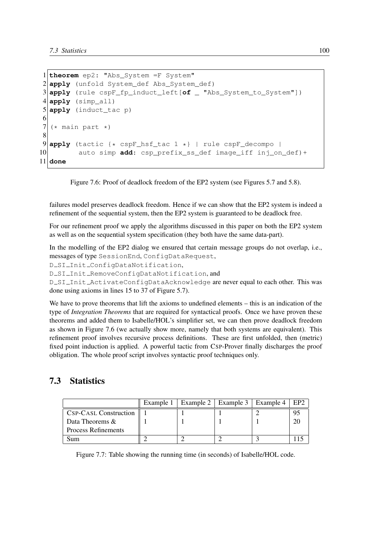```
1 theorem ep2: "Abs_System =F System"
2 apply (unfold System_def Abs_System_def)
3 apply (rule cspF_fp_induct_left[of _ "Abs_System_to_System"])
4 apply (simp_all)
5 apply (induct_tac p)
6
7 \times \text{main part}8
9 apply (tactic {* cspF_hsf_tac 1 *} | rule cspF_decompo |
10 auto simp add: csp_prefix_ss_def image_iff inj_on_def)+
11 done
```
Figure 7.6: Proof of deadlock freedom of the EP2 system (see Figures 5.7 and 5.8).

failures model preserves deadlock freedom. Hence if we can show that the EP2 system is indeed a refinement of the sequential system, then the EP2 system is guaranteed to be deadlock free.

For our refinement proof we apply the algorithms discussed in this paper on both the EP2 system as well as on the sequential system specification (they both have the same data-part).

In the modelling of the EP2 dialog we ensured that certain message groups do not overlap, i.e., messages of type SessionEnd, ConfigDataRequest,

D SI Init ConfigDataNotification,

D\_SI\_Init\_RemoveConfigDataNotification, and

D SI Init ActivateConfigDataAcknowledge are never equal to each other. This was done using axioms in lines 15 to 37 of Figure 5.7).

We have to prove theorems that lift the axioms to undefined elements – this is an indication of the type of *Integration Theorems* that are required for syntactical proofs. Once we have proven these theorems and added them to Isabelle/HOL's simplifier set, we can then prove deadlock freedom as shown in Figure 7.6 (we actually show more, namely that both systems are equivalent). This refinement proof involves recursive process definitions. These are first unfolded, then (metric) fixed point induction is applied. A powerful tactic from CSP-Prover finally discharges the proof obligation. The whole proof script involves syntactic proof techniques only.

# 7.3 Statistics

|                              | Example 1   Example 2   Example 3   Example 4 |  | EP <sub>2</sub> |
|------------------------------|-----------------------------------------------|--|-----------------|
| <b>CSP-CASL Construction</b> |                                               |  |                 |
| Data Theorems &              |                                               |  |                 |
| <b>Process Refinements</b>   |                                               |  |                 |
| sum                          |                                               |  |                 |

Figure 7.7: Table showing the running time (in seconds) of Isabelle/HOL code.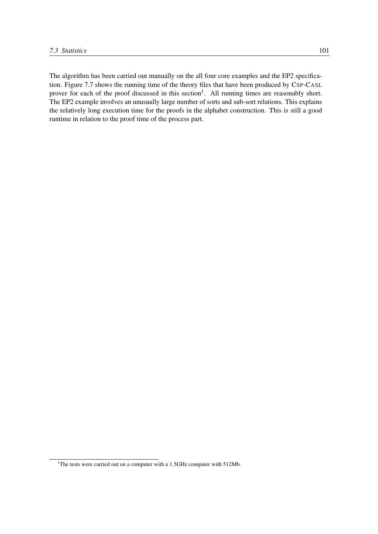The algorithm has been carried out manually on the all four core examples and the EP2 specification. Figure 7.7 shows the running time of the theory files that have been produced by CSP-CASL prover for each of the proof discussed in this section<sup>1</sup>. All running times are reasonably short. The EP2 example involves an unusually large number of sorts and sub-sort relations. This explains the relatively long execution time for the proofs in the alphabet construction. This is still a good runtime in relation to the proof time of the process part.

<sup>&</sup>lt;sup>1</sup>The tests were carried out on a computer with a 1.5GHz computer with 512Mb.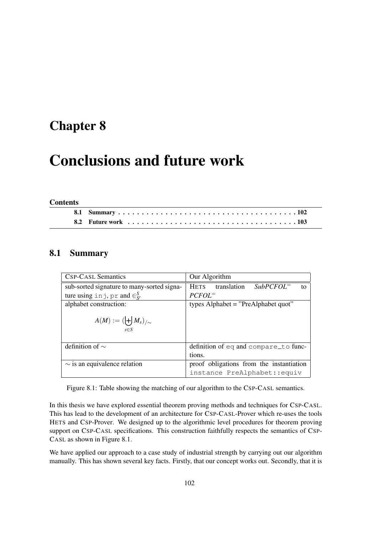# Chapter 8

# Conclusions and future work

#### Contents

## 8.1 Summary

| <b>CSP-CASL Semantics</b>                      | Our Algorithm                                   |  |  |
|------------------------------------------------|-------------------------------------------------|--|--|
| sub-sorted signature to many-sorted signa-     | $SubPCFOL=$<br>translation<br><b>HETS</b><br>to |  |  |
| ture using in j, pr and $\in_{S'}^S$           | $PCFOL^=$                                       |  |  |
| alphabet construction:                         | types Alphabet = "PreAlphabet quot"             |  |  |
| $A(M) := (\biguplus M_s)_{/\sim}$<br>$s \in S$ |                                                 |  |  |
| definition of $\sim$                           | definition of eq and compare_to func-           |  |  |
|                                                | tions.                                          |  |  |
| $\sim$ is an equivalence relation              | proof obligations from the instantiation        |  |  |
|                                                | instance PreAlphabet::equiv                     |  |  |

Figure 8.1: Table showing the matching of our algorithm to the CSP-CASL semantics.

In this thesis we have explored essential theorem proving methods and techniques for CSP-CASL. This has lead to the development of an architecture for CSP-CASL-Prover which re-uses the tools HETS and CSP-Prover. We designed up to the algorithmic level procedures for theorem proving support on CSP-CASL specifications. This construction faithfully respects the semantics of CSP-CASL as shown in Figure 8.1.

We have applied our approach to a case study of industrial strength by carrying out our algorithm manually. This has shown several key facts. Firstly, that our concept works out. Secondly, that it is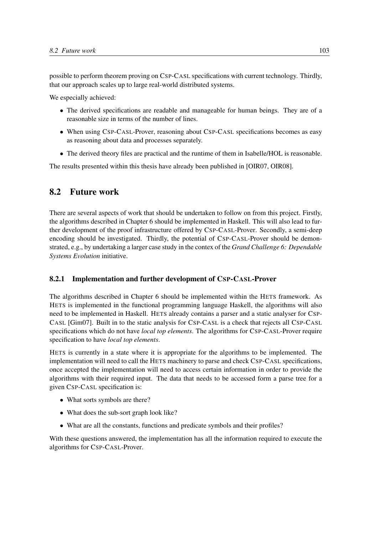possible to perform theorem proving on CSP-CASL specifications with current technology. Thirdly, that our approach scales up to large real-world distributed systems.

We especially achieved:

- The derived specifications are readable and manageable for human beings. They are of a reasonable size in terms of the number of lines.
- When using CSP-CASL-Prover, reasoning about CSP-CASL specifications becomes as easy as reasoning about data and processes separately.
- The derived theory files are practical and the runtime of them in Isabelle/HOL is reasonable.

The results presented within this thesis have already been published in [OIR07, OIR08].

## 8.2 Future work

There are several aspects of work that should be undertaken to follow on from this project. Firstly, the algorithms described in Chapter 6 should be implemented in Haskell. This will also lead to further development of the proof infrastructure offered by CSP-CASL-Prover. Secondly, a semi-deep encoding should be investigated. Thirdly, the potential of CSP-CASL-Prover should be demonstrated, e.g., by undertaking a larger case study in the contex of the *Grand Challenge 6: Dependable Systems Evolution* initiative.

#### 8.2.1 Implementation and further development of CSP-CASL-Prover

The algorithms described in Chapter 6 should be implemented within the HETS framework. As HETS is implemented in the functional programming language Haskell, the algorithms will also need to be implemented in Haskell. HETS already contains a parser and a static analyser for CSP-CASL [Gim07]. Built in to the static analysis for CSP-CASL is a check that rejects all CSP-CASL specifications which do not have *local top elements*. The algorithms for CSP-CASL-Prover require specification to have *local top elements*.

HETS is currently in a state where it is appropriate for the algorithms to be implemented. The implementation will need to call the HETS machinery to parse and check CSP-CASL specifications, once accepted the implementation will need to access certain information in order to provide the algorithms with their required input. The data that needs to be accessed form a parse tree for a given CSP-CASL specification is:

- What sorts symbols are there?
- What does the sub-sort graph look like?
- What are all the constants, functions and predicate symbols and their profiles?

With these questions answered, the implementation has all the information required to execute the algorithms for CSP-CASL-Prover.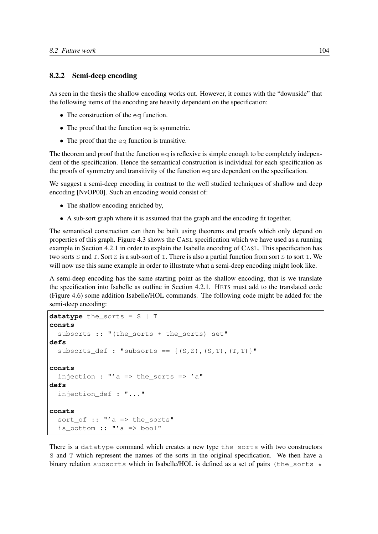#### 8.2.2 Semi-deep encoding

As seen in the thesis the shallow encoding works out. However, it comes with the "downside" that the following items of the encoding are heavily dependent on the specification:

- The construction of the eq function.
- The proof that the function  $eq$  is symmetric.
- The proof that the eq function is transitive.

The theorem and proof that the function  $\epsilon q$  is reflexive is simple enough to be completely independent of the specification. Hence the semantical construction is individual for each specification as the proofs of symmetry and transitivity of the function  $\infty$  are dependent on the specification.

We suggest a semi-deep encoding in contrast to the well studied techniques of shallow and deep encoding [NvOP00]. Such an encoding would consist of:

- The shallow encoding enriched by,
- A sub-sort graph where it is assumed that the graph and the encoding fit together.

The semantical construction can then be built using theorems and proofs which only depend on properties of this graph. Figure 4.3 shows the CASL specification which we have used as a running example in Section 4.2.1 in order to explain the Isabelle encoding of CASL. This specification has two sorts S and T. Sort S is a sub-sort of T. There is also a partial function from sort S to sort T. We will now use this same example in order to illustrate what a semi-deep encoding might look like.

A semi-deep encoding has the same starting point as the shallow encoding, that is we translate the specification into Isabelle as outline in Section 4.2.1. HETS must add to the translated code (Figure 4.6) some addition Isabelle/HOL commands. The following code might be added for the semi-deep encoding:

```
datatype the sorts = S | T
consts
  subsorts :: "(the_sorts * the_sorts) set"
defs
  subsorts def : "subsorts == {(S,S), (S,T), (T,T)}"
consts
  injection : "'a => the sorts => 'a"
defs
  injection_def : "..."
consts
  sort_of :: "'a => the_sorts"
  is_bottom :: "'a => bool"
```
There is a datatype command which creates a new type  $the$  sorts with two constructors S and T which represent the names of the sorts in the original specification. We then have a binary relation subsorts which in Isabelle/HOL is defined as a set of pairs (the sorts  $\star$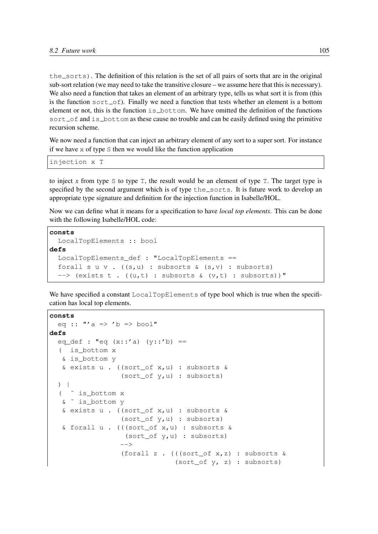$the$  sorts). The definition of this relation is the set of all pairs of sorts that are in the original sub-sort relation (we may need to take the transitive closure – we assume here that this is necessary). We also need a function that takes an element of an arbitrary type, tells us what sort it is from (this is the function sort  $\circ$  finally we need a function that tests whether an element is a bottom element or not, this is the function  $is_bot$ tom. We have omitted the definition of the functions  $sort\_of$  and  $is\_bottom$  as these cause no trouble and can be easily defined using the primitive recursion scheme.

We now need a function that can inject an arbitrary element of any sort to a super sort. For instance if we have  $x$  of type  $S$  then we would like the function application

injection x T

to inject x from type S to type  $T$ , the result would be an element of type  $T$ . The target type is specified by the second argument which is of type the sorts. It is future work to develop an appropriate type signature and definition for the injection function in Isabelle/HOL.

Now we can define what it means for a specification to have *local top elements*. This can be done with the following Isabelle/HOL code:

```
consts
  LocalTopElements :: bool
defs
  LocalTopElements_def : "LocalTopElements ==
  forall s \cup v. ((s, u) : subsorts \& (s, v) : subsorts)
  \left(-\right) (exists t. ((u,t): subsorts & (v,t): subsorts))"
```
We have specified a constant LocalTopElements of type bool which is true when the specification has local top elements.

```
consts
  eq :: "'a => 'b => bool"
defs
  eq_def : "eq (x::'a) (y::'b) ==
  ( is_bottom x
  & is_bottom y
   & exists u . ((sort_of x,u) : subsorts &
                 (sort_of y,u) : subsorts)
  ) |
  ( ˜ is_bottom x
  & ˜ is_bottom y
   & exists u . ((sort_of x,u) : subsorts &
                 (sort_of y,u) : subsorts)
   & forall u . (((sort_of x,u) : subsorts &
                  (sort of y,u) : subsorts)
                 --&(forall z . (((sort_of x,z) : subsorts &
                               (sort_of y, z) : subsorts)
```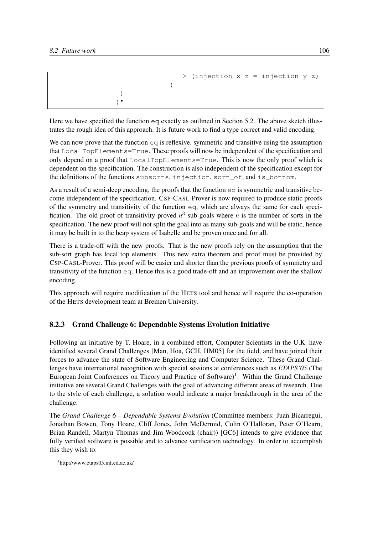```
> (injection x z = injection y z)
              )
 )
)"
```
Here we have specified the function  $eq$  exactly as outlined in Section 5.2. The above sketch illustrates the rough idea of this approach. It is future work to find a type correct and valid encoding.

We can now prove that the function  $\infty q$  is reflexive, symmetric and transitive using the assumption that LocalTopElements=True. These proofs will now be independent of the specification and only depend on a proof that LocalTopElements=True. This is now the only proof which is dependent on the specification. The construction is also independent of the specification except for the definitions of the functions subsorts, injection, sort\_of, and is\_bottom.

As a result of a semi-deep encoding, the proofs that the function  $\epsilon q$  is symmetric and transitive become independent of the specification. CSP-CASL-Prover is now required to produce static proofs of the symmetry and transitivity of the function eq, which are always the same for each specification. The old proof of transitivity proved  $n<sup>3</sup>$  sub-goals where *n* is the number of sorts in the specification. The new proof will not split the goal into as many sub-goals and will be static, hence it may be built in to the heap system of Isabelle and be proven once and for all.

There is a trade-off with the new proofs. That is the new proofs rely on the assumption that the sub-sort graph has local top elements. This new extra theorem and proof must be provided by CSP-CASL-Prover. This proof will be easier and shorter than the previous proofs of symmetry and transitivity of the function eq. Hence this is a good trade-off and an improvement over the shallow encoding.

This approach will require modification of the HETS tool and hence will require the co-operation of the HETS development team at Bremen University.

### 8.2.3 Grand Challenge 6: Dependable Systems Evolution Initiative

Following an initiative by T. Hoare, in a combined effort, Computer Scientists in the U.K. have identified several Grand Challenges [Man, Hoa, GCH, HM05] for the field, and have joined their forces to advance the state of Software Engineering and Computer Science. These Grand Challenges have international recognition with special sessions at conferences such as *ETAPS'05* (The European Joint Conferences on Theory and Practice of Software)<sup>1</sup>. Within the Grand Challenge initiative are several Grand Challenges with the goal of advancing different areas of research. Due to the style of each challenge, a solution would indicate a major breakthrough in the area of the challenge.

The *Grand Challenge 6 – Dependable Systems Evolution* (Committee members: Juan Bicarregui, Jonathan Bowen, Tony Hoare, Cliff Jones, John McDermid, Colin O'Halloran, Peter O'Hearn, Brian Randell, Martyn Thomas and Jim Woodcock (chair)) [GC6] intends to give evidence that fully verified software is possible and to advance verification technology. In order to accomplish this they wish to:

<sup>1</sup> http://www.etaps05.inf.ed.ac.uk/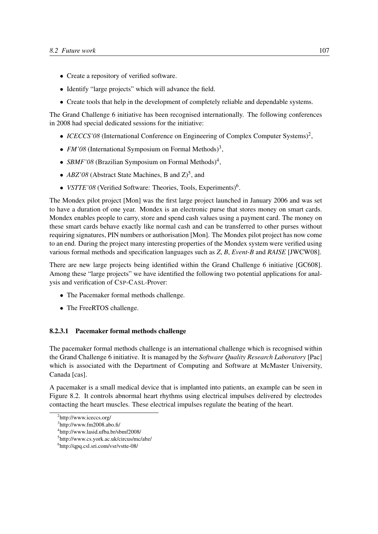- Create a repository of verified software.
- Identify "large projects" which will advance the field.
- Create tools that help in the development of completely reliable and dependable systems.

The Grand Challenge 6 initiative has been recognised internationally. The following conferences in 2008 had special dedicated sessions for the initiative:

- *ICECCS'08* (International Conference on Engineering of Complex Computer Systems)<sup>2</sup>,
- *FM'08* (International Symposium on Formal Methods)<sup>3</sup>,
- *SBMF'08* (Brazilian Symposium on Formal Methods)<sup>4</sup>,
- $ABZ'08$  (Abstract State Machines, B and  $Z^5$ ), and
- *VSTTE'08* (Verified Software: Theories, Tools, Experiments)<sup>6</sup> .

The Mondex pilot project [Mon] was the first large project launched in January 2006 and was set to have a duration of one year. Mondex is an electronic purse that stores money on smart cards. Mondex enables people to carry, store and spend cash values using a payment card. The money on these smart cards behave exactly like normal cash and can be transferred to other purses without requiring signatures, PIN numbers or authorisation [Mon]. The Mondex pilot project has now come to an end. During the project many interesting properties of the Mondex system were verified using various formal methods and specification languages such as *Z*, *B*, *Event-B* and *RAISE* [JWCW08].

There are new large projects being identified within the Grand Challenge 6 initiative [GC608]. Among these "large projects" we have identified the following two potential applications for analysis and verification of CSP-CASL-Prover:

- The Pacemaker formal methods challenge.
- The FreeRTOS challenge.

#### 8.2.3.1 Pacemaker formal methods challenge

The pacemaker formal methods challenge is an international challenge which is recognised within the Grand Challenge 6 initiative. It is managed by the *Software Quality Research Laboratory* [Pac] which is associated with the Department of Computing and Software at McMaster University, Canada [cas].

A pacemaker is a small medical device that is implanted into patients, an example can be seen in Figure 8.2. It controls abnormal heart rhythms using electrical impulses delivered by electrodes contacting the heart muscles. These electrical impulses regulate the beating of the heart.

<sup>&</sup>lt;sup>2</sup>http://www.iceccs.org/

<sup>3</sup> http://www.fm2008.abo.fi/

<sup>4</sup> http://www.lasid.ufba.br/sbmf2008/

<sup>5</sup> http://www.cs.york.ac.uk/circus/mc/abz/

<sup>6</sup> http://qpq.csl.sri.com/vsr/vstte-08/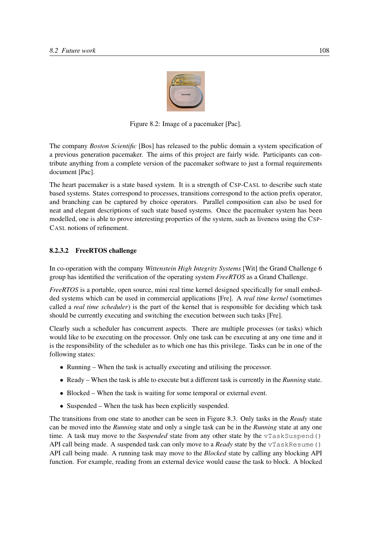

Figure 8.2: Image of a pacemaker [Pac].

The company *Boston Scientific* [Bos] has released to the public domain a system specification of a previous generation pacemaker. The aims of this project are fairly wide. Participants can contribute anything from a complete version of the pacemaker software to just a formal requirements document [Pac].

The heart pacemaker is a state based system. It is a strength of CSP-CASL to describe such state based systems. States correspond to processes, transitions correspond to the action prefix operator, and branching can be captured by choice operators. Parallel composition can also be used for neat and elegant descriptions of such state based systems. Once the pacemaker system has been modelled, one is able to prove interesting properties of the system, such as liveness using the CSP-CASL notions of refinement.

#### 8.2.3.2 FreeRTOS challenge

In co-operation with the company *Wittenstein High Integrity Systems* [Wit] the Grand Challenge 6 group has identified the verification of the operating system *FreeRTOS* as a Grand Challenge.

*FreeRTOS* is a portable, open source, mini real time kernel designed specifically for small embedded systems which can be used in commercial applications [Fre]. A *real time kernel* (sometimes called a *real time scheduler*) is the part of the kernel that is responsible for deciding which task should be currently executing and switching the execution between such tasks [Fre].

Clearly such a scheduler has concurrent aspects. There are multiple processes (or tasks) which would like to be executing on the processor. Only one task can be executing at any one time and it is the responsibility of the scheduler as to which one has this privilege. Tasks can be in one of the following states:

- Running When the task is actually executing and utilising the processor.
- Ready When the task is able to execute but a different task is currently in the *Running* state.
- Blocked When the task is waiting for some temporal or external event.
- Suspended When the task has been explicitly suspended.

The transitions from one state to another can be seen in Figure 8.3. Only tasks in the *Ready* state can be moved into the *Running* state and only a single task can be in the *Running* state at any one time. A task may move to the *Suspended* state from any other state by the vTaskSuspend() API call being made. A suspended task can only move to a *Ready* state by the  $vTaskResume()$ API call being made. A running task may move to the *Blocked* state by calling any blocking API function. For example, reading from an external device would cause the task to block. A blocked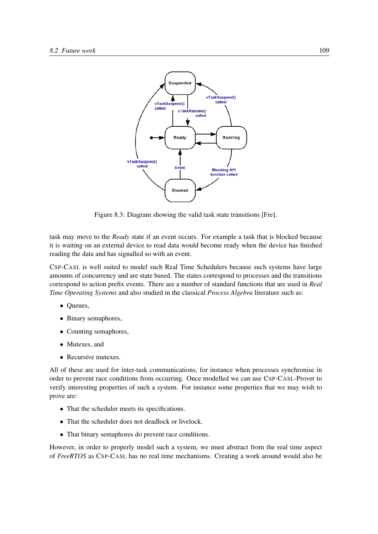

Figure 8.3: Diagram showing the valid task state transitions [Fre].

task may move to the *Ready* state if an event occurs. For example a task that is blocked because it is waiting on an external device to read data would become ready when the device has finished reading the data and has signalled so with an event.

CSP-CASL is well suited to model such Real Time Schedulers because such systems have large amounts of concurrency and are state based. The states correspond to processes and the transitions correspond to action prefix events. There are a number of standard functions that are used in *Real Time Operating Systems* and also studied in the classical *Process Algebra* literature such as:

- Queues,
- Binary semaphores,
- Counting semaphores,
- Mutexes, and
- Recursive mutexes.

All of these are used for inter-task communications, for instance when processes synchronise in order to prevent race conditions from occurring. Once modelled we can use CSP-CASL-Prover to verify interesting properties of such a system. For instance some properties that we may wish to prove are:

- That the scheduler meets its specifications.
- That the scheduler does not deadlock or livelock.
- That binary semaphores do prevent race conditions.

However, in order to properly model such a system, we must abstract from the real time aspect of *FreeRTOS* as CSP-CASL has no real time mechanisms. Creating a work around would also be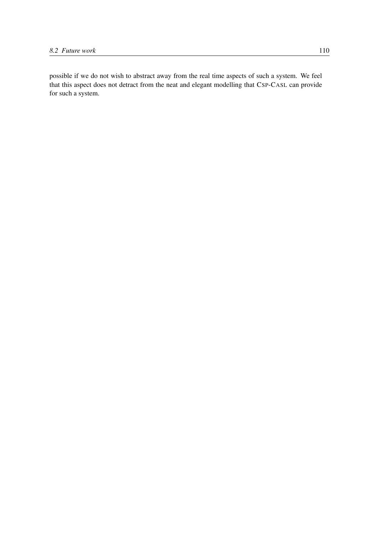possible if we do not wish to abstract away from the real time aspects of such a system. We feel that this aspect does not detract from the neat and elegant modelling that CSP-CASL can provide for such a system.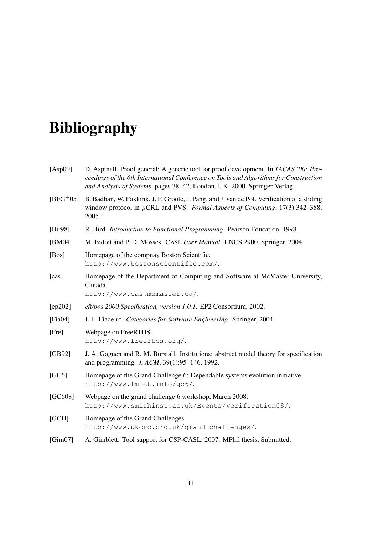# Bibliography

| [Asp00]     | D. Aspinall. Proof general: A generic tool for proof development. In TACAS '00: Pro-<br>ceedings of the 6th International Conference on Tools and Algorithms for Construction<br>and Analysis of Systems, pages 38-42, London, UK, 2000. Springer-Verlag. |
|-------------|-----------------------------------------------------------------------------------------------------------------------------------------------------------------------------------------------------------------------------------------------------------|
| $[BFG^+05]$ | B. Badban, W. Fokkink, J. F. Groote, J. Pang, and J. van de Pol. Verification of a sliding<br>window protocol in $\mu$ CRL and PVS. Formal Aspects of Computing, 17(3):342–388,<br>2005.                                                                  |
| [Bir98]     | R. Bird. Introduction to Functional Programming. Pearson Education, 1998.                                                                                                                                                                                 |
| [BM04]      | M. Bidoit and P. D. Mosses. CASL User Manual. LNCS 2900. Springer, 2004.                                                                                                                                                                                  |
| [Bos]       | Homepage of the compnay Boston Scientific.<br>http://www.bostonscientific.com/.                                                                                                                                                                           |
| [cas]       | Homepage of the Department of Computing and Software at McMaster University,<br>Canada.<br>http://www.cas.mcmaster.ca/.                                                                                                                                   |
| [ep202]     | eft/pos 2000 Specification, version 1.0.1. EP2 Consortium, 2002.                                                                                                                                                                                          |
| [Fia04]     | J. L. Fiadeiro. Categories for Software Engineering. Springer, 2004.                                                                                                                                                                                      |
| [Fre]       | Webpage on FreeRTOS.<br>http://www.freertos.org/.                                                                                                                                                                                                         |
| [GB92]      | J. A. Goguen and R. M. Burstall. Institutions: abstract model theory for specification<br>and programming. J. ACM, 39(1):95-146, 1992.                                                                                                                    |
| [GC6]       | Homepage of the Grand Challenge 6: Dependable systems evolution initiative.<br>http://www.fmnet.info/gc6/.                                                                                                                                                |
| [GC608]     | Webpage on the grand challenge 6 workshop, March 2008.<br>http://www.smithinst.ac.uk/Events/Verification08/.                                                                                                                                              |
| [GCH]       | Homepage of the Grand Challenges.                                                                                                                                                                                                                         |

http://www.ukcrc.org.uk/grand challenges/.

[Gim07] A. Gimblett. Tool support for CSP-CASL, 2007. MPhil thesis. Submitted.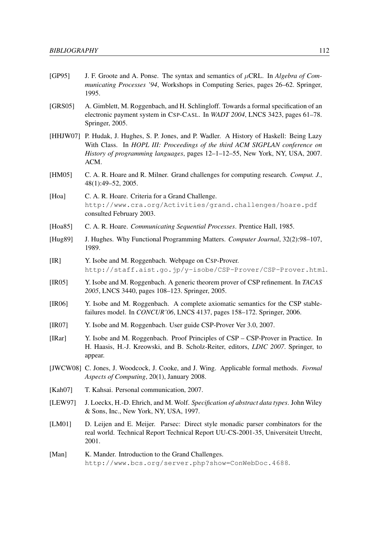- [GP95] J. F. Groote and A. Ponse. The syntax and semantics of µCRL. In *Algebra of Communicating Processes '94*, Workshops in Computing Series, pages 26–62. Springer, 1995.
- [GRS05] A. Gimblett, M. Roggenbach, and H. Schlingloff. Towards a formal specification of an electronic payment system in CSP-CASL. In *WADT 2004*, LNCS 3423, pages 61–78. Springer, 2005.
- [HHJW07] P. Hudak, J. Hughes, S. P. Jones, and P. Wadler. A History of Haskell: Being Lazy With Class. In *HOPL III: Proceedings of the third ACM SIGPLAN conference on History of programming languages*, pages 12–1–12–55, New York, NY, USA, 2007. ACM.
- [HM05] C. A. R. Hoare and R. Milner. Grand challenges for computing research. *Comput. J.*, 48(1):49–52, 2005.
- [Hoa] C. A. R. Hoare. Criteria for a Grand Challenge. http://www.cra.org/Activities/grand.challenges/hoare.pdf consulted February 2003.
- [Hoa85] C. A. R. Hoare. *Communicating Sequential Processes*. Prentice Hall, 1985.
- [Hug89] J. Hughes. Why Functional Programming Matters. *Computer Journal*, 32(2):98–107, 1989.
- [IR] Y. Isobe and M. Roggenbach. Webpage on CSP-Prover. http://staff.aist.go.jp/y-isobe/CSP-Prover/CSP-Prover.html.
- [IR05] Y. Isobe and M. Roggenbach. A generic theorem prover of CSP refinement. In *TACAS 2005*, LNCS 3440, pages 108–123. Springer, 2005.
- [IR06] Y. Isobe and M. Roggenbach. A complete axiomatic semantics for the CSP stablefailures model. In *CONCUR'06*, LNCS 4137, pages 158–172. Springer, 2006.
- [IR07] Y. Isobe and M. Roggenbach. User guide CSP-Prover Ver 3.0, 2007.
- [IRar] Y. Isobe and M. Roggenbach. Proof Principles of CSP CSP-Prover in Practice. In H. Haasis, H.-J. Kreowski, and B. Scholz-Reiter, editors, *LDIC 2007*. Springer, to appear.
- [JWCW08] C. Jones, J. Woodcock, J. Cooke, and J. Wing. Applicable formal methods. *Formal Aspects of Computing*, 20(1), January 2008.
- [Kah07] T. Kahsai. Personal communication, 2007.
- [LEW97] J. Loeckx, H.-D. Ehrich, and M. Wolf. *Specification of abstract data types*. John Wiley & Sons, Inc., New York, NY, USA, 1997.
- [LM01] D. Leijen and E. Meijer. Parsec: Direct style monadic parser combinators for the real world. Technical Report Technical Report UU-CS-2001-35, Universiteit Utrecht, 2001.
- [Man] K. Mander. Introduction to the Grand Challenges. http://www.bcs.org/server.php?show=ConWebDoc.4688.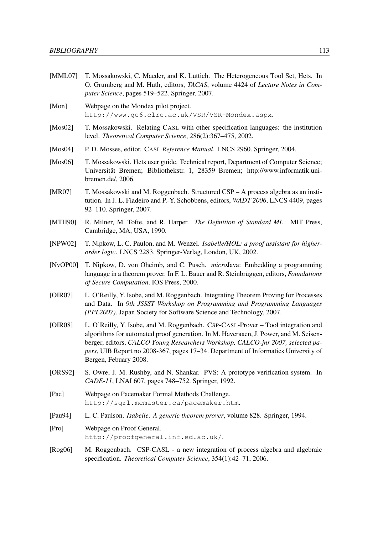- [MML07] T. Mossakowski, C. Maeder, and K. Lüttich. The Heterogeneous Tool Set, Hets. In O. Grumberg and M. Huth, editors, *TACAS*, volume 4424 of *Lecture Notes in Computer Science*, pages 519–522. Springer, 2007.
- [Mon] Webpage on the Mondex pilot project. http://www.gc6.clrc.ac.uk/VSR/VSR-Mondex.aspx.
- [Mos02] T. Mossakowski. Relating CASL with other specification languages: the institution level. *Theoretical Computer Science*, 286(2):367–475, 2002.
- [Mos04] P. D. Mosses, editor. CASL *Reference Manual*. LNCS 2960. Springer, 2004.
- [Mos06] T. Mossakowski. Hets user guide. Technical report, Department of Computer Science; Universitat Bremen; Bibliothekstr. 1, 28359 Bremen; http://www.informatik.uni- ¨ bremen.de/, 2006.
- [MR07] T. Mossakowski and M. Roggenbach. Structured CSP A process algebra as an institution. In J. L. Fiadeiro and P.-Y. Schobbens, editors, *WADT 2006*, LNCS 4409, pages 92–110. Springer, 2007.
- [MTH90] R. Milner, M. Tofte, and R. Harper. *The Definition of Standard ML*. MIT Press, Cambridge, MA, USA, 1990.
- [NPW02] T. Nipkow, L. C. Paulon, and M. Wenzel. *Isabelle/HOL: a proof assistant for higherorder logic*. LNCS 2283. Springer-Verlag, London, UK, 2002.
- [NvOP00] T. Nipkow, D. von Oheimb, and C. Pusch. *micro*Java: Embedding a programming language in a theorem prover. In F. L. Bauer and R. Steinbrüggen, editors, *Foundations of Secure Computation*. IOS Press, 2000.
- [OIR07] L. O'Reilly, Y. Isobe, and M. Roggenbach. Integrating Theorem Proving for Processes and Data. In *9th JSSST Workshop on Programming and Programming Languages (PPL2007)*. Japan Society for Software Science and Technology, 2007.
- [OIR08] L. O'Reilly, Y. Isobe, and M. Roggenbach. CSP-CASL-Prover Tool integration and algorithms for automated proof generation. In M. Haveraaen, J. Power, and M. Seisenberger, editors, *CALCO Young Researchers Workshop, CALCO-jnr 2007, selected papers*, UIB Report no 2008-367, pages 17–34. Department of Informatics University of Bergen, Febuary 2008.
- [ORS92] S. Owre, J. M. Rushby, and N. Shankar. PVS: A prototype verification system. In *CADE-11*, LNAI 607, pages 748–752. Springer, 1992.
- [Pac] Webpage on Pacemaker Formal Methods Challenge. http://sqrl.mcmaster.ca/pacemaker.htm.
- [Pau94] L. C. Paulson. *Isabelle: A generic theorem prover*, volume 828. Springer, 1994.
- [Pro] Webpage on Proof General. http://proofgeneral.inf.ed.ac.uk/.
- [Rog06] M. Roggenbach. CSP-CASL a new integration of process algebra and algebraic specification. *Theoretical Computer Science*, 354(1):42–71, 2006.